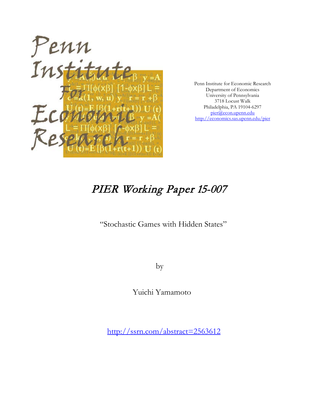

Penn Institute for Economic Research Department of Economics University of Pennsylvania 3718 Locust Walk Philadelphia, PA 19104-6297 [pier@econ.upenn.edu](mailto:pier@econ.upenn.edu) <http://economics.sas.upenn.edu/pier>

# PIER Working Paper 15-007

"Stochastic Games with Hidden States"

by

Yuichi Yamamoto

[http://ssrn.com/abstract=2](http://ssrn.com/abstract_id=)563612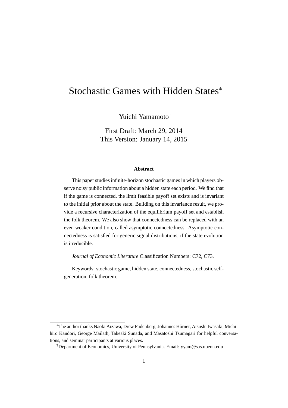## Stochastic Games with Hidden States*<sup>∗</sup>*

Yuichi Yamamoto†

First Draft: March 29, 2014 This Version: January 14, 2015

#### **Abstract**

This paper studies infinite-horizon stochastic games in which players observe noisy public information about a hidden state each period. We find that if the game is connected, the limit feasible payoff set exists and is invariant to the initial prior about the state. Building on this invariance result, we provide a recursive characterization of the equilibrium payoff set and establish the folk theorem. We also show that connectedness can be replaced with an even weaker condition, called asymptotic connectedness. Asymptotic connectedness is satisfied for generic signal distributions, if the state evolution is irreducible.

*Journal of Economic Literature* Classification Numbers: C72, C73.

Keywords: stochastic game, hidden state, connectedness, stochastic selfgeneration, folk theorem.

<sup>&</sup>lt;sup>\*</sup>The author thanks Naoki Aizawa, Drew Fudenberg, Johannes Hörner, Atsushi Iwasaki, Michihiro Kandori, George Mailath, Takeaki Sunada, and Masatoshi Tsumagari for helpful conversations, and seminar participants at various places.

<sup>†</sup>Department of Economics, University of Pennsylvania. Email: yyam@sas.upenn.edu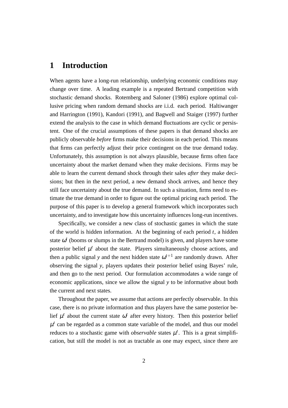## **1 Introduction**

When agents have a long-run relationship, underlying economic conditions may change over time. A leading example is a repeated Bertrand competition with stochastic demand shocks. Rotemberg and Saloner (1986) explore optimal collusive pricing when random demand shocks are i.i.d. each period. Haltiwanger and Harrington (1991), Kandori (1991), and Bagwell and Staiger (1997) further extend the analysis to the case in which demand fluctuations are cyclic or persistent. One of the crucial assumptions of these papers is that demand shocks are publicly observable *before* firms make their decisions in each period. This means that firms can perfectly adjust their price contingent on the true demand today. Unfortunately, this assumption is not always plausible, because firms often face uncertainty about the market demand when they make decisions. Firms may be able to learn the current demand shock through their sales *after* they make decisions; but then in the next period, a new demand shock arrives, and hence they still face uncertainty about the true demand. In such a situation, firms need to estimate the true demand in order to figure out the optimal pricing each period. The purpose of this paper is to develop a general framework which incorporates such uncertainty, and to investigate how this uncertainty influences long-run incentives.

Specifically, we consider a new class of stochastic games in which the state of the world is hidden information. At the beginning of each period  $t$ , a hidden state  $\omega^t$  (booms or slumps in the Bertrand model) is given, and players have some posterior belief  $\mu^t$  about the state. Players simultaneously choose actions, and then a public signal *y* and the next hidden state  $\omega^{t+1}$  are randomly drawn. After observing the signal *y*, players updates their posterior belief using Bayes' rule, and then go to the next period. Our formulation accommodates a wide range of economic applications, since we allow the signal *y* to be informative about both the current and next states.

Throughout the paper, we assume that actions are perfectly observable. In this case, there is no private information and thus players have the same posterior belief  $\mu^t$  about the current state  $\omega^t$  after every history. Then this posterior belief  $\mu^t$  can be regarded as a common state variable of the model, and thus our model reduces to a stochastic game with *observable* states  $\mu^t$ . This is a great simplification, but still the model is not as tractable as one may expect, since there are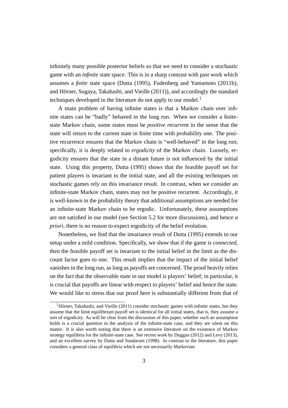infinitely many possible posterior beliefs so that we need to consider a stochastic game with an *infinite* state space. This is in a sharp contrast with past work which assumes a *finite* state space (Dutta (1995), Fudenberg and Yamamoto (2011b), and Hörner, Sugaya, Takahashi, and Vieille (2011)), and accordingly the standard techniques developed in the literature do not apply to our model.<sup>1</sup>

A main problem of having infinite states is that a Markov chain over infinite states can be "badly" behaved in the long run. When we consider a finitestate Markov chain, some states must be *positive recurrent* in the sense that the state will return to the current state in finite time with probability one. The positive recurrence ensures that the Markov chain is "well-behaved" in the long run; specifically, it is deeply related to *ergodicity* of the Markov chain. Loosely, ergodicity ensures that the state in a distant future is not influenced by the initial state. Using this property, Dutta (1995) shows that the feasible payoff set for patient players is invariant to the initial state, and all the existing techniques on stochastic games rely on this invariance result. In contrast, when we consider an infinite-state Markov chain, states may not be positive recurrent. Accordingly, it is well-known in the probability theory that additional assumptions are needed for an infinite-state Markov chain to be ergodic. Unfortunately, these assumptions are not satisfied in our model (see Section 5.2 for more discussions), and hence *a priori*, there is no reason to expect ergodicity of the belief evolution.

Nonetheless, we find that the invariance result of Dutta (1995) extends to our setup under a mild condition. Specifically, we show that if the game is *connected*, then the feasible payoff set is invariant to the initial belief in the limit as the discount factor goes to one. This result implies that the impact of the initial belief vanishes in the long run, as long as payoffs are concerned. The proof heavily relies on the fact that the observable state in our model is players' belief; in particular, it is crucial that payoffs are linear with respect to players' belief and hence the state. We would like to stress that our proof here is substantially different from that of

 $<sup>1</sup>$ Hörner, Takahashi, and Vieille (2011) consider stochastic games with infinite states, but they</sup> assume that the limit equilibrium payoff set is identical for all initial states, that is, they assume a sort of ergodicity. As will be clear from the discussion of this paper, whether such an assumption holds is a crucial question in the analysis of the infinite-state case, and they are silent on this matter. It is also worth noting that there is an extensive literature on the existence of Markov strategy equilibria for the infinite-state case. See recent work by Duggan (2012) and Levy (2013), and an excellent survey by Dutta and Sundaram (1998). In contrast to the literature, this paper considers a general class of equilibria which are not necessarily Markovian.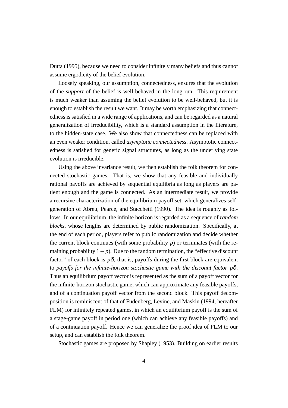Dutta (1995), because we need to consider infinitely many beliefs and thus cannot assume ergodicity of the belief evolution.

Loosely speaking, our assumption, connectedness, ensures that the evolution of the *support* of the belief is well-behaved in the long run. This requirement is much weaker than assuming the belief evolution to be well-behaved, but it is enough to establish the result we want. It may be worth emphasizing that connectedness is satisfied in a wide range of applications, and can be regarded as a natural generalization of irreducibility, which is a standard assumption in the literature, to the hidden-state case. We also show that connectedness can be replaced with an even weaker condition, called *asymptotic connectedness*. Asymptotic connectedness is satisfied for generic signal structures, as long as the underlying state evolution is irreducible.

Using the above invariance result, we then establish the folk theorem for connected stochastic games. That is, we show that any feasible and individually rational payoffs are achieved by sequential equilibria as long as players are patient enough and the game is connected. As an intermediate result, we provide a recursive characterization of the equilibrium payoff set, which generalizes selfgeneration of Abreu, Pearce, and Stacchetti (1990). The idea is roughly as follows. In our equilibrium, the infinite horizon is regarded as a sequence of *random blocks*, whose lengths are determined by public randomization. Specifically, at the end of each period, players refer to public randomization and decide whether the current block continues (with some probability  $p$ ) or terminates (with the remaining probability 1*− p*). Due to the random termination, the "effective discount factor" of each block is  $p\delta$ , that is, payoffs during the first block are equivalent to *payoffs for the infinite-horizon stochastic game with the discount factor p*δ. Thus an equilibrium payoff vector is represented as the sum of a payoff vector for the infinite-horizon stochastic game, which can approximate any feasible payoffs, and of a continuation payoff vector from the second block. This payoff decomposition is reminiscent of that of Fudenberg, Levine, and Maskin (1994, hereafter FLM) for infinitely repeated games, in which an equilibrium payoff is the sum of a stage-game payoff in period one (which can achieve any feasible payoffs) and of a continuation payoff. Hence we can generalize the proof idea of FLM to our setup, and can establish the folk theorem.

Stochastic games are proposed by Shapley (1953). Building on earlier results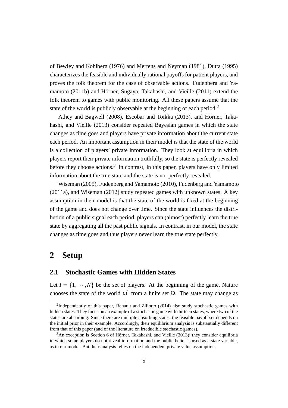of Bewley and Kohlberg (1976) and Mertens and Neyman (1981), Dutta (1995) characterizes the feasible and individually rational payoffs for patient players, and proves the folk theorem for the case of observable actions. Fudenberg and Yamamoto (2011b) and Hörner, Sugaya, Takahashi, and Vieille (2011) extend the folk theorem to games with public monitoring. All these papers assume that the state of the world is publicly observable at the beginning of each period.<sup>2</sup>

Athey and Bagwell (2008), Escobar and Toikka (2013), and Hörner, Takahashi, and Vieille (2013) consider repeated Bayesian games in which the state changes as time goes and players have private information about the current state each period. An important assumption in their model is that the state of the world is a collection of players' private information. They look at equilibria in which players report their private information truthfully, so the state is perfectly revealed before they choose actions.<sup>3</sup> In contrast, in this paper, players have only limited information about the true state and the state is not perfectly revealed.

Wiseman (2005), Fudenberg and Yamamoto (2010), Fudenberg and Yamamoto (2011a), and Wiseman (2012) study repeated games with unknown states. A key assumption in their model is that the state of the world is fixed at the beginning of the game and does not change over time. Since the state influences the distribution of a public signal each period, players can (almost) perfectly learn the true state by aggregating all the past public signals. In contrast, in our model, the state changes as time goes and thus players never learn the true state perfectly.

## **2 Setup**

#### **2.1 Stochastic Games with Hidden States**

Let  $I = \{1, \dots, N\}$  be the set of players. At the beginning of the game, Nature chooses the state of the world  $\omega^1$  from a finite set  $\Omega$ . The state may change as

<sup>&</sup>lt;sup>2</sup>Independently of this paper, Renault and Ziliotto (2014) also study stochastic games with hidden states. They focus on an example of a stochastic game with thirteen states, where two of the states are absorbing. Since there are multiple absorbing states, the feasible payoff set depends on the initial prior in their example. Accordingly, their equilibrium analysis is substantially different from that of this paper (and of the literature on irreducible stochastic games).

 $3$ An exception is Section 6 of Hörner, Takahashi, and Vieille (2013); they consider equilibria in which some players do not reveal information and the public belief is used as a state variable, as in our model. But their analysis relies on the independent private value assumption.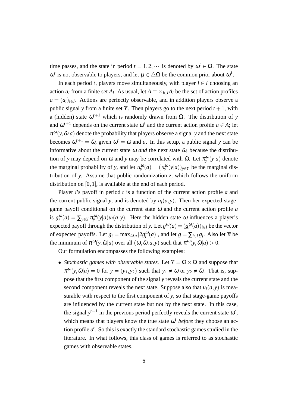time passes, and the state in period  $t = 1, 2, \cdots$  is denoted by  $\omega^t \in \Omega$ . The state  $ω<sup>t</sup>$  is not observable to players, and let  $μ ∈ ΔΩ$  be the common prior about  $ω<sup>1</sup>$ .

In each period *t*, players move simultaneously, with player  $i \in I$  choosing an action  $a_i$  from a finite set  $A_i$ . As usual, let  $A \equiv \times_{i \in I} A_i$  be the set of action profiles *a* = (*ai*)*i∈<sup>I</sup>* . Actions are perfectly observable, and in addition players observe a public signal *y* from a finite set *Y*. Then players go to the next period  $t + 1$ , with a (hidden) state  $\omega^{t+1}$  which is randomly drawn from  $\Omega$ . The distribution of *y* and  $\omega^{t+1}$  depends on the current state  $\omega^t$  and the current action profile  $a \in A$ ; let  $\pi^{\omega}(y, \tilde{\omega}|a)$  denote the probability that players observe a signal y and the next state becomes  $\omega^{t+1} = \tilde{\omega}$ , given  $\omega^t = \omega$  and *a*. In this setup, a public signal *y* can be informative about the current state  $\omega$  *and* the next state  $\tilde{\omega}$ , because the distribution of *y* may depend on  $\omega$  and *y* may be correlated with  $\tilde{\omega}$ . Let  $\pi_y^{\omega}(y|a)$  denote the marginal probability of *y*, and let  $\pi_y^{\omega}(a) = (\pi_y^{\omega}(y|a))_{y \in Y}$  be the marginal distribution of *y*. Assume that public randomization *z*, which follows the uniform distribution on [0*,*1], is available at the end of each period.

Player *i*'s payoff in period *t* is a function of the current action profile *a* and the current public signal *y*, and is denoted by  $u_i(a, y)$ . Then her expected stagegame payoff conditional on the current state <sup>ω</sup> and the current action profile *a* is  $g_i^{\omega}(a) = \sum_{y \in Y} \pi_y^{\omega}(y|a) u_i(a, y)$ . Here the hidden state  $\omega$  influences a player's expected payoff through the distribution of *y*. Let  $g^{\omega}(a) = (g_i^{\omega}(a))_{i \in I}$  be the vector of expected payoffs. Let  $\overline{g}_i = \max_{\omega, a} |2g_i^{\omega}(a)|$ , and let  $\overline{g} = \sum_{i \in I} \overline{g}_i$ . Also let  $\overline{\pi}$  be the minimum of  $\pi^{\omega}(y, \tilde{\omega}|a)$  over all  $(\omega, \tilde{\omega}, a, y)$  such that  $\pi^{\omega}(y, \tilde{\omega}|a) > 0$ .

Our formulation encompasses the following examples:

• *Stochastic games with observable states.* Let  $Y = \Omega \times \Omega$  and suppose that  $\pi^{\omega}(y, \tilde{\omega}|a) = 0$  for  $y = (y_1, y_2)$  such that  $y_1 \neq \omega$  or  $y_2 \neq \tilde{\omega}$ . That is, suppose that the first component of the signal *y* reveals the current state and the second component reveals the next state. Suppose also that  $u_i(a, y)$  is measurable with respect to the first component of *y*, so that stage-game payoffs are influenced by the current state but not by the next state. In this case, the signal  $y^{t-1}$  in the previous period perfectly reveals the current state  $\omega^t$ , which means that players know the true state  $\omega^t$  *before* they choose an action profile  $a^t$ . So this is exactly the standard stochastic games studied in the literature. In what follows, this class of games is referred to as stochastic games with observable states.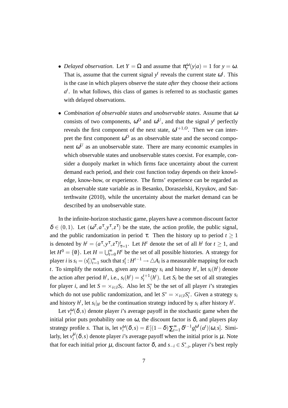- *Delayed observation.* Let  $Y = \Omega$  and assume that  $\pi_y^{\omega}(y|a) = 1$  for  $y = \omega$ . That is, assume that the current signal  $y<sup>t</sup>$  reveals the current state  $\omega<sup>t</sup>$ . This is the case in which players observe the state *after* they choose their actions  $a<sup>t</sup>$ . In what follows, this class of games is referred to as stochastic games with delayed observations.
- *• Combination of observable states and unobservable states*. Assume that <sup>ω</sup> consists of two components,  $\omega^O$  and  $\omega^U$ , and that the signal  $y^t$  perfectly reveals the first component of the next state,  $\omega^{t+1,0}$ . Then we can interpret the first component  $\omega^O$  as an observable state and the second component  $\omega^U$  as an unobservable state. There are many economic examples in which observable states and unobservable states coexist. For example, consider a duopoly market in which firms face uncertainty about the current demand each period, and their cost function today depends on their knowledge, know-how, or experience. The firms' experience can be regarded as an observable state variable as in Besanko, Doraszelski, Kryukov, and Satterthwaite (2010), while the uncertainty about the market demand can be described by an unobservable state.

In the infinite-horizon stochastic game, players have a common discount factor  $\delta \in (0,1)$ . Let  $(\omega^{\tau}, a^{\tau}, y^{\tau}, z^{\tau})$  be the state, the action profile, the public signal, and the public randomization in period  $\tau$ . Then the history up to period  $t \geq 1$ is denoted by  $h^t = (a^{\tau}, y^{\tau}, z^{\tau})_{\tau=1}^t$ . Let  $H^t$  denote the set of all  $h^t$  for  $t \ge 1$ , and let  $H^0 = \{0\}$ . Let  $H = \bigcup_{t=0}^{\infty} H^t$  be the set of all possible histories. A strategy for player *i* is  $s_i = (s_i^t)_{t=1}^\infty$  such that  $s_i^t : H^{t-1} \to \triangle A_i$  is a measurable mapping for each *t*. To simplify the notation, given any strategy  $s_i$  and history  $h^t$ , let  $s_i(h^t)$  denote the action after period  $h^t$ , i.e.,  $s_i(h^t) = s_i^{t+1}$  $i_i^{t+1}(h^t)$ . Let  $S_i$  be the set of all strategies for player *i*, and let  $S = \times_{i \in I} S_i$ . Also let  $S_i^*$  be the set of all player *i*'s strategies which do not use public randomization, and let  $S^* = \times_{i \in I} S_i^*$ . Given a strategy  $s_i$ and history  $h^t$ , let  $s_i|_{h^t}$  be the continuation strategy induced by  $s_i$  after history  $h^t$ .

Let  $v_i^{\omega}(\delta, s)$  denote player *i*'s average payoff in the stochastic game when the initial prior puts probability one on  $\omega$ , the discount factor is  $\delta$ , and players play strategy profile *s*. That is, let  $v_i^{\omega}(\delta, s) = E[(1 - \delta)\sum_{t=1}^{\infty} \delta^{t-1}g_i^{\omega^t}]$  $\int_{i}^{\omega^{t}}(a^{t})|\omega,s]$ . Similarly, let  $v_i^{\mu}(\delta, s)$  denote player *i*'s average payoff when the initial prior is  $\mu$ . Note that for each initial prior  $\mu$ , discount factor  $\delta$ , and  $s_{-i} \in S^*_{-i}$ , player *i*'s best reply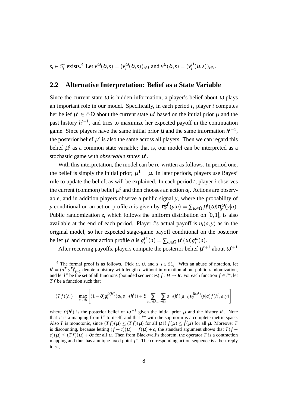$s_i \in S_i^*$  exists.<sup>4</sup> Let  $v^{\omega}(\delta, s) = (v_i^{\omega}(\delta, s))_{i \in I}$  and  $v^{\mu}(\delta, s) = (v_i^{\mu}(\delta, s))_{i \in I}$ .

#### **2.2 Alternative Interpretation: Belief as a State Variable**

Since the current state  $\omega$  is hidden information, a player's belief about  $\omega$  plays an important role in our model. Specifically, in each period *t*, player *i* computes her belief  $\mu^t \in \Delta\Omega$  about the current state  $\omega^t$  based on the initial prior  $\mu$  and the past history  $h^{t-1}$ , and tries to maximize her expected payoff in the continuation game. Since players have the same initial prior  $\mu$  and the same information  $h^{t-1}$ , the posterior belief  $\mu^t$  is also the same across all players. Then we can regard this belief  $\mu^t$  as a common state variable; that is, our model can be interpreted as a stochastic game with *observable states*  $\mu^t$ .

With this interpretation, the model can be re-written as follows. In period one, the belief is simply the initial prior;  $\mu^1 = \mu$ . In later periods, players use Bayes' rule to update the belief, as will be explained. In each period *t*, player *i* observes the current (common) belief  $\mu^t$  and then chooses an action  $a_i$ . Actions are observable, and in addition players observe a public signal *y*, where the probability of *y* conditional on an action profile *a* is given by  $\pi_y^{\mu'}(y|a) = \sum_{\omega \in \Omega} \mu^t(\omega) \pi_y^{\omega}(y|a)$ . Public randomization *z*, which follows the uniform distribution on [0*,*1], is also available at the end of each period. Player *i*'s actual payoff is  $u_i(a, y)$  as in the original model, so her expected stage-game payoff conditional on the posterior belief  $\mu^t$  and current action profile *a* is  $g_i^{\mu^t}$  $\mu^{i}(a) = \sum_{\omega \in \Omega} \mu^{i}(\omega) g_{i}^{\omega}(a).$ 

After receiving payoffs, players compute the posterior belief  $\mu^{t+1}$  about  $\omega^{t+1}$ 

$$
(Tf)(h') = \max_{a_i \in A_i} \left[ (1 - \delta) g_i^{\tilde{\mu}(h')} (a_i, s_{-i}(h')) + \delta \sum_{a_{-i} \in A_{-i}} \sum_{y \in Y} s_{-i}(h') [a_{-i}] \pi_y^{\tilde{\mu}(h')} (y|a) f(h', a, y) \right]
$$

<sup>&</sup>lt;sup>4</sup> The formal proof is as follows. Pick  $\mu$ ,  $\delta$ , and  $s_{-i} \in S^*_{-i}$ . With an abuse of notation, let  $h^t = (a^{\tau}, y^{\tau})_{\tau=1}^t$  denote a history with length *t* without information about public randomization, and let  $l^{\infty}$  be the set of all functions (bounded sequences)  $f : H \to \mathbb{R}$ . For each function  $f \in l^{\infty}$ , let *T f* be a function such that

where  $\tilde{\mu}(h^t)$  is the posterior belief of  $\omega^{t+1}$  given the initial prior  $\mu$  and the history  $h^t$ . Note that *T* is a mapping from  $l^{\infty}$  to itself, and that  $l^{\infty}$  with the sup norm is a complete metric space. Also *T* is monotonic, since  $(Tf)(\mu) \leq (T\hat{f})(\mu)$  for all  $\mu$  if  $f(\mu) \leq \hat{f}(\mu)$  for all  $\mu$ . Moreover *T* is discounting, because letting  $(f + c)(\mu) = f(\mu) + c$ , the standard argument shows that  $T(f + c)$  $c(\mu) \leq (Tf)(\mu) + \delta c$  for all  $\mu$ . Then from Blackwell's theorem, the operator *T* is a contraction mapping and thus has a unique fixed point *f ∗* . The corresponding action sequence is a best reply to *s−<sup>i</sup>* .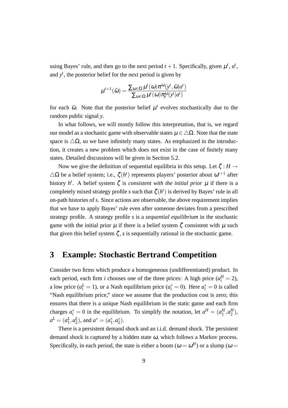using Bayes' rule, and then go to the next period  $t + 1$ . Specifically, given  $\mu^t$ ,  $a^t$ , and  $y<sup>t</sup>$ , the posterior belief for the next period is given by

$$
\mu^{t+1}(\tilde{\omega}) = \frac{\sum_{\omega \in \Omega} \mu^t(\omega) \pi^{\omega}(y^t, \tilde{\omega}|a^t)}{\sum_{\omega \in \Omega} \mu^t(\omega) \pi^{\omega}(y^t|a^t)}
$$

for each  $\tilde{\omega}$ . Note that the posterior belief  $\mu^t$  evolves stochastically due to the random public signal *y*.

In what follows, we will mostly follow this interpretation, that is, we regard our model as a stochastic game with observable states  $\mu \in \Delta\Omega$ . Note that the state space is  $\Delta\Omega$ , so we have infinitely many states. As emphasized in the introduction, it creates a new problem which does not exist in the case of finitely many states. Detailed discussions will be given in Section 5.2.

Now we give the definition of sequential equilibria in this setup. Let  $\zeta : H \to$  $\triangle$ Ω be a belief system; i.e.,  $\zeta$ (*h<sup>t</sup>*) represents players' posterior about  $ω^{t+1}$  after history  $h^t$ . A belief system  $\zeta$  is *consistent with the initial prior*  $\mu$  if there is a completely mixed strategy profile *s* such that  $\zeta(h^t)$  is derived by Bayes' rule in all on-path histories of *s*. Since actions are observable, the above requirement implies that we have to apply Bayes' rule even after someone deviates from a prescribed strategy profile. A strategy profile *s* is a *sequential equilibrium* in the stochastic game with the initial prior  $\mu$  if there is a belief system  $\zeta$  consistent with  $\mu$  such that given this belief system  $\zeta$ , *s* is sequentially rational in the stochastic game.

## **3 Example: Stochastic Bertrand Competition**

Consider two firms which produce a homogeneous (undifferentiated) product. In each period, each firm *i* chooses one of the three prices: A high price  $(a_i^H = 2)$ , a low price ( $a_i^L = 1$ ), or a Nash equilibrium price ( $a_i^* = 0$ ). Here  $a_i^* = 0$  is called "Nash equilibrium price," since we assume that the production cost is zero; this ensures that there is a unique Nash equilibrium in the static game and each firm charges  $a_i^* = 0$  in the equilibrium. To simplify the notation, let  $a^H = (a_1^H, a_2^H)$ ,  $a^L = (a_1^L, a_2^L)$ , and  $a^* = (a_1^*, a_2^*)$ .

There is a persistent demand shock and an i.i.d. demand shock. The persistent demand shock is captured by a hidden state  $\omega$ , which follows a Markov process. Specifically, in each period, the state is either a boom ( $\omega = \omega^H$ ) or a slump ( $\omega =$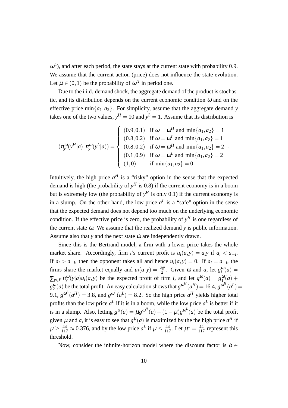$\omega^L$ ), and after each period, the state stays at the current state with probability 0.9. We assume that the current action (price) does not influence the state evolution. Let  $\mu \in (0,1)$  be the probability of  $\omega^H$  in period one.

Due to the i.i.d. demand shock, the aggregate demand of the product is stochastic, and its distribution depends on the current economic condition  $\omega$  and on the effective price min $\{a_1, a_2\}$ . For simplicity, assume that the aggregate demand *y* takes one of the two values,  $y^H = 10$  and  $y^L = 1$ . Assume that its distribution is

$$
(\pi_{y}^{\omega}(y^{H}|a), \pi_{y}^{\omega}(y^{L}|a)) = \begin{cases} (0.9, 0.1) & \text{if } \omega = \omega^{H} \text{ and } \min\{a_{1}, a_{2}\} = 1 \\ (0.8, 0.2) & \text{if } \omega = \omega^{L} \text{ and } \min\{a_{1}, a_{2}\} = 1 \\ (0.8, 0.2) & \text{if } \omega = \omega^{H} \text{ and } \min\{a_{1}, a_{2}\} = 2 \\ (0.1, 0.9) & \text{if } \omega = \omega^{L} \text{ and } \min\{a_{1}, a_{2}\} = 2 \\ (1, 0) & \text{if } \min\{a_{1}, a_{2}\} = 0 \end{cases}.
$$

Intuitively, the high price  $a^H$  is a "risky" option in the sense that the expected demand is high (the probability of  $y<sup>H</sup>$  is 0.8) if the current economy is in a boom but is extremely low (the probability of  $y<sup>H</sup>$  is only 0.1) if the current economy is in a slump. On the other hand, the low price  $a<sup>L</sup>$  is a "safe" option in the sense that the expected demand does not depend too much on the underlying economic condition. If the effective price is zero, the probability of  $y<sup>H</sup>$  is one regardless of the current state  $\omega$ . We assume that the realized demand  $y$  is public information. Assume also that *y* and the next state  $\tilde{\omega}$  are independently drawn.

Since this is the Bertrand model, a firm with a lower price takes the whole market share. Accordingly, firm *i*'s current profit is  $u_i(a, y) = a_i y$  if  $a_i < a_{-i}$ . If  $a_i > a_{-i}$ , then the opponent takes all and hence  $u_i(a, y) = 0$ . If  $a_i = a_{-i}$ , the firms share the market equally and  $u_i(a, y) = \frac{a_i y}{2}$ . Given  $\omega$  and  $a$ , let  $g_i^{\omega}(a) =$  $\sum_{y \in Y} \pi_y^{\omega}(y|a)u_i(a, y)$  be the expected profit of firm *i*, and let  $g^{\omega}(a) = g_1^{\omega}(a) +$  $g_2^{\omega}(a)$  be the total profit. An easy calculation shows that  $g^{\omega^H}(a^H) = 16.4$ ,  $g^{\omega^H}(a^L) =$ 9.1,  $g^{\omega^L}(a^H) = 3.8$ , and  $g^{\omega^L}(a^L) = 8.2$ . So the high price  $a^H$  yields higher total profits than the low price  $a^L$  if it is in a boom, while the low price  $a^L$  is better if it is in a slump. Also, letting  $g^{\mu}(a) = \mu g^{\omega^H}(a) + (1 - \mu)g^{\omega^L}(a)$  be the total profit given  $\mu$  and  $a$ , it is easy to see that  $g^{\mu}(a)$  is maximized by the the high price  $a^H$  if  $\mu \ge \frac{44}{117} \approx 0.376$ , and by the low price  $a^L$  if  $\mu \le \frac{44}{117}$ . Let  $\mu^* = \frac{44}{117}$  represent this threshold.

Now, consider the infinite-horizon model where the discount factor is  $\delta \in$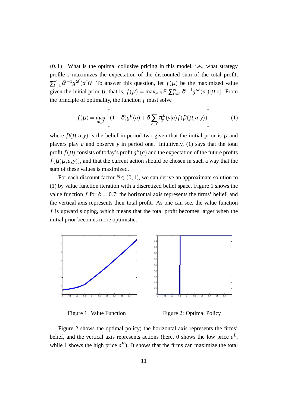(0*,*1). What is the optimal collusive pricing in this model, i.e., what strategy profile *s* maximizes the expectation of the discounted sum of the total profit,  $\sum_{t=1}^{\infty} \delta^{t-1} g^{\omega^t}(a^t)$ ? To answer this question, let  $f(\mu)$  be the maximized value given the initial prior  $\mu$ , that is,  $f(\mu) = \max_{s \in S} E[\sum_{\delta}^{\infty}$  $\int_{\delta=1}^{\infty} \delta^{t-1} g^{\omega^t}(a^t) | \mu, s].$  From the principle of optimality, the function *f* must solve

$$
f(\mu) = \max_{a \in A} \left[ (1 - \delta) g^{\mu}(a) + \delta \sum_{y \in Y} \pi_y^{\mu}(y|a) f(\tilde{\mu}(\mu, a, y)) \right]
$$
 (1)

where  $\tilde{\mu}(\mu, a, y)$  is the belief in period two given that the initial prior is  $\mu$  and players play *a* and observe *y* in period one. Intuitively, (1) says that the total profit  $f(\mu)$  consists of today's profit  $g^{\mu}(a)$  and the expectation of the future profits  $f(\tilde{\mu}(\mu,a,y))$ , and that the current action should be chosen in such a way that the sum of these values is maximized.

For each discount factor  $\delta \in (0,1)$ , we can derive an approximate solution to (1) by value function iteration with a discretized belief space. Figure 1 shows the value function *f* for  $\delta = 0.7$ ; the horizontal axis represents the firms' belief, and the vertical axis represents their total profit. As one can see, the value function *f* is upward sloping, which means that the total profit becomes larger when the initial prior becomes more optimistic.





Figure 2 shows the optimal policy; the horizontal axis represents the firms' belief, and the vertical axis represents actions (here, 0 shows the low price  $a^L$ , while 1 shows the high price  $a^H$ ). It shows that the firms can maximize the total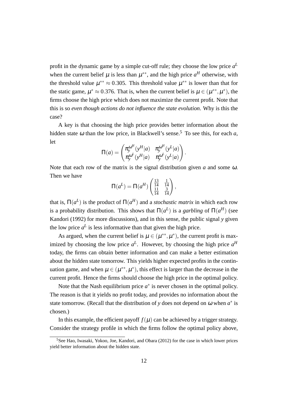profit in the dynamic game by a simple cut-off rule; they choose the low price *a L* when the current belief  $\mu$  is less than  $\mu^{**}$ , and the high price  $a^H$  otherwise, with the threshold value  $\mu^{**} \approx 0.305$ . This threshold value  $\mu^{**}$  is lower than that for the static game,  $\mu^* \approx 0.376$ . That is, when the current belief is  $\mu \in (\mu^{**}, \mu^*)$ , the firms choose the high price which does not maximize the current profit. Note that this is so *even though actions do not influence the state evolution*. Why is this the case?

A key is that choosing the high price provides better information about the hidden state  $\omega$  than the low price, in Blackwell's sense.<sup>5</sup> To see this, for each  $a$ , let

$$
\Pi(a) = \begin{pmatrix} \pi_y^{\omega^H}(y^H|a) & \pi_y^{\omega^H}(y^L|a) \\ \pi_y^{\omega^L}(y^H|a) & \pi_y^{\omega^L}(y^L|a) \end{pmatrix}.
$$

Note that each row of the matrix is the signal distribution given *a* and some <sup>ω</sup>. Then we have

$$
\Pi(a^{L}) = \Pi(a^{H}) \begin{pmatrix} \frac{13}{14} & \frac{1}{14} \\ \frac{11}{14} & \frac{3}{14} \end{pmatrix},
$$

that is,  $\Pi(a^L)$  is the product of  $\Pi(a^H)$  and a *stochastic matrix* in which each row is a probability distribution. This shows that  $\Pi(a^L)$  is a *garbling* of  $\Pi(a^H)$  (see Kandori (1992) for more discussions), and in this sense, the public signal *y* given the low price  $a^L$  is less informative than that given the high price.

As argued, when the current belief is  $\mu \in (\mu^{**}, \mu^*)$ , the current profit is maximized by choosing the low price  $a^L$ . However, by choosing the high price  $a^H$ today, the firms can obtain better information and can make a better estimation about the hidden state tomorrow. This yields higher expected profits in the continuation game, and when  $\mu \in (\mu^{**}, \mu^*)$ , this effect is larger than the decrease in the current profit. Hence the firms should choose the high price in the optimal policy.

Note that the Nash equilibrium price  $a^*$  is never chosen in the optimal policy. The reason is that it yields no profit today, and provides no information about the state tomorrow. (Recall that the distribution of *y* does not depend on  $\omega$  when  $a^*$  is chosen.)

In this example, the efficient payoff  $f(\mu)$  can be achieved by a trigger strategy. Consider the strategy profile in which the firms follow the optimal policy above,

 ${}^{5}$ See Hao, Iwasaki, Yokoo, Joe, Kandori, and Obara (2012) for the case in which lower prices yield better information about the hidden state.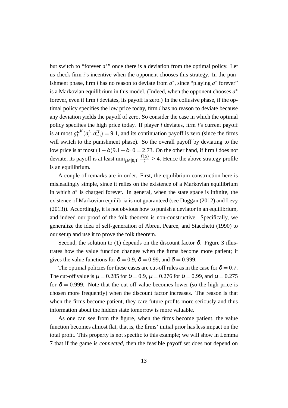but switch to "forever  $a^*$ " once there is a deviation from the optimal policy. Let us check firm *i*'s incentive when the opponent chooses this strategy. In the punishment phase, firm *i* has no reason to deviate from  $a^*$ , since "playing  $a^*$  forever" is a Markovian equilibrium in this model. (Indeed, when the opponent chooses *a ∗* forever, even if firm *i* deviates, its payoff is zero.) In the collusive phase, if the optimal policy specifies the low price today, firm *i* has no reason to deviate because any deviation yields the payoff of zero. So consider the case in which the optimal policy specifies the high price today. If player *i* deviates, firm *i*'s current payoff is at most  $g_i^{\omega^H}$  $\int_{i}^{\omega^H} (a_i^L, a_{-i}^H) = 9.1$ , and its continuation payoff is zero (since the firms will switch to the punishment phase). So the overall payoff by deviating to the low price is at most  $(1 - \delta)9.1 + \delta \cdot 0 = 2.73$ . On the other hand, if firm *i* does not deviate, its payoff is at least  $\min_{\mu \in [0,1]} \frac{f(\mu)}{2} \ge 4$ . Hence the above strategy profile is an equilibrium.

A couple of remarks are in order. First, the equilibrium construction here is misleadingly simple, since it relies on the existence of a Markovian equilibrium in which  $a^*$  is charged forever. In general, when the state space is infinite, the existence of Markovian equilibria is not guaranteed (see Duggan (2012) and Levy (2013)). Accordingly, it is not obvious how to punish a deviator in an equilibrium, and indeed our proof of the folk theorem is non-constructive. Specifically, we generalize the idea of self-generation of Abreu, Pearce, and Stacchetti (1990) to our setup and use it to prove the folk theorem.

Second, the solution to (1) depends on the discount factor  $\delta$ . Figure 3 illustrates how the value function changes when the firms become more patient; it gives the value functions for  $\delta = 0.9$ ,  $\delta = 0.99$ , and  $\delta = 0.999$ .

The optimal policies for these cases are cut-off rules as in the case for  $\delta = 0.7$ . The cut-off value is  $\mu = 0.285$  for  $\delta = 0.9$ ,  $\mu = 0.276$  for  $\delta = 0.99$ , and  $\mu = 0.275$ for  $\delta = 0.999$ . Note that the cut-off value becomes lower (so the high price is chosen more frequently) when the discount factor increases. The reason is that when the firms become patient, they care future profits more seriously and thus information about the hidden state tomorrow is more valuable.

As one can see from the figure, when the firms become patient, the value function becomes almost flat, that is, the firms' initial prior has less impact on the total profit. This property is not specific to this example; we will show in Lemma 7 that if the game is *connected*, then the feasible payoff set does not depend on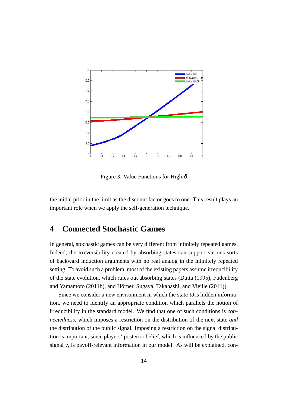

Figure 3: Value Functions for High  $\delta$ 

the initial prior in the limit as the discount factor goes to one. This result plays an important role when we apply the self-generation technique.

## **4 Connected Stochastic Games**

In general, stochastic games can be very different from infinitely repeated games. Indeed, the irreversibility created by absorbing states can support various sorts of backward induction arguments with no real analog in the infinitely repeated setting. To avoid such a problem, most of the existing papers assume irreducibility of the state evolution, which rules out absorbing states (Dutta (1995), Fudenberg and Yamamoto (2011b), and Hörner, Sugaya, Takahashi, and Vieille (2011)).

Since we consider a new environment in which the state  $\omega$  is hidden information, we need to identify an appropriate condition which parallels the notion of irreducibility in the standard model. We find that one of such conditions is *connectedness*, which imposes a restriction on the distribution of the next state *and* the distribution of the public signal. Imposing a restriction on the signal distribution is important, since players' posterior belief, which is influenced by the public signal *y*, is payoff-relevant information in our model. As will be explained, con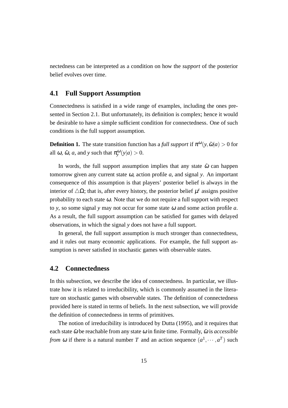nectedness can be interpreted as a condition on how the *support* of the posterior belief evolves over time.

#### **4.1 Full Support Assumption**

Connectedness is satisfied in a wide range of examples, including the ones presented in Section 2.1. But unfortunately, its definition is complex; hence it would be desirable to have a simple sufficient condition for connectedness. One of such conditions is the full support assumption.

**Definition 1.** The state transition function has a *full support* if  $\pi^{\omega}(y, \tilde{\omega}|a) > 0$  for all  $\omega$ ,  $\tilde{\omega}$ ,  $a$ , and  $y$  such that  $\pi_{y}^{\omega}(y|a) > 0$ .

In words, the full support assumption implies that any state  $\tilde{\omega}$  can happen tomorrow given any current state <sup>ω</sup>, action profile *a*, and signal *y*. An important consequence of this assumption is that players' posterior belief is always in the interior of  $\triangle \Omega$ ; that is, after every history, the posterior belief  $\mu^t$  assigns positive probability to each state  $\omega$ . Note that we do not require a full support with respect to *y*, so some signal *y* may not occur for some state <sup>ω</sup> and some action profile *a*. As a result, the full support assumption can be satisfied for games with delayed observations, in which the signal *y* does not have a full support.

In general, the full support assumption is much stronger than connectedness, and it rules out many economic applications. For example, the full support assumption is never satisfied in stochastic games with observable states.

#### **4.2 Connectedness**

In this subsection, we describe the idea of connectedness. In particular, we illustrate how it is related to irreducibility, which is commonly assumed in the literature on stochastic games with observable states. The definition of connectedness provided here is stated in terms of beliefs. In the next subsection, we will provide the definition of connectedness in terms of primitives.

The notion of irreducibility is introduced by Dutta (1995), and it requires that each state  $\tilde{\omega}$  be reachable from any state  $\omega$  in finite time. Formally,  $\tilde{\omega}$  is *accessible from*  $\omega$  if there is a natural number *T* and an action sequence  $(a^1, \dots, a^T)$  such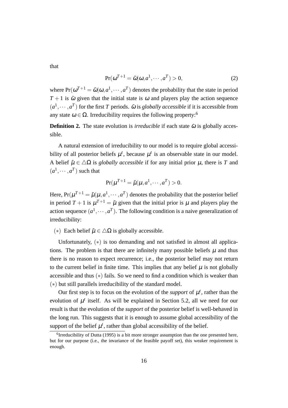that

$$
Pr(\omega^{T+1} = \tilde{\omega}|\omega, a^1, \cdots, a^T) > 0,
$$
\n(2)

where  $Pr(\omega^{T+1} = \tilde{\omega} | \omega, a^1, \dots, a^T)$  denotes the probability that the state in period  $T + 1$  is  $\tilde{\omega}$  given that the initial state is  $\omega$  and players play the action sequence  $(a^1, \dots, a^T)$  for the first *T* periods.  $\tilde{\omega}$  is *globally accessible* if it is accessible from any state  $\omega \in \Omega$ . Irreducibility requires the following property:<sup>6</sup>

**Definition 2.** The state evolution is *irreducible* if each state  $\tilde{\omega}$  is globally accessible.

A natural extension of irreducibility to our model is to require global accessibility of all posterior beliefs  $\mu^t$ , because  $\mu^t$  is an observable state in our model. A belief  $\tilde{\mu} \in \Delta \Omega$  is *globally accessible* if for any initial prior  $\mu$ , there is *T* and  $(a^1, \dots, a^T)$  such that

$$
Pr(\mu^{T+1} = \tilde{\mu} | \mu, a^1, \cdots, a^T) > 0.
$$

Here,  $Pr(\mu^{T+1} = \tilde{\mu} | \mu, a^1, \dots, a^T)$  denotes the probability that the posterior belief in period  $T + 1$  is  $\mu^{T+1} = \tilde{\mu}$  given that the initial prior is  $\mu$  and players play the action sequence  $(a^1, \dots, a^T)$ . The following condition is a naive generalization of irreducibility:

(\*) Each belief  $\tilde{\mu} \in \Delta \Omega$  is globally accessible.

Unfortunately, (*∗*) is too demanding and not satisfied in almost all applications. The problem is that there are infinitely many possible beliefs  $\mu$  and thus there is no reason to expect recurrence; i.e., the posterior belief may not return to the current belief in finite time. This implies that any belief  $\mu$  is not globally accessible and thus (*∗*) fails. So we need to find a condition which is weaker than (*∗*) but still parallels irreducibility of the standard model.

Our first step is to focus on the evolution of the *support* of  $\mu^{t}$ , rather than the evolution of  $\mu^t$  itself. As will be explained in Section 5.2, all we need for our result is that the evolution of the *support* of the posterior belief is well-behaved in the long run. This suggests that it is enough to assume global accessibility of the support of the belief  $\mu^t$ , rather than global accessibility of the belief.

 $<sup>6</sup>$ Irreducibility of Dutta (1995) is a bit more stronger assumption than the one presented here,</sup> but for our purpose (i.e., the invariance of the feasible payoff set), this weaker requirement is enough.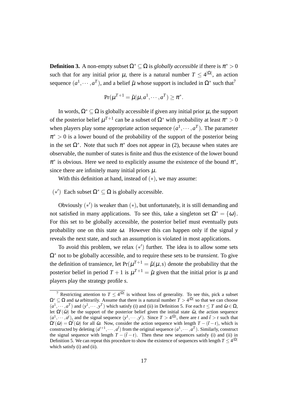**Definition 3.** A non-empty subset  $\Omega^* \subseteq \Omega$  is *globally accessible* if there is  $\pi^* > 0$ such that for any initial prior  $\mu$ , there is a natural number  $T \leq 4^{\vert \Omega \vert}$ , an action sequence  $(a^1, \dots, a^T)$ , and a belief  $\tilde{\mu}$  whose support is included in  $\Omega^*$  such that<sup>7</sup>

$$
\Pr(\mu^{T+1} = \tilde{\mu} | \mu, a^1, \cdots, a^T) \ge \pi^*.
$$

In words,  $\Omega^* \subseteq \Omega$  is globally accessible if given any initial prior  $\mu$ , the support of the posterior belief  $\mu^{T+1}$  can be a subset of  $\Omega^*$  with probability at least  $\pi^* > 0$ when players play some appropriate action sequence  $(a^1, \dots, a^T)$ . The parameter  $\pi^* > 0$  is a lower bound of the probability of the support of the posterior being in the set  $\Omega^*$ . Note that such  $\pi^*$  does not appear in (2), because when states are observable, the number of states is finite and thus the existence of the lower bound  $\pi^*$  is obvious. Here we need to explicitly assume the existence of the bound  $\pi^*$ , since there are infinitely many initial priors  $\mu$ .

With this definition at hand, instead of (*∗*), we may assume:

 $(∗')$  Each subset  $Ω<sup>*</sup> ⊆ Ω$  is globally accessible.

Obviously (*∗ ′* ) is weaker than (*∗*), but unfortunately, it is still demanding and not satisfied in many applications. To see this, take a singleton set  $\Omega^* = {\omega}$ . For this set to be globally accessible, the posterior belief must eventually puts probability one on this state <sup>ω</sup>. However this can happen only if the signal *y* reveals the next state, and such an assumption is violated in most applications.

To avoid this problem, we relax (*∗ ′* ) further. The idea is to allow some sets Ω*<sup>∗</sup>* not to be globally accessible, and to require these sets to be *transient*. To give the definition of transience, let  $Pr(\mu^{T+1} = \tilde{\mu} | \mu, s)$  denote the probability that the posterior belief in period  $T + 1$  is  $\mu^{T+1} = \tilde{\mu}$  given that the initial prior is  $\mu$  and players play the strategy profile *s*.

<sup>&</sup>lt;sup>7</sup> Restricting attention to  $T \leq 4^{|\Omega|}$  is without loss of generality. To see this, pick a subset  $\Omega^* \subseteq \Omega$  and  $\omega$  arbitrarily. Assume that there is a natural number  $T > 4^{|\Omega|}$  so that we can choose  $(a^1, \dots, a^T)$  and  $(y^1, \dots, y^T)$  which satisfy (i) and (ii) in Definition 5. For each  $t \leq T$  and  $\tilde{\omega} \in \Omega$ , let  $\Omega^t(\tilde{\omega})$  be the support of the posterior belief given the initial state  $\tilde{\omega}$ , the action sequence  $(a^1, \dots, a^t)$ , and the signal sequence  $(y^1, \dots, y^t)$ . Since  $T > 4^{|\Omega|}$ , there are t and  $\tilde{t} > t$  such that  $\Omega^t(\tilde{\omega}) = \Omega^{\tilde{t}}(\tilde{\omega})$  for all  $\tilde{\omega}$ . Now, consider the action sequence with length  $T - (\tilde{t} - t)$ , which is constructed by deleting  $(a^{t+1}, \dots, a^t)$  from the original sequence  $(a^1, \dots, a^T)$ . Similarly, construct the signal sequence with length  $T - (\tilde{t} - t)$ . Then these new sequences satisfy (i) and (ii) in Definition 5. We can repeat this procedure to show the existence of sequences with length  $T \leq 4^{|Ω|}$ which satisfy (i) and (ii).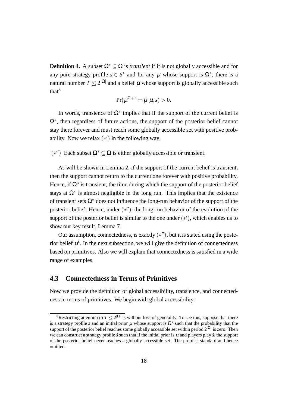**Definition 4.** A subset  $\Omega^* \subset \Omega$  is *transient* if it is not globally accessible and for any pure strategy profile  $s \in S^*$  and for any  $\mu$  whose support is  $\Omega^*$ , there is a natural number  $T \leq 2^{|\Omega|}$  and a belief  $\tilde{\mu}$  whose support is globally accessible such that<sup>8</sup>

$$
Pr(\mu^{T+1} = \tilde{\mu} | \mu, s) > 0.
$$

In words, transience of  $\Omega^*$  implies that if the support of the current belief is Ω*∗* , then regardless of future actions, the support of the posterior belief cannot stay there forever and must reach some globally accessible set with positive probability. Now we relax (*∗ ′* ) in the following way:

 $(*<sup>′′</sup>)$  Each subset Ω<sup>\*</sup> ⊆ Ω is either globally accessible or transient.

As will be shown in Lemma 2, if the support of the current belief is transient, then the support cannot return to the current one forever with positive probability. Hence, if  $\Omega^*$  is transient, the time during which the support of the posterior belief stays at  $\Omega^*$  is almost negligible in the long run. This implies that the existence of transient sets Ω*<sup>∗</sup>* does not influence the long-run behavior of the support of the posterior belief. Hence, under  $(*'')$ , the long-run behavior of the evolution of the support of the posterior belief is similar to the one under (*∗ ′* ), which enables us to show our key result, Lemma 7.

Our assumption, connectedness, is exactly (*∗ ′′*), but it is stated using the posterior belief  $\mu^t$ . In the next subsection, we will give the definition of connectedness based on primitives. Also we will explain that connectedness is satisfied in a wide range of examples.

#### **4.3 Connectedness in Terms of Primitives**

Now we provide the definition of global accessibility, transience, and connectedness in terms of primitives. We begin with global accessibility.

<sup>&</sup>lt;sup>8</sup>Restricting attention to  $T \leq 2^{|\Omega|}$  is without loss of generality. To see this, suppose that there is a strategy profile *s* and an initial prior  $\mu$  whose support is  $\Omega^*$  such that the probability that the support of the posterior belief reaches some globally accessible set within period 2*|*Ω*<sup>|</sup>* is zero. Then we can construct a strategy profile  $\tilde{s}$  such that if the initial prior is  $\mu$  and players play  $\tilde{s}$ , the support of the posterior belief never reaches a globally accessible set. The proof is standard and hence omitted.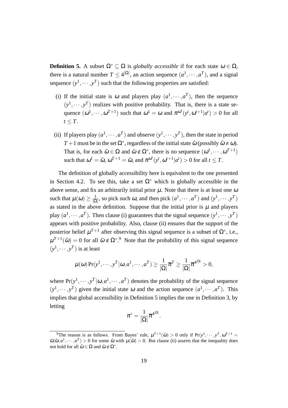**Definition 5.** A subset  $\Omega^* \subset \Omega$  is *globally accessible* if for each state  $\omega \in \Omega$ , there is a natural number  $T \leq 4^{|\Omega|}$ , an action sequence  $(a^1, \dots, a^T)$ , and a signal sequence  $(y^1, \dots, y^T)$  such that the following properties are satisfied:

- (i) If the initial state is  $\omega$  and players play  $(a^1, \dots, a^T)$ , then the sequence  $(y<sup>1</sup>, \dots, y<sup>T</sup>)$  realizes with positive probability. That is, there is a state sequence  $(\omega^1, \dots, \omega^{T+1})$  such that  $\omega^1 = \omega$  and  $\pi^{\omega^t}(y^t, \omega^{t+1} | a^t) > 0$  for all  $t \leq T$ .
- (ii) If players play  $(a^1, \dots, a^T)$  and observe  $(y^1, \dots, y^T)$ , then the state in period *T* + 1 must be in the set  $\Omega^*$ , regardless of the initial state  $\hat{\omega}$  (possibly  $\hat{\omega} \neq \omega$ ). That is, for each  $\hat{\omega} \in \Omega$  and  $\tilde{\omega} \notin \Omega^*$ , there is no sequence  $(\omega^1, \dots, \omega^{T+1})$ such that  $\omega^1 = \hat{\omega}, \, \omega^{T+1} = \tilde{\omega}, \text{ and } \pi^{\omega^t}(y^t, \omega^{t+1} | a^t) > 0 \text{ for all } t \leq T.$

The definition of globally accessibility here is equivalent to the one presented in Section 4.2. To see this, take a set  $\Omega^*$  which is globally accessible in the above sense, and fix an arbitrarily initial prior  $\mu$ . Note that there is at least one  $\omega$ such that  $\mu(\omega) \geq \frac{1}{10}$  $\frac{1}{|\Omega|}$ , so pick such  $\omega$ , and then pick  $(a^1, \dots, a^T)$  and  $(y^1, \dots, y^T)$ as stated in the above definition. Suppose that the initial prior is  $\mu$  and players play  $(a^1, \dots, a^T)$ . Then clause (i) guarantees that the signal sequence  $(y^1, \dots, y^T)$ appears with positive probability. Also, clause (ii) ensures that the support of the posterior belief  $\mu^{T+1}$  after observing this signal sequence is a subset of  $\Omega^*$ , i.e.,  $\mu^{T+1}(\tilde{\omega}) = 0$  for all  $\tilde{\omega} \notin \Omega^{*,9}$  Note that the probability of this signal sequence  $(y<sup>1</sup>, \cdots, y<sup>T</sup>)$  is at least

$$
\mu(\omega) \Pr(y^1, \cdots, y^T | \omega, a^1, \cdots, a^T) \ge \frac{1}{|\Omega|} \overline{\pi}^T \ge \frac{1}{|\Omega|} \overline{\pi}^{4^{|\Omega|}} > 0,
$$

where  $Pr(y^1, \dots, y^T | \omega, a^1, \dots, a^T)$  denotes the probability of the signal sequence  $(y<sup>1</sup>, \dots, y<sup>T</sup>)$  given the initial state  $\omega$  and the action sequence  $(a<sup>1</sup>, \dots, a<sup>T</sup>)$ . This implies that global accessibility in Definition 5 implies the one in Definition 3, by letting

$$
\pi^*=\frac{1}{|\Omega|}\overline{\pi}^{4^{|\Omega|}}.
$$

<sup>&</sup>lt;sup>9</sup>The reason is as follows. From Bayes' rule,  $\mu^{T+1}(\tilde{\omega}) > 0$  only if  $Pr(y^1, \dots, y^T, \omega^{T+1} =$  $\tilde{\omega}|\hat{\omega}, a^1, \dots, a^T$  > 0 for some  $\hat{\omega}$  with  $\mu(\hat{\omega})$  > 0. But clause (ii) asserts that the inequality does not hold for all  $\hat{\omega} \in \Omega$  and  $\tilde{\omega} \notin \Omega^*$ .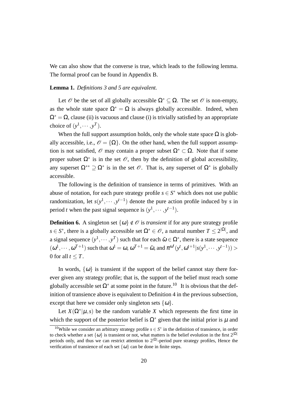We can also show that the converse is true, which leads to the following lemma. The formal proof can be found in Appendix B.

#### **Lemma 1.** *Definitions 3 and 5 are equivalent.*

Let  $\mathcal O$  be the set of all globally accessible  $\Omega^* \subset \Omega$ . The set  $\mathcal O$  is non-empty, as the whole state space  $\Omega^* = \Omega$  is always globally accessible. Indeed, when  $\Omega^* = \Omega$ , clause (ii) is vacuous and clause (i) is trivially satisfied by an appropriate choice of  $(y^1, \dots, y^T)$ .

When the full support assumption holds, only the whole state space  $\Omega$  is globally accessible, i.e.,  $\mathcal{O} = {\Omega}$ . On the other hand, when the full support assumption is not satisfied,  $\mathcal O$  may contain a proper subset  $\Omega^* \subset \Omega$ . Note that if some proper subset  $\Omega^*$  is in the set  $\mathcal O$ , then by the definition of global accessibility, any superset  $\Omega^{**} \supseteq \Omega^*$  is in the set  $\mathscr O$ . That is, any superset of  $\Omega^*$  is globally accessible.

The following is the definition of transience in terms of primitives. With an abuse of notation, for each pure strategy profile  $s \in S^*$  which does not use public randomization, let  $s(y^1, \dots, y^{t-1})$  denote the pure action profile induced by *s* in period *t* when the past signal sequence is  $(y<sup>1</sup>, \dots, y<sup>t-1</sup>)$ .

**Definition 6.** A singleton set  $\{\omega\} \notin \mathcal{O}$  is *transient* if for any pure strategy profile *s*  $\in$  *S*<sup>\*</sup>, there is a globally accessible set  $\Omega$ <sup>\*</sup>  $\in$  *O*, a natural number *T*  $\leq$  2<sup> $|\Omega|$ </sup>, and a signal sequence  $(y^1, \dots, y^T)$  such that for each  $\tilde{\omega} \in \Omega^*$ , there is a state sequence  $(\omega^1, \cdots, \omega^{T+1})$  such that  $\omega^1 = \omega$ ,  $\omega^{T+1} = \tilde{\omega}$ , and  $\pi^{\omega^t}(y^t, \omega^{t+1}|s(y^1, \cdots, y^{t-1}))$ 0 for all  $t \leq T$ .

In words,  $\{\omega\}$  is transient if the support of the belief cannot stay there forever given any strategy profile; that is, the support of the belief must reach some globally accessible set  $\Omega^*$  at some point in the future.<sup>10</sup> It is obvious that the definition of transience above is equivalent to Definition 4 in the previous subsection, except that here we consider only singleton sets  $\{\omega\}$ .

Let  $X(\Omega^*|\mu, s)$  be the random variable *X* which represents the first time in which the support of the posterior belief is  $\Omega^*$  given that the initial prior is  $\mu$  and

<sup>&</sup>lt;sup>10</sup>While we consider an arbitrary strategy profile  $s \in S^*$  in the definition of transience, in order to check whether a set  $\{\omega\}$  is transient or not, what matters is the belief evolution in the first  $2^{|\Omega|}$ periods only, and thus we can restrict attention to 2*|*Ω*<sup>|</sup>* -period pure strategy profiles, Hence the verification of transience of each set  $\{\omega\}$  can be done in finite steps.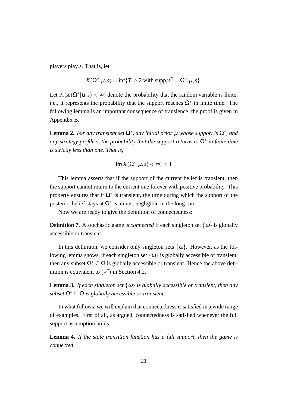players play *s*. That is, let

$$
X(\Omega^*|\mu, s) = \inf\{T \ge 2 \text{ with } \text{supp}\mu^T = \Omega^*|\mu, s\}.
$$

Let  $Pr(X(\Omega^* | \mu, s) < \infty)$  denote the probability that the random variable is finite; i.e., it represents the probability that the support reaches  $\Omega^*$  in finite time. The following lemma is an important consequence of transience; the proof is given in Appendix B.

**Lemma 2.** For any transient set  $\Omega^*$ , any initial prior  $\mu$  whose support is  $\Omega^*$ , and *any strategy profile s, the probability that the support returns to* Ω*<sup>∗</sup> in finite time is strictly less than one. That is,*

$$
\Pr(X(\Omega^*|\mu, s) < \infty) < 1
$$

This lemma asserts that if the support of the current belief is transient, then the support cannot return to the current one forever with positive probability. This property ensures that if  $\Omega^*$  is transient, the time during which the support of the posterior belief stays at  $\Omega^*$  is almost negligible in the long run.

Now we are ready to give the definition of connectedness:

**Definition 7.** A stochastic game is *connected* if each singleton set  $\{\omega\}$  is globally accessible or transient.

In this definition, we consider only singleton sets  $\{\omega\}$ . However, as the following lemma shows, if each singleton set  $\{\omega\}$  is globally accessible or transient, then any subset  $\Omega^* \subset \Omega$  is globally accessible or transient. Hence the above definition is equivalent to (*∗ ′′*) in Section 4.2.

**Lemma 3.** *If each singleton set*  $\{\omega\}$  *is globally accessible or transient, then any subset*  $\Omega^* \subset \Omega$  *is globally accessible or transient.* 

In what follows, we will explain that connectedness is satisfied in a wide range of examples. First of all, as argued, connectedness is satisfied whenever the full support assumption holds:

**Lemma 4.** *If the state transition function has a full support, then the game is connected.*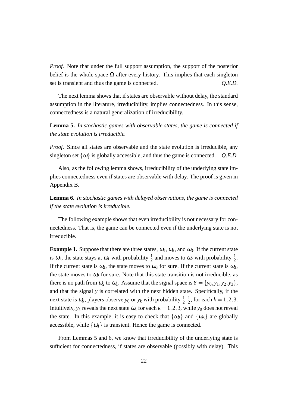*Proof.* Note that under the full support assumption, the support of the posterior belief is the whole space  $\Omega$  after every history. This implies that each singleton set is transient and thus the game is connected. *Q.E.D.*

The next lemma shows that if states are observable without delay, the standard assumption in the literature, irreducibility, implies connectedness. In this sense, connectedness is a natural generalization of irreducibility.

**Lemma 5.** *In stochastic games with observable states, the game is connected if the state evolution is irreducible.*

*Proof.* Since all states are observable and the state evolution is irreducible, any singleton set  $\{\omega\}$  is globally accessible, and thus the game is connected. *Q.E.D.* 

Also, as the following lemma shows, irreducibility of the underlying state implies connectedness even if states are observable with delay. The proof is given in Appendix B.

**Lemma 6.** *In stochastic games with delayed observations, the game is connected if the state evolution is irreducible.*

The following example shows that even irreducibility is not necessary for connectedness. That is, the game can be connected even if the underlying state is not irreducible.

**Example 1.** Suppose that there are three states,  $\omega_1$ ,  $\omega_2$ , and  $\omega_3$ . If the current state is  $\omega_1$ , the state stays at  $\omega_1$  with probability  $\frac{1}{2}$  and moves to  $\omega_2$  with probability  $\frac{1}{2}$ . If the current state is  $\omega_2$ , the state moves to  $\omega_3$  for sure. If the current state is  $\omega_3$ , the state moves to  $\omega_2$  for sure. Note that this state transition is not irreducible, as there is no path from  $\omega_2$  to  $\omega_1$ . Assume that the signal space is  $Y = \{y_0, y_1, y_2, y_3\}$ , and that the signal *y* is correlated with the next hidden state. Specifically, if the next state is  $\omega_k$ , players observe  $y_0$  or  $y_k$  with probability  $\frac{1}{2}$ - $\frac{1}{2}$  $\frac{1}{2}$ , for each  $k = 1, 2, 3$ . Intuitively,  $y_k$  reveals the next state  $\omega_k$  for each  $k = 1, 2, 3$ , while  $y_0$  does not reveal the state. In this example, it is easy to check that  $\{\omega_2\}$  and  $\{\omega_3\}$  are globally accessible, while  $\{\omega_1\}$  is transient. Hence the game is connected.

From Lemmas 5 and 6, we know that irreducibility of the underlying state is sufficient for connectedness, if states are observable (possibly with delay). This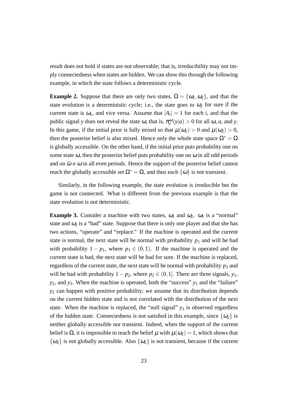result does not hold if states are not observable; that is, irreducibility may not imply connectedness when states are hidden. We can show this through the following example, in which the state follows a deterministic cycle.

**Example 2.** Suppose that there are only two states,  $\Omega = {\omega_1, \omega_2}$ , and that the state evolution is a deterministic cycle; i.e., the state goes to  $\omega_2$  for sure if the current state is  $\omega_1$ , and vice versa. Assume that  $|A_i| = 1$  for each *i*, and that the public signal *y* does not reveal the state  $\omega$ , that is,  $\pi_{y}^{\omega}(y|a) > 0$  for all  $\omega$ , *a*, and *y*. In this game, if the initial prior is fully mixed so that  $\mu(\omega_1) > 0$  and  $\mu(\omega_2) > 0$ , then the posterior belief is also mixed. Hence only the whole state space  $\Omega^* = \Omega$ is globally accessible. On the other hand, if the initial prior puts probability one on some state  $\omega$ , then the posterior belief puts probability one on  $\omega$  in all odd periods and on  $\tilde{\omega} \neq \omega$  in all even periods. Hence the support of the posterior belief cannot reach the globally accessible set  $\Omega^* = \Omega$ , and thus each  $\{\omega\}$  is not transient.

Similarly, in the following example, the state evolution is irreducible but the game is not connected. What is different from the previous example is that the state evolution is not deterministic.

**Example 3.** Consider a machine with two states,  $\omega_1$  and  $\omega_2$ .  $\omega_1$  is a "normal" state and  $\omega_2$  is a "bad" state. Suppose that there is only one player and that she has two actions, "operate" and "replace." If the machine is operated and the current state is normal, the next state will be normal with probability  $p_1$  and will be bad with probability  $1 - p_1$ , where  $p_1 \in (0,1)$ . If the machine is operated and the current state is bad, the next state will be bad for sure. If the machine is replaced, regardless of the current state, the next state will be normal with probability  $p_2$  and will be bad with probability  $1-p_2$ , where  $p_2 \in (0,1]$ . There are three signals,  $y_1$ , *y*<sub>2</sub>, and *y*<sub>3</sub>. When the machine is operated, both the "success" *y*<sub>1</sub> and the "failure" *y*<sup>2</sup> can happen with positive probability; we assume that its distribution depends on the current hidden state and is not correlated with the distribution of the next state. When the machine is replaced, the "null signal"  $y_3$  is observed regardless of the hidden state. Connectedness is not satisfied in this example, since  $\{\omega_2\}$  is neither globally accessible nor transient. Indeed, when the support of the current belief is  $\Omega$ , it is impossible to reach the belief  $\mu$  with  $\mu(\omega_2) = 1$ , which shows that  $\{\omega_2\}$  is not globally accessible. Also  $\{\omega_2\}$  is not transient, because if the current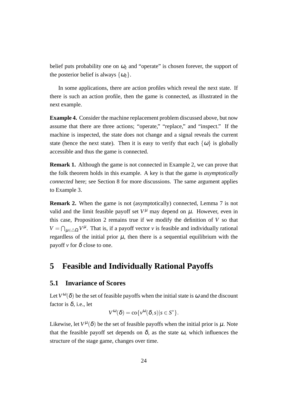belief puts probability one on  $\omega_2$  and "operate" is chosen forever, the support of the posterior belief is always  $\{\omega_2\}$ .

In some applications, there are action profiles which reveal the next state. If there is such an action profile, then the game is connected, as illustrated in the next example.

**Example 4.** Consider the machine replacement problem discussed above, but now assume that there are three actions; "operate," "replace," and "inspect." If the machine is inspected, the state does not change and a signal reveals the current state (hence the next state). Then it is easy to verify that each  $\{\omega\}$  is globally accessible and thus the game is connected.

**Remark 1.** Although the game is not connected in Example 2, we can prove that the folk theorem holds in this example. A key is that the game is *asymptotically connected* here; see Section 8 for more discussions. The same argument applies to Example 3.

**Remark 2.** When the game is not (asymptotically) connected, Lemma 7 is not valid and the limit feasible payoff set  $V^{\mu}$  may depend on  $\mu$ . However, even in this case, Proposition 2 remains true if we modify the definition of  $V$  so that  $V = \bigcap_{\mu \in \triangle \Omega} V^{\mu}$ . That is, if a payoff vector *v* is feasible and individually rational regardless of the initial prior  $\mu$ , then there is a sequential equilibrium with the payoff  $\nu$  for  $\delta$  close to one.

## **5 Feasible and Individually Rational Payoffs**

#### **5.1 Invariance of Scores**

Let  $V^{\omega}(\delta)$  be the set of feasible payoffs when the initial state is  $\omega$  and the discount factor is  $\delta$ , i.e., let

$$
V^{\omega}(\delta) = \text{co}\{v^{\omega}(\delta, s) | s \in S^*\}.
$$

Likewise, let  $V^{\mu}(\delta)$  be the set of feasible payoffs when the initial prior is  $\mu$ . Note that the feasible payoff set depends on  $\delta$ , as the state  $\omega$ , which influences the structure of the stage game, changes over time.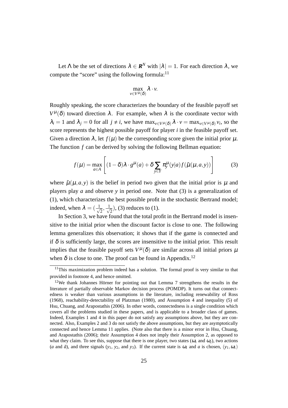Let  $\Lambda$  be the set of directions  $\lambda \in \mathbf{R}^N$  with  $|\lambda| = 1$ . For each direction  $\lambda$ , we compute the "score" using the following formula: $^{11}$ 

$$
\max_{\nu\in V^\mu(\delta)} \lambda\cdot\nu.
$$

Roughly speaking, the score characterizes the boundary of the feasible payoff set  $V^{\mu}(\delta)$  toward direction  $\lambda$ . For example, when  $\lambda$  is the coordinate vector with  $\lambda_i = 1$  and  $\lambda_j = 0$  for all  $j \neq i$ , we have  $\max_{v \in V^{\mu}(\delta)} \lambda \cdot v = \max_{v \in V^{\mu}(\delta)} v_i$ , so the score represents the highest possible payoff for player *i* in the feasible payoff set. Given a direction  $\lambda$ , let  $f(\mu)$  be the corresponding score given the initial prior  $\mu$ . The function *f* can be derived by solving the following Bellman equation:

$$
f(\mu) = \max_{a \in A} \left[ (1 - \delta) \lambda \cdot g^{\mu}(a) + \delta \sum_{y \in Y} \pi_{y}^{\mu}(y|a) f(\tilde{\mu}(\mu, a, y)) \right]
$$
(3)

where  $\tilde{\mu}(\mu, a, y)$  is the belief in period two given that the initial prior is  $\mu$  and players play *a* and observe *y* in period one. Note that (3) is a generalization of (1), which characterizes the best possible profit in the stochastic Bertrand model; indeed, when  $\lambda = \left(\frac{1}{\lambda}\right)$  $\frac{1}{2}, \frac{1}{\sqrt{2}}$  $\overline{z}$ ), (3) reduces to (1).

In Section 3, we have found that the total profit in the Bertrand model is insensitive to the initial prior when the discount factor is close to one. The following lemma generalizes this observation; it shows that if the game is connected and if  $\delta$  is sufficiently large, the scores are insensitive to the initial prior. This result implies that the feasible payoff sets  $V^{\mu}(\delta)$  are similar across all initial priors  $\mu$ when  $\delta$  is close to one. The proof can be found in Appendix.<sup>12</sup>

<sup>&</sup>lt;sup>11</sup>This maximization problem indeed has a solution. The formal proof is very similar to that provided in footnote 4, and hence omitted.

 $12$ We thank Johannes Hörner for pointing out that Lemma 7 strengthens the results in the literature of partially observable Markov decision process (POMDP). It turns out that connectedness is weaker than various assumptions in the literature, including renewability of Ross (1968), reachability-detectability of Platzman (1980), and Assumption 4 and inequality (5) of Hsu, Chuang, and Arapostathis (2006). In other words, connectedness is a single condition which covers all the problems studied in these papers, and is applicable to a broader class of games. Indeed, Examples 1 and 4 in this paper do not satisfy any assumptions above, but they are connected. Also, Examples 2 and 3 do not satisfy the above assumptions, but they are asymptotically connected and hence Lemma 11 applies. (Note also that there is a minor error in Hsu, Chuang, and Arapostathis (2006); their Assumption 4 does not imply their Assumption 2, as opposed to what they claim. To see this, suppose that there is one player, two states ( $\omega_1$  and  $\omega_2$ ), two actions (*a* and  $\tilde{a}$ ), and three signals (*y*<sub>1</sub>, *y*<sub>2</sub>, and *y*<sub>3</sub>). If the current state is  $\omega_1$  and *a* is chosen, (*y*<sub>1</sub>,  $\omega_1$ )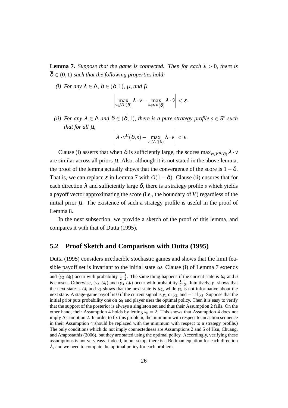**Lemma 7.** *Suppose that the game is connected. Then for each*  $\varepsilon > 0$ *, there is*  $\overline{\delta} \in (0,1)$  *such that the following properties hold:* 

*(i)* For any  $\lambda \in \Lambda$ ,  $\delta \in (\overline{\delta}, 1)$ ,  $\mu$ , and  $\tilde{\mu}$ 

$$
\left|\max_{\nu\in V^\mu(\delta)}\lambda\cdot\nu-\max_{\tilde{\nu}\in V^{\tilde{\mu}}(\delta)}\lambda\cdot\tilde{\nu}\right|<\varepsilon.
$$

*(ii)* For any  $\lambda \in \Lambda$  and  $\delta \in (\overline{\delta}, 1)$ , there is a pure strategy profile  $s \in S^*$  such *that for all* µ*,*

$$
\left|\lambda\cdot\nu^{\mu}(\delta,s)-\max_{\nu\in V^{\mu}(\delta)}\lambda\cdot\nu\right|<\varepsilon.
$$

Clause (i) asserts that when  $\delta$  is sufficiently large, the scores max<sub>*v*∈*V*<sup>µ</sup>( $\delta$ )</sub>  $\lambda \cdot v$ are similar across all priors  $\mu$ . Also, although it is not stated in the above lemma, the proof of the lemma actually shows that the convergence of the score is  $1-\delta$ . That is, we can replace  $\varepsilon$  in Lemma 7 with  $O(1-\delta)$ . Clause (ii) ensures that for each direction  $\lambda$  and sufficiently large  $\delta$ , there is a strategy profile *s* which yields a payoff vector approximating the score (i.e., the boundary of *V*) regardless of the initial prior  $\mu$ . The existence of such a strategy profile is useful in the proof of Lemma 8.

In the next subsection, we provide a sketch of the proof of this lemma, and compares it with that of Dutta (1995).

#### **5.2 Proof Sketch and Comparison with Dutta (1995)**

Dutta (1995) considers irreducible stochastic games and shows that the limit feasible payoff set is invariant to the initial state  $\omega$ . Clause (i) of Lemma 7 extends and  $(y_2, \omega_2)$  occur with probability  $\frac{1}{2} - \frac{1}{2}$ . The same thing happens if the current state is  $\omega_2$  and  $\tilde{a}$ is chosen. Otherwise,  $(y_3, \omega_1)$  and  $(y_3, \omega_2)$  occur with probability  $\frac{1}{2}$ - $\frac{1}{2}$ . Intuitively,  $y_1$  shows that the next state is  $\omega_1$  and  $y_2$  shows that the next state is  $\omega_2$ , while  $y_3$  is not informative about the next state. A stage-game payoff is 0 if the current signal is *y*<sup>1</sup> or *y*2, and *−*1 if *y*3. Suppose that the initial prior puts probability one on  $\omega_1$  and player uses the optimal policy. Then it is easy to verify that the support of the posterior is always a singleton set and thus their Assumption 2 fails. On the other hand, their Assumption 4 holds by letting  $k_0 = 2$ . This shows that Assumption 4 does not imply Assumption 2. In order to fix this problem, the minimum with respect to an action sequence in their Assumption 4 should be replaced with the minimum with respect to a strategy profile.) The only conditions which do not imply connectedness are Assumptions 2 and 5 of Hsu, Chuang, and Arapostathis (2006), but they are stated using the optimal policy. Accordingly, verifying these assumptions is not very easy; indeed, in our setup, there is a Bellman equation for each direction  $\lambda$ , and we need to compute the optimal policy for each problem.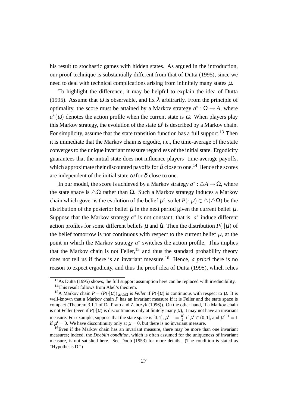his result to stochastic games with hidden states. As argued in the introduction, our proof technique is substantially different from that of Dutta (1995), since we need to deal with technical complications arising from infinitely many states  $\mu$ .

To highlight the difference, it may be helpful to explain the idea of Dutta (1995). Assume that  $\omega$  is observable, and fix  $\lambda$  arbitrarily. From the principle of optimality, the score must be attained by a Markov strategy  $a^* : \Omega \to A$ , where  $a^*(\omega)$  denotes the action profile when the current state is  $\omega$ . When players play this Markov strategy, the evolution of the state  $\omega^t$  is described by a Markov chain. For simplicity, assume that the state transition function has a full support.<sup>13</sup> Then it is immediate that the Markov chain is ergodic, i.e., the time-average of the state converges to the unique invariant measure regardless of the initial state. Ergodicity guarantees that the initial state does not influence players' time-average payoffs, which approximate their discounted payoffs for  $\delta$  close to one.<sup>14</sup> Hence the scores are independent of the initial state  $\omega$  for  $\delta$  close to one.

In our model, the score is achieved by a Markov strategy  $a^*$  :  $\triangle A \rightarrow \Omega$ , where the state space is  $\Delta\Omega$  rather than  $\Omega$ . Such a Markov strategy induces a Markov chain which governs the evolution of the belief  $\mu^t$ , so let  $P(\cdot|\mu) \in \triangle(\triangle \Omega)$  be the distribution of the posterior belief  $\tilde{\mu}$  in the next period given the current belief  $\mu$ . Suppose that the Markov strategy  $a^*$  is not constant, that is,  $a^*$  induce different action profiles for some different beliefs  $\mu$  and  $\hat{\mu}$ . Then the distribution  $P(\cdot|\mu)$  of the belief tomorrow is not continuous with respect to the current belief  $\mu$ , at the point in which the Markov strategy  $a^*$  switches the action profile. This implies that the Markov chain is not Feller,<sup>15</sup> and thus the standard probability theory does not tell us if there is an invariant measure.<sup>16</sup> Hence, *a priori* there is no reason to expect ergodicity, and thus the proof idea of Dutta (1995), which relies

<sup>&</sup>lt;sup>13</sup>As Dutta (1995) shows, the full support assumption here can be replaced with irreducibility. <sup>14</sup>This result follows from Abel's theorem.

<sup>&</sup>lt;sup>15</sup>A Markov chain  $P = (P(\cdot|\mu))_{\mu \in \Delta\Omega}$  is *Feller* if  $P(\cdot|\mu)$  is continuous with respect to  $\mu$ . It is well-known that a Markov chain *P* has an invariant measure if it is Feller and the state space is compact (Theorem 3.1.1 of Da Prato and Zabczyk (1996)). On the other hand, if a Markov chain is not Feller (even if  $P(\cdot|\mu)$  is discontinuous only at finitely many  $\mu$ ), it may not have an invariant measure. For example, suppose that the state space is [0, 1],  $\mu^{t+1} = \frac{\mu^t}{2}$  $\frac{u^t}{2}$  if  $\mu^t \in (0, 1]$ , and  $\mu^{t+1} = 1$ if  $\mu^t = 0$ . We have discontinuity only at  $\mu = 0$ , but there is no invariant measure.

<sup>&</sup>lt;sup>16</sup>Even if the Markov chain has an invariant measure, there may be more than one invariant measures; indeed, the *Doeblin condition*, which is often assumed for the uniqueness of invariant measure, is not satisfied here. See Doob (1953) for more details. (The condition is stated as "Hypothesis D.")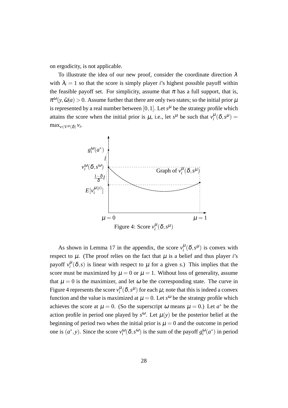on ergodicity, is not applicable.

To illustrate the idea of our new proof, consider the coordinate direction  $\lambda$ with  $\lambda_i = 1$  so that the score is simply player *i*'s highest possible payoff within the feasible payoff set. For simplicity, assume that  $\pi$  has a full support, that is,  $\pi^{\omega}(y, \tilde{\omega}|a) > 0$ . Assume further that there are only two states; so the initial prior  $\mu$ is represented by a real number between [0, 1]. Let  $s^{\mu}$  be the strategy profile which attains the score when the initial prior is  $\mu$ , i.e., let  $s^{\mu}$  be such that  $v_i^{\mu}(\delta, s^{\mu}) =$  $\max_{v \in V^{\mu}(\delta)} v_i$ .



As shown in Lemma 17 in the appendix, the score  $v_i^{\mu}(\delta, s^{\mu})$  is convex with respect to  $\mu$ . (The proof relies on the fact that  $\mu$  is a belief and thus player *i*'s payoff  $v_i^{\mu}(\delta, s)$  is linear with respect to  $\mu$  for a given *s*.) This implies that the score must be maximized by  $\mu = 0$  or  $\mu = 1$ . Without loss of generality, assume that  $\mu = 0$  is the maximizer, and let  $\omega$  be the corresponding state. The curve in Figure 4 represents the score  $v_i^{\mu}(\delta, s^{\mu})$  for each  $\mu$ ; note that this is indeed a convex function and the value is maximized at  $\mu = 0$ . Let *s*<sup> $\omega$ </sup> be the strategy profile which achieves the score at  $\mu = 0$ . (So the superscript  $\omega$  means  $\mu = 0$ .) Let  $a^*$  be the action profile in period one played by  $s^{\omega}$ . Let  $\mu(y)$  be the posterior belief at the beginning of period two when the initial prior is  $\mu = 0$  and the outcome in period one is  $(a^*, y)$ . Since the score  $v_i^{\omega}(\delta, s^{\omega})$  is the sum of the payoff  $g_i^{\omega}(a^*)$  in period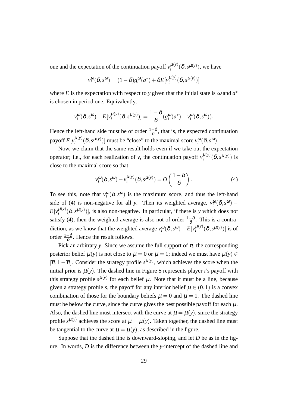one and the expectation of the continuation payoff  $v_i^{\mu(y)}$  $_{i}^{\mu(y)}$  $(\delta, s^{\mu(y)})$ , we have

$$
v_i^{\omega}(\delta, s^{\omega}) = (1 - \delta)g_i^{\omega}(a^*) + \delta E[v_i^{\mu(y)}(\delta, s^{\mu(y)})]
$$

where *E* is the expectation with respect to *y* given that the initial state is  $\omega$  and  $a^*$ is chosen in period one. Equivalently,

$$
v_i^{\omega}(\delta, s^{\omega}) - E[v_i^{\mu(y)}(\delta, s^{\mu(y)})] = \frac{1-\delta}{\delta}(g_i^{\omega}(a^*) - v_i^{\omega}(\delta, s^{\omega})).
$$

Hence the left-hand side must be of order  $\frac{1-\delta}{\delta}$ , that is, the expected continuation payoff  $E[v_i^{\mu(y)}]$  $\mu^{(y)}(\delta, s^{\mu(y)})$ ] must be "close" to the maximal score  $v_i^{\omega}(\delta, s^{\omega})$ .

Now, we claim that the same result holds even if we take out the expectation operator; i.e., for each realization of *y*, the continuation payoff  $v_i^{\mu(y)}$  $_{i}^{\mu(y)}(\delta, s^{\mu(y)})$  is close to the maximal score so that

$$
v_i^{\omega}(\delta, s^{\omega}) - v_i^{\mu(y)}(\delta, s^{\mu(y)}) = O\left(\frac{1-\delta}{\delta}\right).
$$
 (4)

To see this, note that  $v_i^{\omega}(\delta, s^{\omega})$  is the maximum score, and thus the left-hand side of (4) is non-negative for all *y*. Then its weighted average,  $v_i^{\omega}(\delta, s^{\omega})$  –  $E[v_i^{\mu(y)}]$  $\mu^{(y)}(\delta, s^{\mu(y)})$ , is also non-negative. In particular, if there is *y* which does not satisfy (4), then the weighted average is also not of order  $\frac{1-\delta}{\delta}$ . This is a contradiction, as we know that the weighted average  $v_i^{\omega}(\delta, s^{\omega}) - E[v_i^{\mu(y)}]$  $\int_{i}^{\mu(y)} (\delta, s^{\mu(y)})$  is of order <sup>1</sup>*−*<sup>δ</sup> δ . Hence the result follows.

Pick an arbitrary *y*. Since we assume the full support of  $\pi$ , the corresponding posterior belief  $\mu(y)$  is not close to  $\mu = 0$  or  $\mu = 1$ ; indeed we must have  $\mu(y) \in$  $[**π**, 1 − **π**]$ . Consider the strategy profile  $s<sup>μ(y)</sup>$ , which achieves the score when the initial prior is  $\mu(y)$ . The dashed line in Figure 5 represents player *i*'s payoff with this strategy profile  $s^{\mu(y)}$  for each belief  $\mu$ . Note that it must be a line, because given a strategy profile *s*, the payoff for any interior belief  $\mu \in (0,1)$  is a convex combination of those for the boundary beliefs  $\mu = 0$  and  $\mu = 1$ . The dashed line must be below the curve, since the curve gives the best possible payoff for each  $\mu$ . Also, the dashed line must intersect with the curve at  $\mu = \mu(y)$ , since the strategy profile  $s^{\mu(y)}$  achieves the score at  $\mu = \mu(y)$ . Taken together, the dashed line must be tangential to the curve at  $\mu = \mu(y)$ , as described in the figure.

Suppose that the dashed line is downward-sloping, and let *D* be as in the figure. In words, *D* is the difference between the *y*-intercept of the dashed line and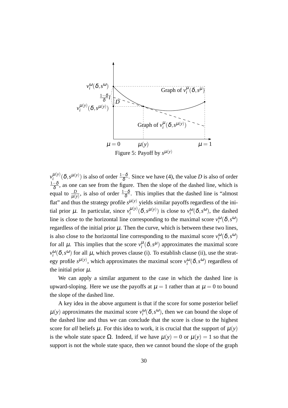

 $v_i^{\mu(y)}$  $\frac{\mu(y)}{i}(\delta, s^{\mu(y)})$  is also of order  $\frac{1-\delta}{\delta}$ . Since we have (4), the value *D* is also of order  $\frac{1-\delta}{\delta}$ , as one can see from the figure. Then the slope of the dashed line, which is equal to  $\frac{D}{\mu(y)}$ , is also of order  $\frac{1-\delta}{\delta}$ . This implies that the dashed line is "almost" flat" and thus the strategy profile  $s^{\mu(y)}$  yields similar payoffs regardless of the initial prior  $\mu$ . In particular, since  $v_i^{\mu(y)}$  $\mu^{(\mathcal{Y})}(\delta, s^{\mu(\mathcal{Y})})$  is close to  $v_i^{\omega}(\delta, s^{\omega})$ , the dashed line is close to the horizontal line corresponding to the maximal score  $v_i^{\omega}(\delta, s^{\omega})$ regardless of the initial prior  $\mu$ . Then the curve, which is between these two lines, is also close to the horizontal line corresponding to the maximal score  $v_i^{\omega}(\delta, s^{\omega})$ for all  $\mu$ . This implies that the score  $v_i^{\mu}(\delta, s^{\mu})$  approximates the maximal score  $v_i^{\omega}(\delta, s^{\omega})$  for all  $\mu$ , which proves clause (i). To establish clause (ii), use the strategy profile  $s^{\mu(y)}$ , which approximates the maximal score  $v_i^{\omega}(\delta, s^{\omega})$  regardless of the initial prior  $\mu$ .

We can apply a similar argument to the case in which the dashed line is upward-sloping. Here we use the payoffs at  $\mu = 1$  rather than at  $\mu = 0$  to bound the slope of the dashed line.

A key idea in the above argument is that if the score for some posterior belief  $\mu(y)$  approximates the maximal score  $v_i^{\omega}(\delta, s^{\omega})$ , then we can bound the slope of the dashed line and thus we can conclude that the score is close to the highest score for *all* beliefs  $\mu$ . For this idea to work, it is crucial that the support of  $\mu(y)$ is the whole state space  $\Omega$ . Indeed, if we have  $\mu(y) = 0$  or  $\mu(y) = 1$  so that the support is not the whole state space, then we cannot bound the slope of the graph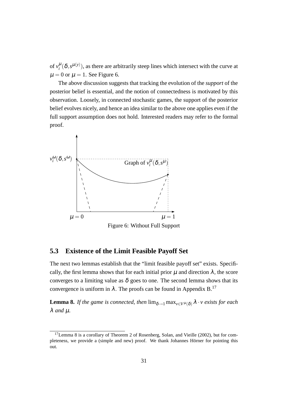of  $v_i^{\mu}(\delta, s^{\mu(y)})$ , as there are arbitrarily steep lines which intersect with the curve at  $\mu = 0$  or  $\mu = 1$ . See Figure 6.

The above discussion suggests that tracking the evolution of the *support* of the posterior belief is essential, and the notion of connectedness is motivated by this observation. Loosely, in connected stochastic games, the support of the posterior belief evolves nicely, and hence an idea similar to the above one applies even if the full support assumption does not hold. Interested readers may refer to the formal proof.



Figure 6: Without Full Support

#### **5.3 Existence of the Limit Feasible Payoff Set**

The next two lemmas establish that the "limit feasible payoff set" exists. Specifically, the first lemma shows that for each initial prior  $\mu$  and direction  $\lambda$ , the score converges to a limiting value as  $\delta$  goes to one. The second lemma shows that its convergence is uniform in  $\lambda$ . The proofs can be found in Appendix B.<sup>17</sup>

**Lemma 8.** *If the game is connected, then*  $\lim_{\delta \to 1} \max_{v \in V^{\mu}(\delta)} \lambda \cdot v$  *exists for each* λ *and* µ*.*

 $17$ Lemma 8 is a corollary of Theorem 2 of Rosenberg, Solan, and Vieille (2002), but for completeness, we provide a (simple and new) proof. We thank Johannes Hörner for pointing this out.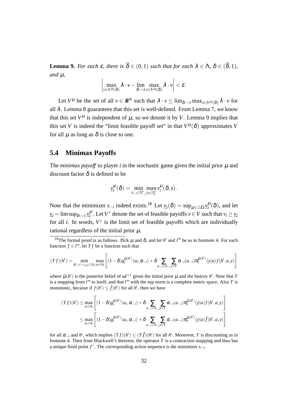**Lemma 9.** For each  $\varepsilon$ , there is  $\overline{\delta} \in (0,1)$  *such that for each*  $\lambda \in \Lambda$ ,  $\delta \in (\overline{\delta},1)$ *,*  $and \mu$ ,

$$
\left|\max_{\nu\in V^{\mu}(\delta)}\lambda\cdot\nu-\lim_{\delta\rightarrow 1}\max_{\nu\in V^{\mu}(\delta)}\lambda\cdot\nu\right|<\varepsilon.
$$

Let  $V^{\mu}$  be the set of all  $v \in \mathbb{R}^{N}$  such that  $\lambda \cdot v \leq \lim_{\delta \to 1} \max_{v \in V^{\mu}(\delta)} \lambda \cdot v$  for all  $\lambda$ . Lemma 8 guarantees that this set is well-defined. From Lemma 7, we know that this set  $V^{\mu}$  is independent of  $\mu$ , so we denote it by *V*. Lemma 9 implies that this set *V* is indeed the "limit feasible payoff set" in that  $V^{\mu}(\delta)$  approximates *V* for all  $\mu$  as long as  $\delta$  is close to one.

#### **5.4 Minimax Payoffs**

The *minimax payoff* to player *i* in the stochastic game given the initial prior  $\mu$  and discount factor  $\delta$  is defined to be

$$
\underline{v}_i^{\mu}(\delta) = \min_{s_{-i} \in S_{-i}^*} \max_{s_i \in S_i^*} v_i^{\mu}(\delta, s).
$$

Note that the minimizer  $s_{-i}$  indeed exists.<sup>18</sup> Let  $v_i(\delta) = \sup_{\mu \in \triangle \Omega} v_i^{\mu}(\delta)$ , and let  $\nu_i$  = lim sup<sub> $\delta \to 1$ </sub>  $\nu_i^{\mu}$ . Let *V*<sup>\*</sup> denote the set of feasible payoffs *v*  $\in$  *V* such that  $\nu_i$   $\geq$   $\nu_i$ for all *i*. In words,  $V^*$  is the limit set of feasible payoffs which are individually rational regardless of the initial prior  $\mu$ .

$$
(Tf)(h^t) = \min_{\alpha_{-i} \in \times_{j \neq i} \triangle A_j} \max_{a_i \in A_i} \left[ (1-\delta) g_i^{\tilde{\mu}(h^t)}(a_i, \alpha_{-i}) + \delta \sum_{a_{-i} \in A_{-i}} \sum_{y \in Y} \alpha_{-i}(a_{-i}) \pi_y^{\tilde{\mu}(h^t)}(y|a) f(h^t, a, y) \right]
$$

where  $\tilde{\mu}(h^t)$  is the posterior belief of  $\omega^{t+1}$  given the initial prior  $\mu$  and the history  $h^t$ . Note that T is a mapping from *l* <sup>∞</sup> to itself, and that *l* <sup>∞</sup> with the sup norm is a complete metric space. Also *T* is monotonic, because if  $f(h^t) \leq \tilde{f}(h^t)$  for all  $h^t$ , then we have

$$
(Tf)(h') \leq \max_{a_i \in A_i} \left[ (1-\delta) g_i^{\tilde{\mu}(h')} (a_i, \alpha_{-i}) + \delta \sum_{a_{-i} \in A_{-i}} \sum_{y \in Y} \alpha_{-i} (a_{-i}) \pi_y^{\tilde{\mu}(h')} (y|a) f(h', a, y) \right]
$$
  

$$
\leq \max_{a_i \in A_i} \left[ (1-\delta) g_i^{\tilde{\mu}(h')} (a_i, \alpha_{-i}) + \delta \sum_{a_{-i} \in A_{-i}} \sum_{y \in Y} \alpha_{-i} (a_{-i}) \pi_y^{\tilde{\mu}(h')} (y|a) \tilde{f}(h', a, y) \right]
$$

for all  $\alpha_{-i}$  and  $h^t$ , which implies  $(Tf)(h^t) \le (T\tilde{f})(h^t)$  for all  $h^t$ . Moreover, *T* is discounting as in footnote 4. Then from Blackwell's theorem, the operator *T* is a contraction mapping and thus has a unique fixed point *f ∗* . The corresponding action sequence is the minimizer *s−<sup>i</sup>* .

<sup>&</sup>lt;sup>18</sup>The formal proof is as follows. Pick  $\mu$  and  $\delta$ , and let  $h^t$  and  $l^{\infty}$  be as in footnote 4. For each function  $f \in l^{\infty}$ , let *T*  $f$  be a function such that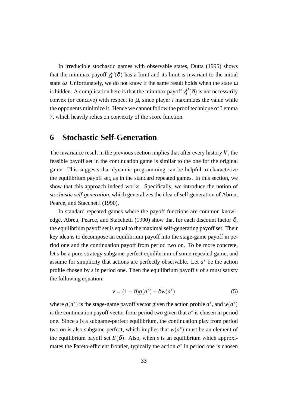In irreducible stochastic games with observable states, Dutta (1995) shows that the minimax payoff  $\mathbf{v}_i^{\omega}(\delta)$  has a limit and its limit is invariant to the initial state  $\omega$ . Unfortunately, we do not know if the same result holds when the state  $\omega$ is hidden. A complication here is that the minimax payoff  $y_i^{\mu}(\delta)$  is not necessarily convex (or concave) with respect to  $\mu$ , since player *i* maximizes the value while the opponents minimize it. Hence we cannot follow the proof technique of Lemma 7, which heavily relies on convexity of the score function.

## **6 Stochastic Self-Generation**

The invariance result in the previous section implies that after every history  $h<sup>t</sup>$ , the feasible payoff set in the continuation game is similar to the one for the original game. This suggests that dynamic programming can be helpful to characterize the equilibrium payoff set, as in the standard repeated games. In this section, we show that this approach indeed works. Specifically, we introduce the notion of *stochastic self-generation*, which generalizes the idea of self-generation of Abreu, Pearce, and Stacchetti (1990).

In standard repeated games where the payoff functions are common knowledge, Abreu, Pearce, and Stacchetti (1990) show that for each discount factor  $\delta$ , the equilibrium payoff set is equal to the maximal self-generating payoff set. Their key idea is to decompose an equilibrium payoff into the stage-game payoff in period one and the continuation payoff from period two on. To be more concrete, let *s* be a pure-strategy subgame-perfect equilibrium of some repeated game, and assume for simplicity that actions are perfectly observable. Let *a <sup>∗</sup>* be the action profile chosen by *s* in period one. Then the equilibrium payoff *v* of *s* must satisfy the following equation:

$$
v = (1 - \delta)g(a^*) + \delta w(a^*)
$$
\n(5)

where  $g(a^*)$  is the stage-game payoff vector given the action profile  $a^*$ , and  $w(a^*)$ is the continuation payoff vector from period two given that  $a^*$  is chosen in period one. Since *s* is a subgame-perfect equilibrium, the continuation play from period two on is also subgame-perfect, which implies that  $w(a^*)$  must be an element of the equilibrium payoff set  $E(\delta)$ . Also, when *s* is an equilibrium which approximates the Pareto-efficient frontier, typically the action  $a^*$  in period one is chosen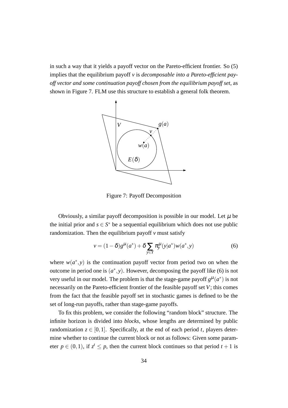in such a way that it yields a payoff vector on the Pareto-efficient frontier. So (5) implies that the equilibrium payoff *v* is *decomposable into a Pareto-efficient payoff vector and some continuation payoff chosen from the equilibrium payoff set*, as shown in Figure 7. FLM use this structure to establish a general folk theorem.



Figure 7: Payoff Decomposition

Obviously, a similar payoff decomposition is possible in our model. Let  $\mu$  be the initial prior and  $s \in S^*$  be a sequential equilibrium which does not use public randomization. Then the equilibrium payoff *v* must satisfy

$$
v = (1 - \delta)g^{\mu}(a^*) + \delta \sum_{y \in Y} \pi_y^{\mu}(y|a^*)w(a^*, y)
$$
 (6)

where  $w(a^*, y)$  is the continuation payoff vector from period two on when the outcome in period one is  $(a^*, y)$ . However, decomposing the payoff like (6) is not very useful in our model. The problem is that the stage-game payoff  $g^{\mu}(a^*)$  is not necessarily on the Pareto-efficient frontier of the feasible payoff set *V*; this comes from the fact that the feasible payoff set in stochastic games is defined to be the set of long-run payoffs, rather than stage-game payoffs.

To fix this problem, we consider the following "random block" structure. The infinite horizon is divided into *blocks*, whose lengths are determined by public randomization  $z \in [0,1]$ . Specifically, at the end of each period *t*, players determine whether to continue the current block or not as follows: Given some parameter  $p \in (0,1)$ , if  $z^t \leq p$ , then the current block continues so that period  $t + 1$  is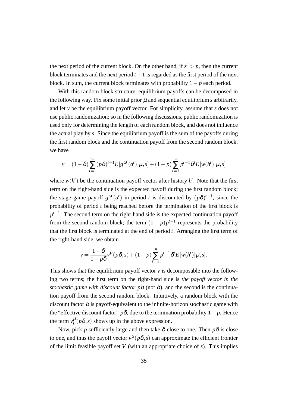the next period of the current block. On the other hand, if  $z^t > p$ , then the current block terminates and the next period  $t + 1$  is regarded as the first period of the next block. In sum, the current block terminates with probability 1*− p* each period.

With this random block structure, equilibrium payoffs can be decomposed in the following way. Fix some initial prior  $\mu$  and sequential equilibrium  $\mu$  arbitrarily, and let *v* be the equilibrium payoff vector. For simplicity, assume that *s* does not use public randomization; so in the following discussions, public randomization is used only for determining the length of each random block, and does not influence the actual play by *s*. Since the equilibrium payoff is the sum of the payoffs during the first random block and the continuation payoff from the second random block, we have

$$
v = (1 - \delta) \sum_{t=1}^{\infty} (p\delta)^{t-1} E[g^{\omega^t}(a^t) | \mu, s] + (1 - p) \sum_{t=1}^{\infty} p^{t-1} \delta^t E[w(h^t) | \mu, s]
$$

where  $w(h^t)$  be the continuation payoff vector after history  $h^t$ . Note that the first term on the right-hand side is the expected payoff during the first random block; the stage game payoff  $g^{\omega t}(a^t)$  in period *t* is discounted by  $(p\delta)^{t-1}$ , since the probability of period *t* being reached before the termination of the first block is *p*<sup>*t*−1</sup>. The second term on the right-hand side is the expected continuation payoff from the second random block; the term  $(1-p)p^{t-1}$  represents the probability that the first block is terminated at the end of period *t*. Arranging the first term of the right-hand side, we obtain

$$
v = \frac{1 - \delta}{1 - p\delta} v^{\mu} (p\delta, s) + (1 - p) \sum_{t=1}^{\infty} p^{t-1} \delta^t E[w(h^t)|\mu, s].
$$

This shows that the equilibrium payoff vector  $\nu$  is decomposable into the following two terms; the first term on the right-hand side is *the payoff vector in the stochastic game with discount factor*  $p\delta$  *(not*  $\delta$ *), and the second is the continua*tion payoff from the second random block. Intuitively, a random block with the discount factor  $\delta$  is payoff-equivalent to the infinite-horizon stochastic game with the "effective discount factor"  $p\delta$ , due to the termination probability  $1-p$ . Hence the term  $v_i^{\mu}(p\delta, s)$  shows up in the above expression.

Now, pick *p* sufficiently large and then take  $\delta$  close to one. Then  $p\delta$  is close to one, and thus the payoff vector  $v^{\mu}(p\delta, s)$  can approximate the efficient frontier of the limit feasible payoff set *V* (with an appropriate choice of *s*). This implies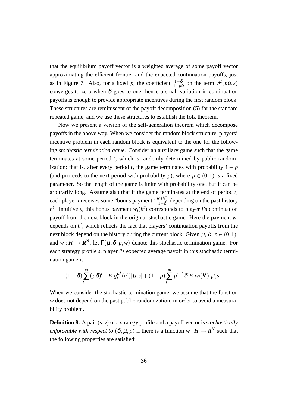that the equilibrium payoff vector is a weighted average of some payoff vector approximating the efficient frontier and the expected continuation payoffs, just as in Figure 7. Also, for a fixed *p*, the coefficient  $\frac{1-\delta}{1-p\delta}$  on the term  $v^{\mu}(p\delta, s)$ converges to zero when  $\delta$  goes to one; hence a small variation in continuation payoffs is enough to provide appropriate incentives during the first random block. These structures are reminiscent of the payoff decomposition (5) for the standard repeated game, and we use these structures to establish the folk theorem.

Now we present a version of the self-generation theorem which decompose payoffs in the above way. When we consider the random block structure, players' incentive problem in each random block is equivalent to the one for the following *stochastic termination game*. Consider an auxiliary game such that the game terminates at some period *t*, which is randomly determined by public randomization; that is, after every period *t*, the game terminates with probability  $1 - p$ (and proceeds to the next period with probability *p*), where  $p \in (0,1)$  is a fixed parameter. So the length of the game is finite with probability one, but it can be arbitrarily long. Assume also that if the game terminates at the end of period *t*, each player *i* receives some "bonus payment"  $\frac{w_i(h^i)}{1-\delta}$ 1*−*δ depending on the past history  $h$ <sup>*t*</sup>. Intuitively, this bonus payment  $w_i(h^t)$  corresponds to player *i*'s continuation payoff from the next block in the original stochastic game. Here the payment *w<sup>i</sup>* depends on *h t* , which reflects the fact that players' continuation payoffs from the next block depend on the history during the current block. Given  $\mu$ ,  $\delta$ ,  $p \in (0,1)$ , and  $w : H \to \mathbf{R}^N$ , let  $\Gamma(\mu, \delta, p, w)$  denote this stochastic termination game. For each strategy profile *s*, player *i*'s expected average payoff in this stochastic termination game is

$$
(1-\delta)\sum_{t=1}^{\infty}(p\delta)^{t-1}E[g_i^{\omega^t}(a^t)|\mu,s] + (1-p)\sum_{t=1}^{\infty}p^{t-1}\delta^tE[w_i(h^t)|\mu,s].
$$

When we consider the stochastic termination game, we assume that the function *w* does not depend on the past public randomization, in order to avoid a measurability problem.

**Definition 8.** A pair (*s,v*) of a strategy profile and a payoff vector is *stochastically enforceable with respect to*  $(\delta, \mu, p)$  if there is a function  $w : H \to \mathbf{R}^N$  such that the following properties are satisfied: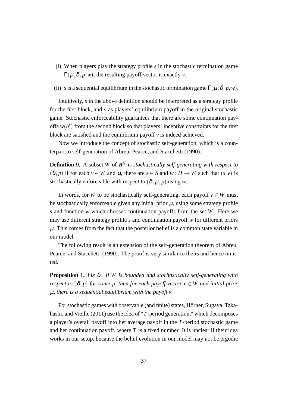- (i) When players play the strategy profile *s* in the stochastic termination game  $\Gamma(\mu,\delta,p,w)$ , the resulting payoff vector is exactly *v*.
- (ii) *s* is a sequential equilibrium in the stochastic termination game  $\Gamma(\mu, \delta, p, w)$ .

Intuitively, *s* in the above definition should be interpreted as a strategy profile for the first block, and  $\nu$  as players' equilibrium payoff in the original stochastic game. Stochastic enforceability guarantees that there are some continuation payoffs  $w(h^t)$  from the second block so that players' incentive constraints for the first block are satisfied and the equilibrium payoff  $\nu$  is indeed achieved.

Now we introduce the concept of stochastic self-generation, which is a counterpart to self-generation of Abreu, Pearce, and Stacchetti (1990).

**Definition 9.** A subset *W* of  $\mathbb{R}^N$  is *stochastically self-generating with respect to*  $(\delta, p)$  if for each  $v \in W$  and  $\mu$ , there are  $s \in S$  and  $w : H \to W$  such that  $(s, v)$  is stochastically enforceable with respect to  $(\delta, \mu, p)$  using *w*.

In words, for *W* to be stochastically self-generating, each payoff  $v \in W$  must be stochastically enforceable given any initial prior  $\mu$ , using some strategy profile *s* and function *w* which chooses continuation payoffs from the set *W*. Here we may use different strategy profile *s* and continuation payoff *w* for different priors  $\mu$ . This comes from the fact that the posterior belief is a common state variable in our model.

The following result is an extension of the self-generation theorem of Abreu, Pearce, and Stacchetti (1990). The proof is very similar to theirs and hence omitted.

**Proposition 1.** *Fix* δ*. If W is bounded and stochastically self-generating with respect to*  $(\delta, p)$  *for some p, then for each payoff vector*  $v \in W$  *and initial prior* µ*, there is a sequential equilibrium with the payoff v.*

For stochastic games with observable (and finite) states, Hörner, Sugaya, Takahashi, and Vieille (2011) use the idea of "*T*-period generation," which decomposes a player's overall payoff into her average payoff in the *T*-period stochastic game and her continuation payoff, where  $T$  is a fixed number. It is unclear if their idea works in our setup, because the belief evolution in our model may not be ergodic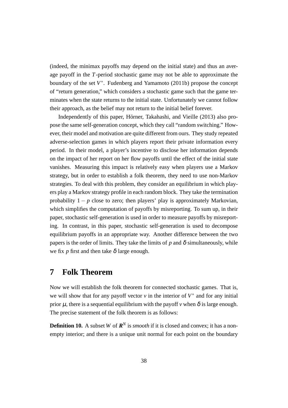(indeed, the minimax payoffs may depend on the initial state) and thus an average payoff in the *T*-period stochastic game may not be able to approximate the boundary of the set *V ∗* . Fudenberg and Yamamoto (2011b) propose the concept of "return generation," which considers a stochastic game such that the game terminates when the state returns to the initial state. Unfortunately we cannot follow their approach, as the belief may not return to the initial belief forever.

Independently of this paper, Hörner, Takahashi, and Vieille (2013) also propose the same self-generation concept, which they call "random switching." However, their model and motivation are quite different from ours. They study repeated adverse-selection games in which players report their private information every period. In their model, a player's incentive to disclose her information depends on the impact of her report on her flow payoffs until the effect of the initial state vanishes. Measuring this impact is relatively easy when players use a Markov strategy, but in order to establish a folk theorem, they need to use non-Markov strategies. To deal with this problem, they consider an equilibrium in which players play a Markov strategy profile in each random block. They take the termination probability  $1 - p$  close to zero; then players' play is approximately Markovian, which simplifies the computation of payoffs by misreporting. To sum up, in their paper, stochastic self-generation is used in order to measure payoffs by misreporting. In contrast, in this paper, stochastic self-generation is used to decompose equilibrium payoffs in an appropriate way. Another difference between the two papers is the order of limits. They take the limits of  $p$  and  $\delta$  simultaneously, while we fix *p* first and then take  $\delta$  large enough.

## **7 Folk Theorem**

Now we will establish the folk theorem for connected stochastic games. That is, we will show that for any payoff vector  $v$  in the interior of  $V^*$  and for any initial prior  $\mu$ , there is a sequential equilibrium with the payoff  $\nu$  when  $\delta$  is large enough. The precise statement of the folk theorem is as follows:

**Definition 10.** A subset *W* of  $\mathbb{R}^N$  is *smooth* if it is closed and convex; it has a nonempty interior; and there is a unique unit normal for each point on the boundary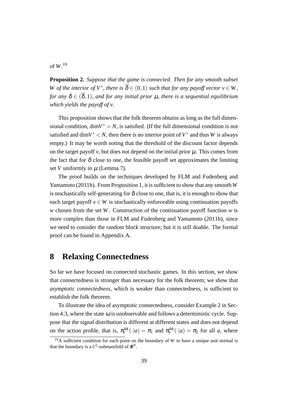## of *W*. 19

**Proposition 2.** *Suppose that the game is connected. Then for any smooth subset W* of the interior of  $V^*$ , there is  $\overline{\delta} \in (0,1)$  such that for any payoff vector  $v \in W$ , *for any*  $\delta \in (\overline{\delta}, 1)$ *, and for any initial prior* **µ***, there is a sequential equilibrium which yields the payoff of v.*

This proposition shows that the folk theorem obtains as long as the full dimensional condition,  $\dim V^* = N$ , is satisfied. (If the full dimensional condition is not satisfied and dim $V^*$  < N, then there is no interior point of  $V^*$  and thus W is always empty.) It may be worth noting that the threshold of the discount factor depends on the target payoff  $\nu$ , but does not depend on the initial prior  $\mu$ . This comes from the fact that for  $\delta$  close to one, the feasible payoff set approximates the limiting set *V* uniformly in  $\mu$  (Lemma 7).

The proof builds on the techniques developed by FLM and Fudenberg and Yamamoto (2011b). From Proposition 1, it is sufficient to show that any smooth *W* is stochastically self-generating for  $\delta$  close to one, that is, it is enough to show that each target payoff  $v \in W$  is stochastically enforceable using continuation payoffs *w* chosen from the set *W*. Construction of the continuation payoff function *w* is more complex than those in FLM and Fudenberg and Yamamoto (2011b), since we need to consider the random block structure; but it is still doable. The formal proof can be found in Appendix A.

# **8 Relaxing Connectedness**

So far we have focused on connected stochastic games. In this section, we show that connectedness is stronger than necessary for the folk theorem; we show that *asymptotic connectedness*, which is weaker than connectedness, is sufficient to establish the folk theorem.

To illustrate the idea of asymptotic connectedness, consider Example 2 in Section 4.3, where the state  $\omega$  is unobservable and follows a deterministic cycle. Suppose that the signal distribution is different at different states and does not depend on the action profile, that is,  $\pi_y^{\omega_1}(\cdot|a) = \pi_1$  and  $\pi_y^{\omega_2}(\cdot|a) = \pi_2$  for all *a*, where

<sup>&</sup>lt;sup>19</sup>A sufficient condition for each point on the boundary of *W* to have a unique unit normal is that the boundary is a  $C^2$ -submanifold of  $\mathbf{R}^N$ .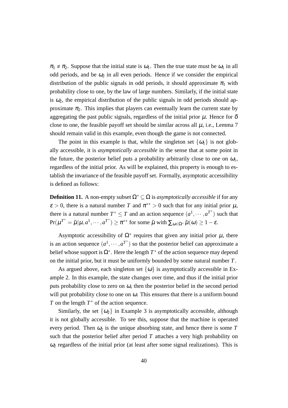$\pi_1 \neq \pi_2$ . Suppose that the initial state is  $\omega_1$ . Then the true state must be  $\omega_1$  in all odd periods, and be  $\omega_2$  in all even periods. Hence if we consider the empirical distribution of the public signals in odd periods, it should approximate  $\pi_1$  with probability close to one, by the law of large numbers. Similarly, if the initial state is  $\omega_2$ , the empirical distribution of the public signals in odd periods should approximate  $\pi_2$ . This implies that players can eventually learn the current state by aggregating the past public signals, regardless of the initial prior  $\mu$ . Hence for  $\delta$ close to one, the feasible payoff set should be similar across all  $\mu$ , i.e., Lemma 7 should remain valid in this example, even though the game is not connected.

The point in this example is that, while the singleton set  $\{\omega_1\}$  is not globally accessible, it is *asymptotically accessible* in the sense that at some point in the future, the posterior belief puts a probability arbitrarily close to one on  $\omega_1$ , regardless of the initial prior. As will be explained, this property is enough to establish the invariance of the feasible payoff set. Formally, asymptotic accessibility is defined as follows:

**Definition 11.** A non-empty subset  $\Omega^* \subseteq \Omega$  is *asymptotically accessible* if for any  $\varepsilon > 0$ , there is a natural number *T* and  $\pi^{**} > 0$  such that for any initial prior  $\mu$ , there is a natural number  $T^* \leq T$  and an action sequence  $(a^1, \dots, a^{T^*})$  such that  $Pr(\mu^{T^*} = \tilde{\mu} | \mu, a^1, \dots, a^{T^*}) \ge \pi^{**}$  for some  $\tilde{\mu}$  with  $\sum_{\omega \in \Omega^*} \tilde{\mu}(\omega) \ge 1 - \varepsilon$ .

Asymptotic accessibility of  $\Omega^*$  requires that given any initial prior  $\mu$ , there is an action sequence  $(a^1, \dots, a^{T^*})$  so that the posterior belief can approximate a belief whose support is  $\Omega^*$ . Here the length  $T^*$  of the action sequence may depend on the initial prior, but it must be uniformly bounded by some natural number *T*.

As argued above, each singleton set  $\{\omega\}$  is asymptotically accessible in Example 2. In this example, the state changes over time, and thus if the initial prior puts probability close to zero on  $\omega$ , then the posterior belief in the second period will put probability close to one on  $\omega$ . This ensures that there is a uniform bound *T* on the length *T*<sup>∗</sup> of the action sequence.

Similarly, the set  $\{\omega_2\}$  in Example 3 is asymptotically accessible, although it is not globally accessible. To see this, suppose that the machine is operated every period. Then  $\omega_2$  is the unique absorbing state, and hence there is some T such that the posterior belief after period  $T$  attaches a very high probability on  $\omega_2$  regardless of the initial prior (at least after some signal realizations). This is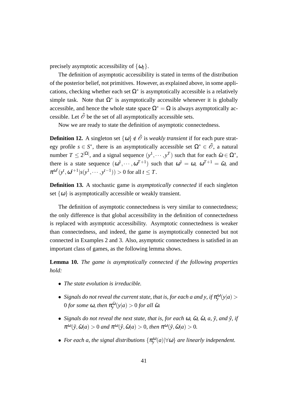precisely asymptotic accessibility of  $\{\omega_2\}$ .

The definition of asymptotic accessibility is stated in terms of the distribution of the posterior belief, not primitives. However, as explained above, in some applications, checking whether each set  $\Omega^*$  is asymptotically accessible is a relatively simple task. Note that  $\Omega^*$  is asymptotically accessible whenever it is globally accessible, and hence the whole state space  $\Omega^* = \Omega$  is always asymptotically accessible. Let  $\tilde{\mathcal{O}}$  be the set of all asymptotically accessible sets.

Now we are ready to state the definition of asymptotic connectedness.

**Definition 12.** A singleton set  $\{\omega\} \notin \tilde{\mathcal{O}}$  is *weakly transient* if for each pure strategy profile  $s \in S^*$ , there is an asymptotically accessible set  $\Omega^* \in \tilde{\mathcal{O}}$ , a natural number  $T \le 2^{|\Omega|}$ , and a signal sequence  $(y^1, \dots, y^T)$  such that for each  $\tilde{\omega} \in \Omega^*$ , there is a state sequence  $(\omega^1, \dots, \omega^{T+1})$  such that  $\omega^1 = \omega$ ,  $\omega^{T+1} = \tilde{\omega}$ , and  $\pi^{\omega^t}(y^t, \omega^{t+1}|s(y^1, \dots, y^{t-1})) > 0$  for all  $t \leq T$ .

**Definition 13.** A stochastic game is *asymptotically connected* if each singleton set  $\{\omega\}$  is asymptotically accessible or weakly transient.

The definition of asymptotic connectedness is very similar to connectedness; the only difference is that global accessibility in the definition of connectedness is replaced with asymptotic accessibility. Asymptotic connectedness is weaker than connectedness, and indeed, the game is asymptotically connected but not connected in Examples 2 and 3. Also, asymptotic connectedness is satisfied in an important class of games, as the following lemma shows.

**Lemma 10.** *The game is asymptotically connected if the following properties hold:*

- *• The state evolution is irreducible.*
- *Signals do not reveal the current state, that is, for each a and y, if*  $\pi_{y}^{\omega}(y|a)$  >  $0$  *for some*  $\omega$ *, then*  $\pi_{\mathbf{y}}^{\tilde{\omega}}(\mathbf{y}|a) > 0$  *for all*  $\tilde{\omega}$ *.*
- *Signals do not reveal the next state, that is, for each*  $\omega$ ,  $\tilde{\omega}$ ,  $\hat{\omega}$ ,  $a$ ,  $\tilde{y}$ , and  $\hat{y}$ , if  $\pi^{\omega}(\tilde{y}, \tilde{\omega}|a) > 0$  and  $\pi^{\omega}(\hat{y}, \hat{\omega}|a) > 0$ , then  $\pi^{\omega}(\tilde{y}, \hat{\omega}|a) > 0$ .
- $\bullet$  *For each a, the signal distributions*  $\{\pi_{\mathbf{y}}^{\omega}(a)|\forall\omega\}$  *are linearly independent.*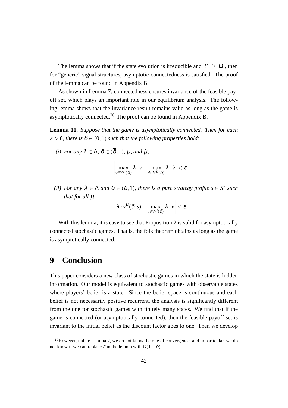The lemma shows that if the state evolution is irreducible and  $|Y| > |\Omega|$ , then for "generic" signal structures, asymptotic connectedness is satisfied. The proof of the lemma can be found in Appendix B.

As shown in Lemma 7, connectedness ensures invariance of the feasible payoff set, which plays an important role in our equilibrium analysis. The following lemma shows that the invariance result remains valid as long as the game is asymptotically connected.<sup>20</sup> The proof can be found in Appendix B.

**Lemma 11.** *Suppose that the game is asymptotically connected. Then for each*  $\varepsilon > 0$ , there is  $\overline{\delta} \in (0,1)$  such that the following properties hold:

*(i)* For any  $\lambda \in \Lambda$ ,  $\delta \in (\overline{\delta}, 1)$ ,  $\mu$ , and  $\tilde{\mu}$ ,

$$
\left|\max_{\nu\in V^\mu(\delta)}\lambda\cdot\nu-\max_{\tilde{\nu}\in V^{\tilde{\mu}}(\delta)}\lambda\cdot\tilde{\nu}\right|<\varepsilon.
$$

*(ii)* For any  $\lambda \in \Lambda$  and  $\delta \in (\overline{\delta}, 1)$ , there is a pure strategy profile  $s \in S^*$  such *that for all* µ*,*

$$
\left|\lambda \cdot v^{\mu}(\delta,s) - \max_{v \in V^{\mu}(\delta)} \lambda \cdot v\right| < \varepsilon.
$$

With this lemma, it is easy to see that Proposition 2 is valid for asymptotically connected stochastic games. That is, the folk theorem obtains as long as the game is asymptotically connected.

## **9 Conclusion**

This paper considers a new class of stochastic games in which the state is hidden information. Our model is equivalent to stochastic games with observable states where players' belief is a state. Since the belief space is continuous and each belief is not necessarily positive recurrent, the analysis is significantly different from the one for stochastic games with finitely many states. We find that if the game is connected (or asymptotically connected), then the feasible payoff set is invariant to the initial belief as the discount factor goes to one. Then we develop

 $^{20}$ However, unlike Lemma 7, we do not know the rate of convergence, and in particular, we do not know if we can replace  $\varepsilon$  in the lemma with  $O(1-\delta)$ .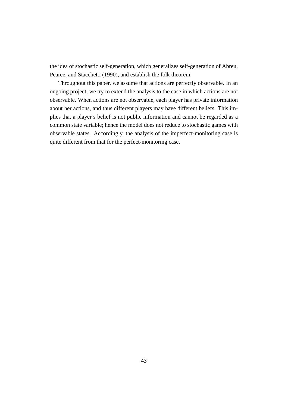the idea of stochastic self-generation, which generalizes self-generation of Abreu, Pearce, and Stacchetti (1990), and establish the folk theorem.

Throughout this paper, we assume that actions are perfectly observable. In an ongoing project, we try to extend the analysis to the case in which actions are not observable. When actions are not observable, each player has private information about her actions, and thus different players may have different beliefs. This implies that a player's belief is not public information and cannot be regarded as a common state variable; hence the model does not reduce to stochastic games with observable states. Accordingly, the analysis of the imperfect-monitoring case is quite different from that for the perfect-monitoring case.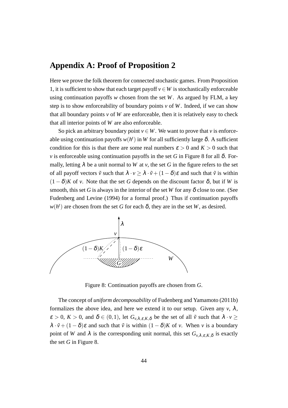# **Appendix A: Proof of Proposition 2**

Here we prove the folk theorem for connected stochastic games. From Proposition 1, it is sufficient to show that each target payoff  $v \in W$  is stochastically enforceable using continuation payoffs *w* chosen from the set *W*. As argued by FLM, a key step is to show enforceability of boundary points  $\nu$  of W. Indeed, if we can show that all boundary points  $v$  of  $W$  are enforceable, then it is relatively easy to check that all interior points of *W* are also enforceable.

So pick an arbitrary boundary point  $v \in W$ . We want to prove that *v* is enforceable using continuation payoffs  $w(h^t)$  in W for all sufficiently large  $\delta$ . A sufficient condition for this is that there are some real numbers  $\varepsilon > 0$  and  $K > 0$  such that *v* is enforceable using continuation payoffs in the set *G* in Figure 8 for all  $\delta$ . Formally, letting  $\lambda$  be a unit normal to *W* at *v*, the set *G* in the figure refers to the set of all payoff vectors  $\tilde{v}$  such that  $\lambda \cdot v \geq \lambda \cdot \tilde{v} + (1 - \delta)\varepsilon$  and such that  $\tilde{v}$  is within  $(1 - \delta)K$  of *v*. Note that the set *G* depends on the discount factor  $\delta$ , but if *W* is smooth, this set G is always in the interior of the set W for any  $\delta$  close to one. (See Fudenberg and Levine (1994) for a formal proof.) Thus if continuation payoffs  $w(h^t)$  are chosen from the set *G* for each  $\delta$ , they are in the set *W*, as desired.



Figure 8: Continuation payoffs are chosen from *G*.

The concept of *uniform decomposability* of Fudenberg and Yamamoto (2011b) formalizes the above idea, and here we extend it to our setup. Given any  $v, \lambda$ ,  $\varepsilon > 0$ ,  $K > 0$ , and  $\delta \in (0,1)$ , let  $G_{\nu,\lambda,\varepsilon,K,\delta}$  be the set of all  $\tilde{\nu}$  such that  $\lambda \cdot \nu \geq$  $\lambda \cdot \tilde{v} + (1 - \delta)\varepsilon$  and such that  $\tilde{v}$  is within  $(1 - \delta)K$  of *v*. When *v* is a boundary point of *W* and  $\lambda$  is the corresponding unit normal, this set  $G_{\nu,\lambda,\varepsilon,K,\delta}$  is exactly the set *G* in Figure 8.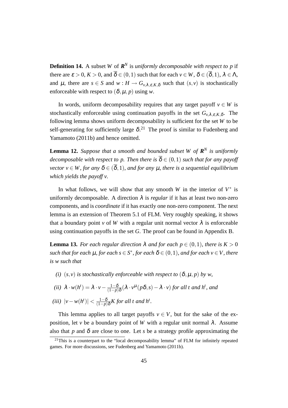**Definition 14.** A subset *W* of  $\mathbb{R}^N$  is *uniformly decomposable with respect to p* if there are  $\varepsilon > 0$ ,  $K > 0$ , and  $\overline{\delta} \in (0,1)$  such that for each  $v \in W$ ,  $\delta \in (\overline{\delta},1)$ ,  $\lambda \in \Lambda$ , and  $\mu$ , there are  $s \in S$  and  $w : H \to G_{\nu,\lambda,\varepsilon,K,\delta}$  such that  $(s, v)$  is stochastically enforceable with respect to  $(\delta, \mu, p)$  using *w*.

In words, uniform decomposability requires that any target payoff  $v \in W$  is stochastically enforceable using continuation payoffs in the set  $G_{v,\lambda,\varepsilon,K,\delta}$ . The following lemma shows uniform decomposability is sufficient for the set *W* to be self-generating for sufficiently large  $\delta$ .<sup>21</sup> The proof is similar to Fudenberg and Yamamoto (2011b) and hence omitted.

**Lemma 12.** *Suppose that a smooth and bounded subset W of*  $\mathbb{R}^N$  *is uniformly decomposable with respect to p. Then there is*  $\overline{\delta} \in (0,1)$  *such that for any payoff vector*  $v \in W$ , for any  $\delta \in (\overline{\delta}, 1)$ , and for any  $\mu$ , there is a sequential equilibrium *which yields the payoff v.*

In what follows, we will show that any smooth *W* in the interior of  $V^*$  is uniformly decomposable. A direction  $\lambda$  is *regular* if it has at least two non-zero components, and is *coordinate* if it has exactly one non-zero component. The next lemma is an extension of Theorem 5.1 of FLM. Very roughly speaking, it shows that a boundary point *v* of *W* with a regular unit normal vector  $\lambda$  is enforceable using continuation payoffs in the set *G*. The proof can be found in Appendix B.

**Lemma 13.** *For each regular direction*  $\lambda$  *and for each p*  $\in$  (0*,*1*), there is*  $K > 0$ *such that for each*  $\mu$ *, for each*  $s \in S^*$ *, for each*  $\delta \in (0,1)$ *, and for each*  $v \in V$ *, there is w such that*

*(i)*  $(s, v)$  *is stochastically enforceable with respect to*  $(\delta, \mu, p)$  *by w,* 

(*ii*) 
$$
\lambda \cdot w(h^t) = \lambda \cdot v - \frac{1-\delta}{(1-p)\delta} (\lambda \cdot v^{\mu}(p\delta, s) - \lambda \cdot v)
$$
 for all t and h<sup>t</sup>, and

*(iii)*  $|v - w(h^t)| < \frac{1-\delta}{(1-n)}$ (1*−p*)δ *K for all t and h<sup>t</sup> .*

This lemma applies to all target payoffs  $v \in V$ , but for the sake of the exposition, let *v* be a boundary point of *W* with a regular unit normal  $\lambda$ . Assume also that *p* and  $\delta$  are close to one. Let *s* be a strategy profile approximating the

 $21$ This is a counterpart to the "local decomposability lemma" of FLM for infinitely repeated games. For more discussions, see Fudenberg and Yamamoto (2011b).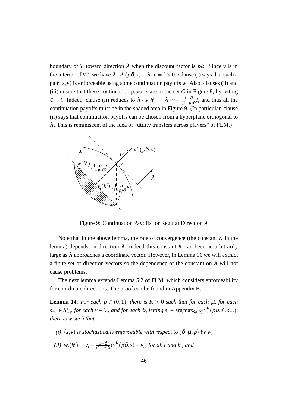boundary of *V* toward direction  $\lambda$  when the discount factor is  $p\delta$ . Since *v* is in the interior of  $V^*$ , we have  $\lambda \cdot v^{\mu}(p\delta, s) - \lambda \cdot v = l > 0$ . Clause (i) says that such a pair  $(s, v)$  is enforceable using some continuation payoffs *w*. Also, clauses (ii) and (iii) ensure that these continuation payoffs are in the set  $G$  in Figure 8, by letting  $\varepsilon = l$ . Indeed, clause (ii) reduces to  $\lambda \cdot w(h^t) = \lambda \cdot v - \frac{1-\delta}{(1-n)}$ (1*−p*)δ *l*, and thus all the continuation payoffs must be in the shaded area in Figure 9. (In particular, clause (ii) says that continuation payoffs can be chosen from a hyperplane orthogonal to  $\lambda$ . This is reminiscent of the idea of "utility transfers across players" of FLM.)



Figure 9: Continuation Payoffs for Regular Direction  $\lambda$ 

Note that in the above lemma, the rate of convergence (the constant *K* in the lemma) depends on direction  $\lambda$ ; indeed this constant *K* can become arbitrarily large as  $\lambda$  approaches a coordinate vector. However, in Lemma 16 we will extract a finite set of direction vectors so the dependence of the constant on  $\lambda$  will not cause problems.

The next lemma extends Lemma 5.2 of FLM, which considers enforceability for coordinate directions. The proof can be found in Appendix B.

**Lemma 14.** *For each*  $p \in (0,1)$ *, there is*  $K > 0$  *such that for each*  $\mu$ *, for each*  $s_{-i} \in S_{-i}^*$ , for each  $v \in V$ , and for each  $\delta$ , letting  $s_i \in \arg\max_{\tilde{s}_i \in S_i^*} v_i^{\mu}(p\delta, \tilde{s}_i, s_{-i})$ , *there is w such that*

- *(i)*  $(s, v)$  *is stochastically enforceable with respect to*  $(\delta, \mu, p)$  *by w,*
- $(iii)$   $w_i(h^t) = v_i \frac{1-\delta}{(1-n)}$ (1*−p*)δ (*v* µ *i* (*p*δ*,s*)*−vi*) *for all t and h<sup>t</sup> , and*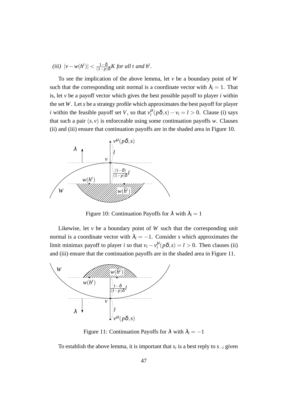*(iii)*  $|v - w(h^t)| < \frac{1-\delta}{(1-n)}$ (1*−p*)δ *K for all t and h<sup>t</sup> .*

To see the implication of the above lemma, let *v* be a boundary point of *W* such that the corresponding unit normal is a coordinate vector with  $\lambda_i = 1$ . That is, let *v* be a payoff vector which gives the best possible payoff to player *i* within the set *W*. Let *s* be a strategy profile which approximates the best payoff for player *i* within the feasible payoff set *V*, so that  $v_i^{\mu}(p\delta, s) - v_i = l > 0$ . Clause (i) says that such a pair  $(s, v)$  is enforceable using some continuation payoffs *w*. Clauses (ii) and (iii) ensure that continuation payoffs are in the shaded area in Figure 10.



Figure 10: Continuation Payoffs for  $\lambda$  with  $\lambda_i = 1$ 

Likewise, let *v* be a boundary point of *W* such that the corresponding unit normal is a coordinate vector with  $\lambda_i = -1$ . Consider *s* which approximates the limit minimax payoff to player *i* so that  $v_i - v_i^{\mu} (p \delta, s) = l > 0$ . Then clauses (ii) and (iii) ensure that the continuation payoffs are in the shaded area in Figure 11.



Figure 11: Continuation Payoffs for  $\lambda$  with  $\lambda_i = -1$ 

To establish the above lemma, it is important that  $s_i$  is a best reply to  $s_{-i}$  given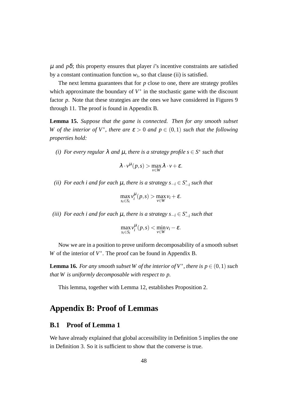$\mu$  and  $p\delta$ ; this property ensures that player *i*'s incentive constraints are satisfied by a constant continuation function  $w_i$ , so that clause (ii) is satisfied.

The next lemma guarantees that for *p* close to one, there are strategy profiles which approximate the boundary of  $V^*$  in the stochastic game with the discount factor *p*. Note that these strategies are the ones we have considered in Figures 9 through 11. The proof is found in Appendix B.

**Lemma 15.** *Suppose that the game is connected. Then for any smooth subset W* of the interior of  $V^*$ , there are  $\varepsilon > 0$  and  $p \in (0,1)$  such that the following *properties hold:*

*(i)* For every regular  $\lambda$  *and*  $\mu$ *, there is a strategy profile*  $s \in S^*$  *such that* 

$$
\lambda \cdot v^{\mu}(p,s) > \max_{v \in W} \lambda \cdot v + \varepsilon.
$$

*(ii) For each i and for each* <sup>µ</sup>*, there is a strategy s−<sup>i</sup> ∈ S ∗ −i such that*

$$
\max_{s_i \in S_i} v_i^{\mu}(p,s) > \max_{v \in W} v_i + \varepsilon.
$$

 $(iii)$  *For each i and for each*  $\mu$ *, there is a strategy*  $s_{-i}$  ∈  $S^*_{-i}$  *such that* 

$$
\max_{s_i \in S_i} v_i^{\mu}(p,s) < \min_{v \in W} v_i - \varepsilon.
$$

Now we are in a position to prove uniform decomposability of a smooth subset *W* of the interior of  $V^*$ . The proof can be found in Appendix B.

**Lemma 16.** For any smooth subset W of the interior of  $V^*$ , there is  $p \in (0,1)$  such *that W is uniformly decomposable with respect to p.*

This lemma, together with Lemma 12, establishes Proposition 2.

# **Appendix B: Proof of Lemmas**

## **B.1 Proof of Lemma 1**

We have already explained that global accessibility in Definition 5 implies the one in Definition 3. So it is sufficient to show that the converse is true.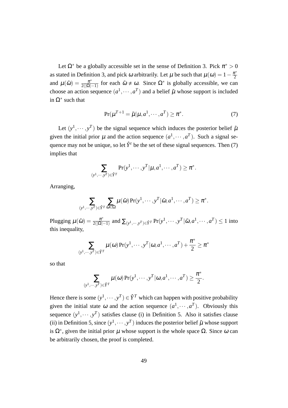Let  $\Omega^*$  be a globally accessible set in the sense of Definition 3. Pick  $\pi^* > 0$ as stated in Definition 3, and pick  $\omega$  arbitrarily. Let  $\mu$  be such that  $\mu(\omega) = 1 - \frac{\pi^*}{2}$ 2 and  $\mu(\tilde{\omega}) = \frac{\pi^*}{2(|\Omega|)}$  $\frac{\pi^*}{2(|\Omega|-1)}$  for each  $\tilde{\omega} \neq \omega$ . Since  $\Omega^*$  is globally accessible, we can choose an action sequence  $(a^1, \dots, a^T)$  and a belief  $\tilde{\mu}$  whose support is included in  $\Omega^*$  such that

$$
Pr(\mu^{T+1} = \tilde{\mu} | \mu, a^1, \cdots, a^T) \ge \pi^*.
$$
 (7)

Let  $(y^1, \dots, y^T)$  be the signal sequence which induces the posterior belief  $\tilde{\mu}$ given the initial prior  $\mu$  and the action sequence  $(a^1, \dots, a^T)$ . Such a signal sequence may not be unique, so let  $\hat{Y}^t$  be the set of these signal sequences. Then (7) implies that

$$
\sum_{(y^1,\dots,y^T)\in\hat{Y}^T} \Pr(y^1,\dots,y^T | \mu, a^1,\dots,a^T) \ge \pi^*.
$$

Arranging,

$$
\sum_{(y^1,\cdots,y^T)\in \hat{Y}^T}\sum_{\tilde{\omega}\in \Omega}\mu(\tilde{\omega})\Pr(y^1,\cdots,y^T|\tilde{\omega},a^1,\cdots,a^T)\geq \pi^*.
$$

Plugging  $\mu(\tilde{\omega}) = \frac{\pi^*}{2(|\tilde{\omega}|)}$  $\frac{\pi^*}{2(|\Omega|-1)}$  and  $\sum_{(y^1,\cdots,y^T)\in \hat{Y}^T}\Pr(y^1,\cdots,y^T|\tilde{\omega},a^1,\cdots,a^T)\leq 1$  into this inequality,

$$
\sum_{(y^1,\dots,y^T)\in \hat{Y}^T}\mu(\omega)\Pr(y^1,\dots,y^T|\omega,a^1,\dots,a^T)+\frac{\pi^*}{2}\geq \pi^*
$$

so that

$$
\sum_{(y^1,\dots,y^T)\in \hat{Y}^T}\mu(\omega)\Pr(y^1,\dots,y^T|\omega,a^1,\dots,a^T)\geq \frac{\pi^*}{2}.
$$

Hence there is some  $(y^1, \dots, y^T) \in \hat{Y}^T$  which can happen with positive probability given the initial state  $\omega$  and the action sequence  $(a^1, \dots, a^T)$ . Obviously this sequence  $(y^1, \dots, y^T)$  satisfies clause (i) in Definition 5. Also it satisfies clause (ii) in Definition 5, since  $(y^1, \dots, y^T)$  induces the posterior belief  $\tilde{\mu}$  whose support is  $Ω<sup>*</sup>$ , given the initial prior  $μ$  whose support is the whole space  $Ω$ . Since  $ω$  can be arbitrarily chosen, the proof is completed.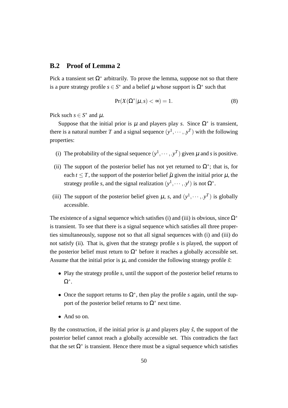### **B.2 Proof of Lemma 2**

Pick a transient set  $\Omega^*$  arbitrarily. To prove the lemma, suppose not so that there is a pure strategy profile  $s \in S^*$  and a belief  $\mu$  whose support is  $\Omega^*$  such that

$$
Pr(X(\Omega^*|\mu, s) < \infty) = 1. \tag{8}
$$

Pick such  $s \in S^*$  and  $\mu$ .

Suppose that the initial prior is  $\mu$  and players play *s*. Since  $\Omega^*$  is transient, there is a natural number *T* and a signal sequence  $(y^1, \dots, y^T)$  with the following properties:

- (i) The probability of the signal sequence  $(y^1, \dots, y^T)$  given  $\mu$  and *s* is positive.
- (ii) The support of the posterior belief has not yet returned to  $\Omega^*$ ; that is, for each  $t \leq T$ , the support of the posterior belief  $\tilde{\mu}$  given the initial prior  $\mu$ , the strategy profile *s*, and the signal realization  $(y^1, \dots, y^t)$  is not  $\Omega^*$ .
- (iii) The support of the posterior belief given  $\mu$ , *s*, and  $(y^1, \dots, y^T)$  is globally accessible.

The existence of a signal sequence which satisfies (i) and (iii) is obvious, since Ω*<sup>∗</sup>* is transient. To see that there is a signal sequence which satisfies all three properties simultaneously, suppose not so that all signal sequences with (i) and (iii) do not satisfy (ii). That is, given that the strategy profile *s* is played, the support of the posterior belief must return to  $\Omega^*$  before it reaches a globally accessible set. Assume that the initial prior is  $\mu$ , and consider the following strategy profile  $\tilde{s}$ .

- *•* Play the strategy profile *s*, until the support of the posterior belief returns to Ω*∗* .
- *•* Once the support returns to Ω*<sup>∗</sup>* , then play the profile *s* again, until the support of the posterior belief returns to  $\Omega^*$  next time.
- *•* And so on.

By the construction, if the initial prior is  $\mu$  and players play  $\tilde{s}$ , the support of the posterior belief cannot reach a globally accessible set. This contradicts the fact that the set  $\Omega^*$  is transient. Hence there must be a signal sequence which satisfies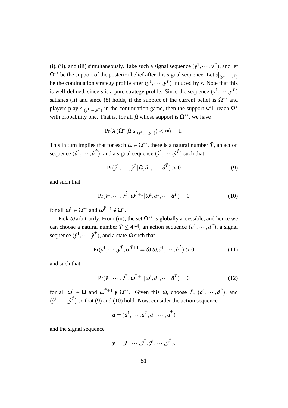(i), (ii), and (iii) simultaneously. Take such a signal sequence  $(y^1, \dots, y^T)$ , and let  $\Omega^{**}$  be the support of the posterior belief after this signal sequence. Let  $s|_{(y^1, \dots, y^T)}$ be the continuation strategy profile after  $(y^1, \dots, y^T)$  induced by *s*. Note that this is well-defined, since *s* is a pure strategy profile. Since the sequence  $(y^1, \dots, y^T)$ satisfies (ii) and since (8) holds, if the support of the current belief is  $\Omega^{**}$  and players play  $s|_{(y^1, \dots, y^T)}$  in the continuation game, then the support will reach  $\Omega^*$ with probability one. That is, for all  $\hat{\mu}$  whose support is  $\Omega^{**}$ , we have

$$
\Pr(X(\Omega^*|\hat{\mu}, s|_{(y^1, \dots, y^T)}) < \infty) = 1.
$$

This in turn implies that for each  $\hat{\omega} \in \Omega^{**}$ , there is a natural number  $\hat{T}$ , an action sequence  $(\hat{a}^1, \dots, \hat{a}^{\hat{T}})$ , and a signal sequence  $(\hat{y}^1, \dots, \hat{y}^{\hat{T}})$  such that

$$
\Pr(\hat{\mathbf{y}}^1, \cdots, \hat{\mathbf{y}}^T | \hat{\boldsymbol{\omega}}, \hat{\boldsymbol{a}}^1, \cdots, \hat{\boldsymbol{a}}^T) > 0
$$
\n<sup>(9)</sup>

and such that

$$
Pr(\hat{y}^1, \cdots, \hat{y}^{\hat{T}}, \omega^{\hat{T}+1} | \omega^1, \hat{a}^1, \cdots, \hat{a}^{\hat{T}}) = 0
$$
 (10)

for all  $\omega^1 \in \Omega^{**}$  and  $\omega^{\hat{T}+1} \notin \Omega^*$ .

Pick  $\omega$  arbitrarily. From (iii), the set  $\Omega^{**}$  is globally accessible, and hence we can choose a natural number  $\tilde{T} \leq 4^{|\Omega|}$ , an action sequence  $(\tilde{a}^1, \dots, \tilde{a}^{\tilde{T}})$ , a signal sequence  $(\tilde{y}^1, \cdots, \tilde{y}^{\tilde{T}})$ , and a state  $\hat{\omega}$  such that

$$
\Pr(\tilde{y}^1, \cdots, \tilde{y}^{\tilde{T}}, \omega^{\tilde{T}+1} = \hat{\omega} | \omega, \tilde{a}^1, \cdots, \tilde{a}^{\tilde{T}}) > 0
$$
\n(11)

and such that

$$
\Pr(\tilde{y}^1, \cdots, \tilde{y}^{\tilde{T}}, \omega^{\tilde{T}+1} | \omega^1, \tilde{a}^1, \cdots, \tilde{a}^{\tilde{T}}) = 0
$$
\n(12)

for all  $\omega^1 \in \Omega$  and  $\omega^{\tilde{T}+1} \notin \Omega^{**}$ . Given this  $\hat{\omega}$ , choose  $\hat{T}$ ,  $(\hat{a}^1, \dots, \hat{a}^{\hat{T}})$ , and  $(\hat{y}^1, \dots, \hat{y}^T)$  so that (9) and (10) hold. Now, consider the action sequence

$$
\pmb a=(\tilde a^1,\cdots,\tilde a^{\tilde T},\hat a^1,\cdots,\hat a^{\hat T})
$$

and the signal sequence

$$
\mathbf{y}=(\tilde{y}^1,\cdots,\tilde{y}^{\tilde{T}},\hat{y}^1,\cdots,\hat{y}^{\hat{T}}).
$$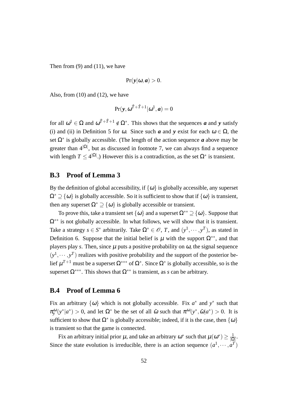Then from  $(9)$  and  $(11)$ , we have

$$
Pr(y|\omega, a) > 0.
$$

Also, from  $(10)$  and  $(12)$ , we have

$$
Pr(\mathbf{y}, \omega^{\tilde{T}+\hat{T}+1}|\omega^1, \mathbf{a}) = 0
$$

for all  $\omega^1 \in \Omega$  and  $\omega^{T+\hat{T}+1} \notin \Omega^*$ . This shows that the sequences *a* and *y* satisfy (i) and (ii) in Definition 5 for  $\omega$ . Since such *a* and *y* exist for each  $\omega \in \Omega$ , the set Ω*<sup>∗</sup>* is globally accessible. (The length of the action sequence *a* above may be greater than 4*|*Ω*<sup>|</sup>* , but as discussed in footnote 7, we can always find a sequence with length  $T \leq 4^{|\Omega|}$ .) However this is a contradiction, as the set  $\Omega^*$  is transient.

#### **B.3 Proof of Lemma 3**

By the definition of global accessibility, if  $\{\omega\}$  is globally accessible, any superset  $\Omega^* \supseteq {\omega}$  is globally accessible. So it is sufficient to show that if  ${\omega}$  is transient, then any superset  $\Omega^* \supseteq {\omega}$  is globally accessible or transient.

To prove this, take a transient set  $\{\omega\}$  and a superset  $\Omega^{**} \supseteq \{\omega\}$ . Suppose that Ω*∗∗* is not globally accessible. In what follows, we will show that it is transient. Take a strategy  $s \in S^*$  arbitrarily. Take  $\Omega^* \in \mathcal{O}$ , *T*, and  $(y^1, \dots, y^T)$ , as stated in Definition 6. Suppose that the initial belief is  $\mu$  with the support  $\Omega^{**}$ , and that players play *s*. Then, since  $\mu$  puts a positive probability on  $\omega$ , the signal sequence  $(y<sup>1</sup>, \dots, y<sup>T</sup>)$  realizes with positive probability and the support of the posterior belief µ *<sup>T</sup>*+<sup>1</sup> must be a superset Ω*∗∗∗* of Ω*<sup>∗</sup>* . Since Ω*<sup>∗</sup>* is globally accessible, so is the superset  $\Omega^{***}$ . This shows that  $\Omega^{**}$  is transient, as *s* can be arbitrary.

## **B.4 Proof of Lemma 6**

Fix an arbitrary  $\{\omega\}$  which is not globally accessible. Fix  $a^*$  and  $y^*$  such that  $\pi_y^{\omega}(y^*|a^*) > 0$ , and let  $\Omega^*$  be the set of all  $\tilde{\omega}$  such that  $\pi^{\omega}(y^*, \tilde{\omega}|a^*) > 0$ . It is sufficient to show that  $\Omega^*$  is globally accessible; indeed, if it is the case, then  $\{\omega\}$ is transient so that the game is connected.

Fix an arbitrary initial prior  $\mu$ , and take an arbitrary  $\omega^*$  such that  $\mu(\omega^*) \geq \frac{1}{10}$  $\frac{1}{|\Omega|}$ . Since the state evolution is irreducible, there is an action sequence  $(a^1, \dots, a^T)$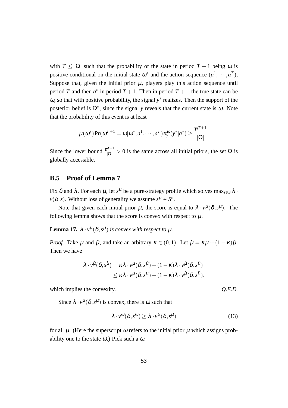with  $T \leq |\Omega|$  such that the probability of the state in period  $T + 1$  being  $\omega$  is positive conditional on the initial state  $\omega^*$  and the action sequence  $(a^1, \dots, a^T)$ , Suppose that, given the initial prior  $\mu$ , players play this action sequence until period *T* and then  $a^*$  in period  $T + 1$ . Then in period  $T + 1$ , the true state can be <sup>ω</sup>, so that with positive probability, the signal *y ∗* realizes. Then the support of the posterior belief is  $\Omega^*$ , since the signal *y* reveals that the current state is  $\omega$ . Note that the probability of this event is at least

$$
\mu(\boldsymbol{\omega}^*)\Pr(\boldsymbol{\omega}^{T+1}=\boldsymbol{\omega}|\boldsymbol{\omega}^*,a^1,\cdots,a^T)\pi_{\!\mathrm{y}}^{\boldsymbol{\omega}}(\mathrm{y}^*|a^*)\geq \frac{\overline{\pi}^{T+1}}{|\Omega|}.
$$

Since the lower bound  $\frac{\overline{\pi}^{T+1}}{|\Omega|} > 0$  is the same across all initial priors, the set  $\Omega$  is globally accessible.

## **B.5 Proof of Lemma 7**

Fix  $\delta$  and  $\lambda$ . For each  $\mu$ , let  $s^{\mu}$  be a pure-strategy profile which solves  $\max_{s \in S} \lambda \cdot$  $\nu(\delta, s)$ . Without loss of generality we assume  $s^{\mu} \in S^*$ .

Note that given each initial prior  $\mu$ , the score is equal to  $\lambda \cdot v^{\mu}(\delta, s^{\mu})$ . The following lemma shows that the score is convex with respect to  $\mu$ .

**Lemma 17.**  $\lambda \cdot v^{\mu}(\delta, s^{\mu})$  *is convex with respect to*  $\mu$ *.* 

*Proof.* Take  $\mu$  and  $\tilde{\mu}$ , and take an arbitrary  $\kappa \in (0,1)$ . Let  $\hat{\mu} = \kappa \mu + (1 - \kappa) \tilde{\mu}$ . Then we have

$$
\lambda \cdot v^{\hat{\mu}}(\delta, s^{\hat{\mu}}) = \kappa \lambda \cdot v^{\mu}(\delta, s^{\hat{\mu}}) + (1 - \kappa) \lambda \cdot v^{\tilde{\mu}}(\delta, s^{\hat{\mu}})
$$
  

$$
\leq \kappa \lambda \cdot v^{\mu}(\delta, s^{\mu}) + (1 - \kappa) \lambda \cdot v^{\tilde{\mu}}(\delta, s^{\tilde{\mu}}),
$$

which implies the convexity. *Q.E.D. Q.E.D.* 

Since  $\lambda \cdot v^{\mu}(\delta, s^{\mu})$  is convex, there is  $\omega$  such that

$$
\lambda \cdot v^{\omega}(\delta, s^{\omega}) \ge \lambda \cdot v^{\mu}(\delta, s^{\mu}) \tag{13}
$$

for all  $\mu$ . (Here the superscript  $\omega$  refers to the initial prior  $\mu$  which assigns probability one to the state  $\omega$ .) Pick such a  $\omega$ .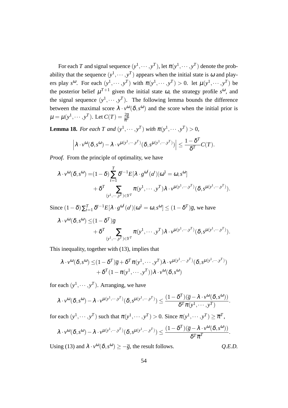For each *T* and signal sequence  $(y^1, \dots, y^T)$ , let  $\pi(y^1, \dots, y^T)$  denote the probability that the sequence  $(y^1, \dots, y^T)$  appears when the initial state is  $\omega$  and players play  $s^{\omega}$ . For each  $(y^1, \dots, y^T)$  with  $\pi(y^1, \dots, y^T) > 0$ . let  $\mu(y^1, \dots, y^T)$  be the posterior belief  $\mu^{T+1}$  given the initial state  $\omega$ , the strategy profile  $s^{\omega}$ , and the signal sequence  $(y^1, \dots, y^T)$ . The following lemma bounds the difference between the maximal score  $\lambda \cdot v^{\omega}(\delta, s^{\omega})$  and the score when the initial prior is  $\mu = \mu(y^1, \dots, y^T)$ . Let  $C(T) = \frac{2\overline{g}}{\overline{\pi}^T}$ 

**Lemma 18.** *For each T and*  $(y^1, \dots, y^T)$  *with*  $\pi(y^1, \dots, y^T) > 0$ ,

$$
\left|\lambda \cdot v^{\omega}(\delta, s^{\omega}) - \lambda \cdot v^{\mu(y^1, \cdots, y^T)}(\delta, s^{\mu(y^1, \cdots, y^T)})\right| \leq \frac{1 - \delta^T}{\delta^T} C(T).
$$

*Proof.* From the principle of optimality, we have

$$
\lambda \cdot v^{\omega}(\delta, s^{\omega}) = (1 - \delta) \sum_{t=1}^{T} \delta^{t-1} E[\lambda \cdot g^{\omega^t}(a^t) | \omega^1 = \omega, s^{\omega}] + \delta^T \sum_{(y^1, \dots, y^T) \in Y^T} \pi(y^1, \dots, y^T) \lambda \cdot v^{\mu(y^1, \dots, y^T)}(\delta, s^{\mu(y^1, \dots, y^T)}).
$$

Since  $(1 - \delta) \sum_{t=1}^{T} \delta^{t-1} E[\lambda \cdot g^{\omega^t}(a^t) | \omega^1 = \omega, s^{\omega}] \le (1 - \delta^T) \overline{g}$ , we have

$$
\lambda \cdot v^{\omega}(\delta, s^{\omega}) \leq (1 - \delta^T)\overline{g} + \delta^T \sum_{(y^1, \dots, y^T) \in Y^T} \pi(y^1, \dots, y^T) \lambda \cdot v^{\mu(y^1, \dots, y^T)}(\delta, s^{\mu(y^1, \dots, y^T)}).
$$

This inequality, together with (13), implies that

$$
\lambda \cdot v^{\omega}(\delta, s^{\omega}) \leq (1 - \delta^T)\overline{g} + \delta^T \pi(v^1, \dots, y^T) \lambda \cdot v^{\mu(v^1, \dots, y^T)}(\delta, s^{\mu(v^1, \dots, y^T)}) + \delta^T (1 - \pi(v^1, \dots, y^T)) \lambda \cdot v^{\omega}(\delta, s^{\omega})
$$

for each  $(y^1, \dots, y^T)$ . Arranging, we have

$$
\lambda \cdot v^{\omega}(\delta, s^{\omega}) - \lambda \cdot v^{\mu(y^1, \dots, y^T)}(\delta, s^{\mu(y^1, \dots, y^T)}) \leq \frac{(1 - \delta^T)(\overline{g} - \lambda \cdot v^{\omega}(\delta, s^{\omega}))}{\delta^T \pi(y^1, \dots, y^T)}.
$$
  
for each  $(y^1, \dots, y^T)$  such that  $\pi(y^1, \dots, y^T) > 0$ . Since  $\pi(y^1, \dots, y^T) \geq \overline{\pi}^T$ ,  

$$
\lambda \cdot v^{\omega}(\delta, s^{\omega}) - \lambda \cdot v^{\mu(y^1, \dots, y^T)}(\delta, s^{\mu(y^1, \dots, y^T)}) \leq \frac{(1 - \delta^T)(\overline{g} - \lambda \cdot v^{\omega}(\delta, s^{\omega}))}{\delta^T \overline{\pi}^T}.
$$

Using (13) and  $\lambda \cdot v^{\omega}(\delta, s^{\omega}) \geq -\overline{g}$ , the result follows.  $Q.E.D.$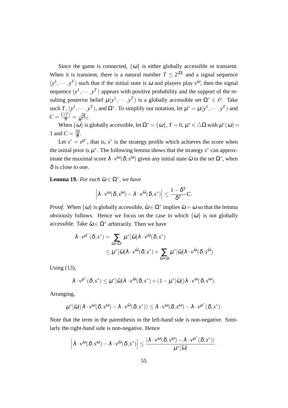Since the game is connected,  $\{\omega\}$  is either globally accessible or transient. When it is transient, there is a natural number  $T \leq 2^{|\Omega|}$  and a signal sequence  $(y<sup>1</sup>, \dots, y<sup>T</sup>)$  such that if the initial state is  $\omega$  and players play  $s<sup>\omega</sup>$ , then the signal sequence  $(y^1, \dots, y^T)$  appears with positive probability and the support of the resulting posterior belief  $\mu(y^1, \dots, y^T)$  is a globally accessible set  $\Omega^* \in \mathscr{O}$ . Take such  $T$ ,  $(y^1, \dots, y^T)$ , and  $\Omega^*$ . To simplify our notation, let  $\mu^* = \mu(y^1, \dots, y^T)$  and  $C = \frac{C(T)}{\overline{\pi}} = \frac{2\overline{g}}{\overline{\pi}^{T+1}}$  $\frac{\angle g}{\overline{\pi}^{T+1}}.$ 

When  $\{\omega\}$  is globally accessible, let  $\Omega^* = \{\omega\}$ ,  $T = 0$ ,  $\mu^* \in \Delta\Omega$  with  $\mu^*(\omega) =$ 1 and  $C = \frac{2\overline{g}}{\overline{\pi}}$ .

Let  $s^* = s^{\mu^*}$ , that is,  $s^*$  is the strategy profile which achieves the score when the initial prior is  $\mu^*$ . The following lemma shows that the strategy  $s^*$  can approximate the maximal score  $\lambda \cdot v^{\omega}(\delta, s^{\omega})$  given any initial state  $\tilde{\omega}$  in the set  $\Omega^*$ , when  $\delta$  is close to one.

**Lemma 19.** For each  $\tilde{\omega} \in \Omega^*$ , we have

$$
\left|\lambda\cdot v^{\omega}(\delta,s^{\omega})-\lambda\cdot v^{\tilde{\omega}}(\delta,s^*)\right|\leq \frac{1-\delta^T}{\delta^T}C.
$$

*Proof.* When  $\{\omega\}$  is globally accessible,  $\tilde{\omega} \in \Omega^*$  implies  $\tilde{\omega} = \omega$  so that the lemma obviously follows. Hence we focus on the case in which  $\{\omega\}$  is not globally accessible. Take  $\tilde{\omega} \in \Omega^*$  arbitrarily. Then we have

$$
\lambda \cdot v^{\mu^*}(\delta, s^*) = \sum_{\hat{\omega} \in \Omega^*} \mu^*[\hat{\omega}] \lambda \cdot v^{\hat{\omega}}(\delta, s^*)
$$
  
 
$$
\leq \mu^*[\tilde{\omega}] \lambda \cdot v^{\tilde{\omega}}(\delta, s^*) + \sum_{\hat{\omega} \neq \tilde{\omega}} \mu^*[\hat{\omega}] \lambda \cdot v^{\hat{\omega}}(\delta, s^{\hat{\omega}})
$$

Using (13),

$$
\lambda \cdot v^{\mu^*}(\delta, s^*) \leq \mu^*[\tilde{\omega}] \lambda \cdot v^{\tilde{\omega}}(\delta, s^*) + (1 - \mu^*[\tilde{\omega}]) \lambda \cdot v^{\omega}(\delta, s^{\omega}).
$$

Arranging,

$$
\mu^*[\tilde{\omega}](\lambda \cdot v^{\omega}(\delta, s^{\omega}) - \lambda \cdot v^{\tilde{\omega}}(\delta, s^*)) \leq \lambda \cdot v^{\omega}(\delta, s^{\omega}) - \lambda \cdot v^{\mu^*}(\delta, s^*).
$$

Note that the term in the parenthesis in the left-hand side is non-negative. Similarly the right-hand side is non-negative. Hence

$$
\left|\lambda\cdot\nu^\omega(\delta,s^\omega)-\lambda\cdot\nu^{\tilde\omega}(\delta,s^*)\right|\leq \frac{|\lambda\cdot\nu^\omega(\delta,s^\omega)-\lambda\cdot\nu^{\mu^*}(\delta,s^*)|}{\mu^*[\tilde\omega]}.
$$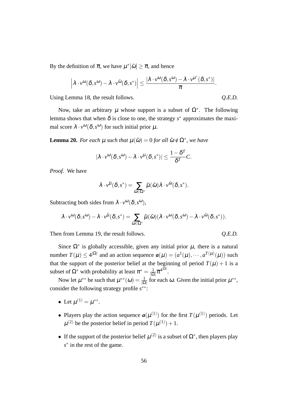By the definition of  $\bar{\pi}$ , we have  $\mu^*[\tilde{\omega}] \geq \bar{\pi}$ , and hence

$$
\left|\lambda\cdot\nu^\omega(\delta,s^\omega)-\lambda\cdot\nu^{\tilde\omega}(\delta,s^*)\right|\leq \frac{|\lambda\cdot\nu^\omega(\delta,s^\omega)-\lambda\cdot\nu^{\mu^*}(\delta,s^*)|}{\overline\pi}.
$$

Using Lemma 18, the result follows.  $Q.E.D.$ 

Now, take an arbitrary  $\mu$  whose support is a subset of  $\Omega^*$ . The following lemma shows that when  $\delta$  is close to one, the strategy  $s^*$  approximates the maximal score  $\lambda \cdot v^{\omega}(\delta, s^{\omega})$  for such initial prior  $\mu$ .

**Lemma 20.** *For each*  $\mu$  *such that*  $\mu(\tilde{\omega}) = 0$  *for all*  $\tilde{\omega} \notin \Omega^*$ *, we have* 

$$
|\lambda \cdot v^{\omega}(\delta, s^{\omega}) - \lambda \cdot v^{\mu}(\delta, s^*)| \leq \frac{1 - \delta^T}{\delta^T} C.
$$

*Proof.* We have

$$
\lambda \cdot \nu^{\tilde{\mu}}(\boldsymbol{\delta},s^*) = \sum_{\tilde{\omega} \in \Omega^*} \tilde{\mu}(\tilde{\omega}) \lambda \cdot \nu^{\tilde{\omega}}(\boldsymbol{\delta},s^*).
$$

Subtracting both sides from  $\lambda \cdot v^{\omega}(\delta, s^{\omega}),$ 

$$
\lambda\cdot \nu^\omega(\delta, s^\omega)-\lambda\cdot \nu^{\tilde{\mu}}(\delta, s^*)=\sum_{\tilde{\omega}\in \Omega^*}\tilde{\mu}(\tilde{\omega})(\lambda\cdot \nu^\omega(\delta, s^\omega)-\lambda\cdot \nu^{\tilde{\omega}}(\delta, s^*)).
$$

Then from Lemma 19, the result follows. *Q.E.D.* 

Since  $\Omega^*$  is globally accessible, given any initial prior  $\mu$ , there is a natural number  $T(\mu) \le 4^{|\Omega|}$  and an action sequence  $a(\mu) = (a^1(\mu), \dots, a^{T(\mu)}(\mu))$  such that the support of the posterior belief at the beginning of period  $T(\mu) + 1$  is a subset of  $\Omega^*$  with probability at least  $\pi^* = \frac{1}{\Omega}$  $\frac{1}{|\Omega|}\overline{\pi}^{4^{|\Omega|}}.$ 

Now let  $\mu^{**}$  be such that  $\mu^{**}(\omega) = \frac{1}{|\Omega|}$  for each  $\omega$ . Given the initial prior  $\mu^{**}$ , consider the following strategy profile *s ∗∗*:

- Let  $\mu^{(1)} = \mu^{**}$ .
- Players play the action sequence  $a(\mu^{(1)})$  for the first  $T(\mu^{(1)})$  periods. Let  $\mu^{(2)}$  be the posterior belief in period  $T(\mu^{(1)})+1$ .
- If the support of the posterior belief  $\mu^{(2)}$  is a subset of  $\Omega^*$ , then players play *s ∗* in the rest of the game.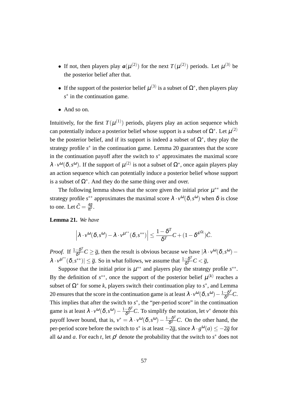- If not, then players play  $a(\mu^{(2)})$  for the next  $T(\mu^{(2)})$  periods. Let  $\mu^{(3)}$  be the posterior belief after that.
- If the support of the posterior belief  $\mu^{(3)}$  is a subset of  $\Omega^*$ , then players play *s ∗* in the continuation game.
- *•* And so on.

Intuitively, for the first  $T(\mu^{(1)})$  periods, players play an action sequence which can potentially induce a posterior belief whose support is a subset of  $\Omega^*$ . Let  $\mu^{(2)}$ be the posterior belief, and if its support is indeed a subset of  $\Omega^*$ , they play the strategy profile *s ∗* in the continuation game. Lemma 20 guarantees that the score in the continuation payoff after the switch to *s*<sup>∗</sup> approximates the maximal score  $\lambda \cdot v^{\omega}(\delta, s^{\omega})$ . If the support of  $\mu^{(2)}$  is not a subset of  $\Omega^*$ , once again players play an action sequence which can potentially induce a posterior belief whose support is a subset of  $\Omega^*$ . And they do the same thing over and over.

The following lemma shows that the score given the initial prior  $\mu^{**}$  and the strategy profile  $s^{**}$  approximates the maximal score  $\lambda \cdot v^{\omega}(\delta, s^{\omega})$  when  $\delta$  is close to one. Let  $\tilde{C} = \frac{4\overline{g}}{\pi^*}$ .

#### **Lemma 21.** *We have*

$$
\left|\lambda\cdot v^{\omega}(\delta,s^{\omega})-\lambda\cdot v^{\mu^{**}}(\delta,s^{**})\right|\leq \frac{1-\delta^T}{\delta^T}C+(1-\delta^{4^{|\Omega|}})\tilde{C}.
$$

*Proof.* If  $\frac{1-\delta^T}{\delta T}$  $\frac{-\delta^2}{\delta^T}C \geq \overline{g}$ , then the result is obvious because we have  $\left|\lambda \cdot v^{\omega}(\delta, s^{\omega}) - v\right|$  $\lambda \cdot v^{\mu^{**}}(\delta, s^{**}) \leq \overline{g}$ . So in what follows, we assume that  $\frac{1-\delta^T}{\delta T}$  $\frac{-\bm{o}^2}{\delta^T}C < \overline{g},$ 

Suppose that the initial prior is  $\mu^{**}$  and players play the strategy profile  $s^{**}$ . By the definition of  $s^{**}$ , once the support of the posterior belief  $\mu^{(k)}$  reaches a subset of  $\Omega^*$  for some *k*, players switch their continuation play to  $s^*$ , and Lemma 20 ensures that the score in the continuation game is at least  $\lambda \cdot v^{\omega}(\delta, s^{\omega}) - \frac{1-\delta^T}{\delta T}$  $\frac{-\boldsymbol{\mathrm{o}}\cdot}{\boldsymbol{\delta}^T}C.$ This implies that after the switch to  $s^*$ , the "per-period score" in the continuation game is at least  $\lambda \cdot v^{\omega}(\delta, s^{\omega}) - \frac{1 - \delta^T}{\delta^T}$  $\frac{-\delta^T}{\delta^T}C$ . To simplify the notation, let *v*<sup>\*</sup> denote this payoff lower bound, that is,  $v^* = \lambda \cdot v^{\omega}(\delta, s^{\omega}) - \frac{1 - \delta^T}{\delta T}$  $\frac{\partial^2}{\partial T}C$ . On the other hand, the per-period score before the switch to *s*<sup>\*</sup> is at least  $-2\overline{g}$ , since  $\lambda \cdot g^{0}(a) \le -2\overline{g}$  for all  $\omega$  and  $\alpha$ . For each  $t$ , let  $\rho^t$  denote the probability that the switch to  $s^*$  does not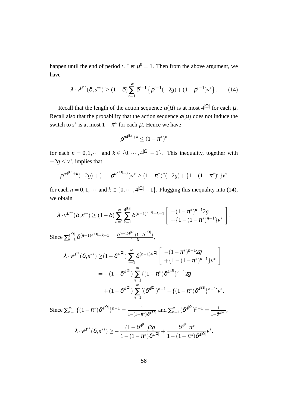happen until the end of period *t*. Let  $\rho^0 = 1$ . Then from the above argument, we have

$$
\lambda \cdot v^{\mu^{**}}(\delta, s^{**}) \ge (1-\delta) \sum_{t=1}^{\infty} \delta^{t-1} \left\{ \rho^{t-1}(-2\overline{g}) + (1-\rho^{t-1})v^* \right\}.
$$
 (14)

Recall that the length of the action sequence  $a(\mu)$  is at most  $4^{|\Omega|}$  for each  $\mu$ . Recall also that the probability that the action sequence  $a(\mu)$  does not induce the switch to  $s^*$  is at most  $1 - \pi^*$  for each  $\mu$ . Hence we have

$$
\rho^{n4^{|\Omega|}+k}\leq (1-\pi^*)^n
$$

for each  $n = 0, 1, \cdots$  and  $k \in \{0, \cdots, 4|\Omega| - 1\}$ . This inequality, together with  $-2\overline{g} \le v^*$ , implies that

$$
\rho^{n4^{|\Omega|}+k}(-2\overline{g})+(1-\rho^{n4^{|\Omega|}+k})v^* \geq (1-\pi^*)^n(-2\overline{g})+\{1-(1-\pi^*)^n\}v^*
$$

for each  $n = 0, 1, \dots$  and  $k \in \{0, \dots, 4^{|\Omega|} - 1\}$ . Plugging this inequality into (14), we obtain

$$
\lambda \cdot v^{\mu^{**}}(\delta, s^{**}) \ge (1-\delta) \sum_{n=1}^{\infty} \sum_{k=1}^{\infty} \delta^{(n-1)4^{|\Omega|}+k-1} \left[ \frac{- (1-\pi^*)^{n-1} 2\overline{g}}{+ \{1-(1-\pi^*)^{n-1}\} v^*} \right].
$$
  
\nSince  $\sum_{k=1}^{4^{|\Omega|}} \delta^{(n-1)4^{|\Omega|}+k-1} = \frac{\delta^{(n-1)4^{|\Omega|}} (1-\delta^{4^{|\Omega|}})}{1-\delta},$   
\n
$$
\lambda \cdot v^{\mu^{**}}(\delta, s^{**}) \ge (1-\delta^{4^{|\Omega|}}) \sum_{n=1}^{\infty} \delta^{(n-1)4^{|\Omega|}} \left[ \frac{- (1-\pi^*)^{n-1} 2\overline{g}}{+ \{1-(1-\pi^*)^{n-1}\} v^*} \right]
$$
  
\n
$$
= -(1-\delta^{4^{|\Omega|}}) \sum_{n=1}^{\infty} \left\{ (1-\pi^*) \delta^{4^{|\Omega|}} \right\}^{n-1} 2\overline{g}
$$
  
\n
$$
+ (1-\delta^{4^{|\Omega|}}) \sum_{n=1}^{\infty} \left[ (\delta^{4^{|\Omega|}})^{n-1} - \left\{ (1-\pi^*) \delta^{4^{|\Omega|}} \right\}^{n-1} \right] v^*.
$$
  
\nSince  $\sum_{n=1}^{\infty} \left\{ (1-\pi^*) \delta^{4^{|\Omega|}} \right\}^{n-1} = \frac{1}{1-(1-\pi^*)\delta^{4^{|\Omega|}}} \text{ and } \sum_{n=1}^{\infty} (\delta^{4^{|\Omega|}})^{n-1} = \frac{1}{1-\delta^{4^{|\Omega|}}},$   
\n
$$
\lambda \cdot v^{\mu^{**}}(\delta, s^{**}) \ge -\frac{(1-\delta^{4^{|\Omega|}})^2\overline{g}}{1-(1-\delta^{4^{|\Omega|}})^2} + \frac{\delta^{4^{|\Omega|}}\pi^*}{1-(1-\delta^{4^{|\Omega|}})^2} v^*.
$$

$$
v^{\mu^{**}}(\delta, s^{**}) \geq -\frac{(1-\delta^{4^{|\kappa|}})^2 \overline{g}}{1-(1-\pi^*)\delta^{4^{|\Omega|}}} + \frac{\delta^{4^{|\kappa|}} \pi^*}{1-(1-\pi^*)\delta^{4^{|\Omega|}}},
$$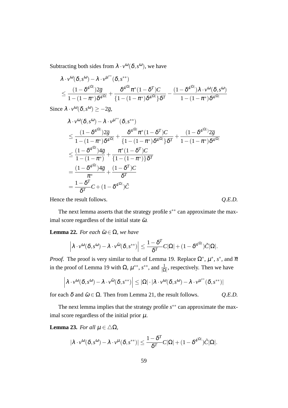Subtracting both sides from  $\lambda \cdot v^{\omega}(\delta, s^{\omega})$ , we have

$$
\begin{aligned} &\lambda \cdot \nu^\omega(\delta,s^\omega) - \lambda \cdot \nu^{\mu^{**}}(\delta,s^{**}) \\&\leq \frac{(1-\delta^{4^{|\Omega|}})2\overline{g}}{1-(1-\pi^*)\delta^{4^{|\Omega|}}} + \frac{\delta^{4^{|\Omega|}} \pi^*(1-\delta^T)C}{\{1-(1-\pi^*)\delta^{4^{|\Omega|}}\}\delta^T} - \frac{(1-\delta^{4^{|\Omega|}})\lambda \cdot \nu^\omega(\delta,s^\omega)}{1-(1-\pi^*)\delta^{4^{|\Omega|}}} \end{aligned}
$$

Since  $\lambda \cdot v^{\omega}(\delta, s^{\omega}) \ge -2\overline{g}$ ,

$$
\lambda \cdot v^{\omega}(\delta, s^{\omega}) - \lambda \cdot v^{\mu^{**}}(\delta, s^{**})
$$
\n
$$
\leq \frac{(1 - \delta^{4^{|\Omega|}})2\overline{g}}{1 - (1 - \pi^*)\delta^{4^{|\Omega|}}} + \frac{\delta^{4^{|\Omega|}} \pi^*(1 - \delta^T)C}{\{1 - (1 - \pi^*)\delta^{4^{|\Omega|}}\}\delta^T} + \frac{(1 - \delta^{4^{|\Omega|}})2\overline{g}}{1 - (1 - \pi^*)} \\
\leq \frac{(1 - \delta^{4^{|\Omega|}})4\overline{g}}{1 - (1 - \pi^*)} + \frac{\pi^*(1 - \delta^T)C}{\{1 - (1 - \pi^*)\}\delta^T} \\
= \frac{(1 - \delta^{4^{|\Omega|}})4\overline{g}}{\pi^*} + \frac{(1 - \delta^T)C}{\delta^T} \\
= \frac{1 - \delta^T}{\delta^T}C + (1 - \delta^{4^{|\Omega|}})\tilde{C}
$$

Hence the result follows.  $Q.E.D.$ 

The next lemma asserts that the strategy profile *s ∗∗* can approximate the maximal score regardless of the initial state  $\tilde{\omega}$ .

**Lemma 22.** *For each*  $\tilde{\omega} \in \Omega$ *, we have* 

$$
\left|\lambda\cdot v^{\omega}(\delta,s^{\omega})-\lambda\cdot v^{\tilde{\omega}}(\delta,s^{**})\right|\leq \frac{1-\delta^T}{\delta^T}C|\Omega|+(1-\delta^{4^{|\Omega|}})\tilde{C}|\Omega|.
$$

*Proof.* The proof is very similar to that of Lemma 19. Replace  $\Omega^*$ ,  $\mu^*$ ,  $s^*$ , and  $\overline{\pi}$ in the proof of Lemma 19 with  $\Omega$ ,  $\mu^{**}$ ,  $s^{**}$ , and  $\frac{1}{|\Omega|}$ , respectively. Then we have

$$
\left|\lambda\cdot\nu^\omega(\delta,s^\omega)-\lambda\cdot\nu^{\tilde\omega}(\delta,s^{**})\right|\leq |\Omega|\cdot|\lambda\cdot\nu^\omega(\delta,s^\omega)-\lambda\cdot\nu^{\mu^{**}}(\delta,s^{**})|
$$

for each  $\delta$  and  $\tilde{\omega} \in \Omega$ . Then from Lemma 21, the result follows.  $Q.E.D.$ 

The next lemma implies that the strategy profile *s ∗∗* can approximate the maximal score regardless of the initial prior  $\mu$ .

**Lemma 23.** *For all*  $\mu \in \Delta\Omega$ *,* 

$$
|\lambda \cdot v^{\omega}(\delta, s^{\omega}) - \lambda \cdot v^{\mu}(\delta, s^{**})| \leq \frac{1 - \delta^T}{\delta^T} C|\Omega| + (1 - \delta^{4^{|\Omega|}})\tilde{C}|\Omega|.
$$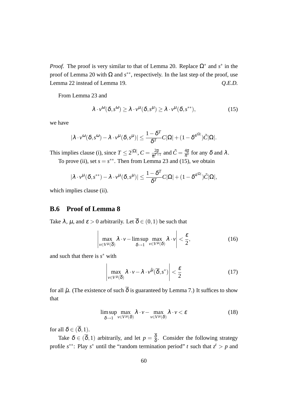*Proof.* The proof is very similar to that of Lemma 20. Replace  $\Omega^*$  and  $s^*$  in the proof of Lemma 20 with  $\Omega$  and  $s^{**}$ , respectively. In the last step of the proof, use Lemma 22 instead of Lemma 19. *Q.E.D.*

From Lemma 23 and

$$
\lambda \cdot v^{\omega}(\delta, s^{\omega}) \ge \lambda \cdot v^{\mu}(\delta, s^{\mu}) \ge \lambda \cdot v^{\mu}(\delta, s^{**}), \qquad (15)
$$

we have

$$
|\lambda \cdot v^{\omega}(\delta, s^{\omega}) - \lambda \cdot v^{\mu}(\delta, s^{\mu})| \leq \frac{1 - \delta^{T}}{\delta^{T}} C |\Omega| + (1 - \delta^{4^{|\Omega|}}) \tilde{C} |\Omega|.
$$

This implies clause (i), since  $T \leq 2^{|\Omega|}$ ,  $C = \frac{2\overline{g}}{\overline{\pi}T}$  $\frac{2\overline{g}}{\overline{\pi}^{T+1}}$  and  $\tilde{C} = \frac{4\overline{g}}{\pi^*}$  for any  $\delta$  and  $\lambda$  . To prove (ii), set  $s = s^{**}$ . Then from Lemma 23 and (15), we obtain

$$
|\lambda \cdot v^{\mu}(\delta, s^{**}) - \lambda \cdot v^{\mu}(\delta, s^{\mu})| \leq \frac{1 - \delta^{T}}{\delta^{T}} C |\Omega| + (1 - \delta^{4^{|\Omega|}}) \tilde{C} |\Omega|,
$$

which implies clause (ii).

## **B.6 Proof of Lemma 8**

Take  $\lambda$ ,  $\mu$ , and  $\varepsilon > 0$  arbitrarily. Let  $\overline{\delta} \in (0,1)$  be such that

$$
\left|\max_{v \in V^{\mu}(\overline{\delta})} \lambda \cdot v - \limsup_{\delta \to 1} \max_{v \in V^{\mu}(\delta)} \lambda \cdot v \right| < \frac{\varepsilon}{2},\tag{16}
$$

and such that there is *s <sup>∗</sup>* with

$$
\left| \max_{v \in V^{\mu}(\overline{\delta})} \lambda \cdot v - \lambda \cdot v^{\tilde{\mu}}(\overline{\delta}, s^*) \right| < \frac{\varepsilon}{2}
$$
 (17)

for all  $\tilde{\mu}$ . (The existence of such  $\overline{\delta}$  is guaranteed by Lemma 7.) It suffices to show that

$$
\limsup_{\delta \to 1} \max_{\nu \in V^{\mu}(\delta)} \lambda \cdot \nu - \max_{\nu \in V^{\mu}(\delta)} \lambda \cdot \nu < \varepsilon \tag{18}
$$

for all  $\delta \in (\overline{\delta}, 1)$ .

Take  $\delta \in (\overline{\delta}, 1)$  arbitrarily, and let  $p = \frac{\delta}{\delta}$  $\frac{\delta}{\delta}$ . Consider the following strategy profile  $s^{**}$ : Play  $s^*$  until the "random termination period" *t* such that  $z^t > p$  and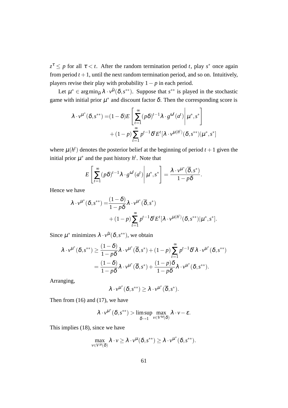$z^{\tau} \leq p$  for all  $\tau < t$ . After the random termination period *t*, play *s*<sup>\*</sup> once again from period  $t + 1$ , until the next random termination period, and so on. Intuitively, players revise their play with probability 1*− p* in each period.

Let  $\mu^* \in \arg\min_{\tilde{\mu}} \lambda \cdot v^{\tilde{\mu}}(\delta, s^{**})$ . Suppose that  $s^{**}$  is played in the stochastic game with initial prior  $\mu^*$  and discount factor  $\delta$ . Then the corresponding score is

$$
\lambda \cdot v^{\mu^*}(\delta, s^{**}) = (1 - \delta)E\left[\sum_{t=1}^{\infty} (p\delta)^{t-1} \lambda \cdot g^{\omega^t}(a^t) \middle| \mu^*, s^*\right] + (1 - p) \sum_{t=1}^{\infty} p^{t-1} \delta^t E^t[\lambda \cdot v^{\mu(h^t)}(\delta, s^{**}) | \mu^*, s^*]
$$

where  $\mu(h^t)$  denotes the posterior belief at the beginning of period  $t + 1$  given the initial prior  $\mu^*$  and the past history  $h^t$ . Note that

$$
E\left[\sum_{t=1}^{\infty} (p\delta)^{t-1} \lambda \cdot g^{\omega^t}(a^t) \middle| \mu^*, s^* \right] = \frac{\lambda \cdot v^{\mu^*}(\overline{\delta}, s^*)}{1 - p\delta}.
$$

Hence we have

$$
\lambda \cdot v^{\mu^*}(\delta, s^{**}) = \frac{(1-\delta)}{1-p\delta} \lambda \cdot v^{\mu^*}(\overline{\delta}, s^*)
$$
  
+ 
$$
(1-p) \sum_{t=1}^{\infty} p^{t-1} \delta^t E^t[\lambda \cdot v^{\mu(h^t)}(\delta, s^{**}) | \mu^*, s^*].
$$

Since  $\mu^*$  minimizes  $\lambda \cdot v^{\tilde{\mu}}(\delta, s^{**})$ , we obtain

$$
\lambda \cdot v^{\mu^*}(\delta, s^{**}) \geq \frac{(1-\delta)}{1-p\delta} \lambda \cdot v^{\mu^*}(\overline{\delta}, s^*) + (1-p) \sum_{t=1}^{\infty} p^{t-1} \delta^t \lambda \cdot v^{\mu^*}(\delta, s^{**})
$$
  
= 
$$
\frac{(1-\delta)}{1-p\delta} \lambda \cdot v^{\mu^*}(\overline{\delta}, s^*) + \frac{(1-p)\delta}{1-p\delta} \lambda \cdot v^{\mu^*}(\delta, s^{**}).
$$

Arranging,

$$
\lambda \cdot \nu^{\mu^*}(\delta, s^{**}) \geq \lambda \cdot \nu^{\mu^*}(\overline{\delta}, s^*).
$$

Then from (16) and (17), we have

$$
\lambda \cdot \nu^{\mu^*}(\delta, s^{**}) > \limsup_{\delta \to 1} \max_{\nu \in V^{\omega}(\delta)} \lambda \cdot \nu - \varepsilon.
$$

This implies (18), since we have

$$
\max_{v \in V^{\mu}(\delta)} \lambda \cdot v \geq \lambda \cdot v^{\mu}(\delta, s^{**}) \geq \lambda \cdot v^{\mu^*}(\delta, s^{**}).
$$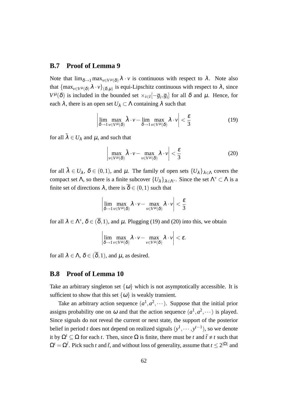### **B.7 Proof of Lemma 9**

Note that  $\lim_{\delta \to 1} \max_{v \in V^{\mu}(\delta)} \lambda \cdot v$  is continuous with respect to  $\lambda$ . Note also that  $\{\max_{v \in V^\mu(\delta)} \lambda \cdot v\}_{(\delta,\mu)}$  is equi-Lipschitz continuous with respect to  $\lambda$ , since *V*<sup> $\mu$ </sup>( $\delta$ ) is included in the bounded set  $\times_{i \in I} [-\overline{g}_i, \overline{g}_i]$  for all  $\delta$  and  $\mu$ . Hence, for each  $\lambda$ , there is an open set  $U_{\lambda} \subset \Lambda$  containing  $\lambda$  such that

$$
\left| \lim_{\delta \to 1} \max_{\nu \in V^{\mu}(\delta)} \tilde{\lambda} \cdot \nu - \lim_{\delta \to 1} \max_{\nu \in V^{\mu}(\delta)} \lambda \cdot \nu \right| < \frac{\varepsilon}{3} \tag{19}
$$

for all  $\tilde{\lambda} \in U_{\lambda}$  and  $\mu$ , and such that

$$
\left|\max_{v \in V^{\mu}(\delta)} \tilde{\lambda} \cdot v - \max_{v \in V^{\mu}(\delta)} \lambda \cdot v\right| < \frac{\varepsilon}{3} \tag{20}
$$

for all  $\tilde{\lambda} \in U_{\lambda}$ ,  $\delta \in (0,1)$ , and  $\mu$ . The family of open sets  $\{U_{\lambda}\}_{\lambda \in \Lambda}$  covers the compact set  $\Lambda$ , so there is a finite subcover  $\{U_{\lambda}\}_{\lambda \in \Lambda^*}$ . Since the set  $\Lambda^* \subset \Lambda$  is a finite set of directions  $\lambda$ , there is  $\overline{\delta} \in (0,1)$  such that

$$
\left|\lim_{\delta \to 1} \max_{\nu \in V^\mu(\delta)} \lambda \cdot \nu - \max_{\nu \in V^\mu(\delta)} \lambda \cdot \nu \right| < \frac{\varepsilon}{3}
$$

for all  $\lambda \in \Lambda^*$ ,  $\delta \in (\overline{\delta}, 1)$ , and  $\mu$ . Plugging (19) and (20) into this, we obtain

$$
\left|\lim_{\delta\to 1}\max_{\nu\in V^{\mu}(\delta)}\lambda\cdot\nu-\max_{\nu\in V^{\mu}(\delta)}\lambda\cdot\nu\right|<\varepsilon.
$$

for all  $\lambda \in \Lambda$ ,  $\delta \in (\overline{\delta}, 1)$ , and  $\mu$ , as desired.

#### **B.8 Proof of Lemma 10**

Take an arbitrary singleton set  $\{\omega\}$  which is not asymptotically accessible. It is sufficient to show that this set  $\{\omega\}$  is weakly transient.

Take an arbitrary action sequence  $(a^1, a^2, \dots)$ . Suppose that the initial prior assigns probability one on  $\omega$  and that the action sequence  $(a^1, a^2, \dots)$  is played. Since signals do not reveal the current or next state, the support of the posterior belief in period *t* does not depend on realized signals  $(y<sup>1</sup>, · · · , y<sup>t-1</sup>)$ , so we denote it by  $\Omega^t \subset \Omega$  for each *t*. Then, since  $\Omega$  is finite, there must be *t* and  $\tilde{t} \neq t$  such that  $\Omega^t = \Omega^{\tilde{t}}$ . Pick such *t* and  $\tilde{t}$ , and without loss of generality, assume that  $t \leq 2^{|\Omega|}$  and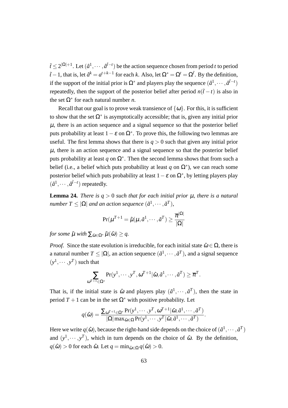$\tilde{t} \leq 2^{|\Omega|+1}$ . Let  $(\hat{a}^1, \dots, \hat{a}^{\tilde{t}-t})$  be the action sequence chosen from period *t* to period  $\tilde{t}$  − 1, that is, let  $\hat{a}^k = a^{t+k-1}$  for each *k*. Also, let  $\Omega^* = \Omega^t = \Omega^t$ . By the definition, if the support of the initial prior is  $\Omega^*$  and players play the sequence  $(\hat{a}^1, \dots, \hat{a}^{\tilde{t}-t})$ repeatedly, then the support of the posterior belief after period  $n(\tilde{t} - t)$  is also in the set  $\Omega^*$  for each natural number *n*.

Recall that our goal is to prove weak transience of  $\{\omega\}$ . For this, it is sufficient to show that the set  $\Omega^*$  is asymptotically accessible; that is, given any initial prior  $\mu$ , there is an action sequence and a signal sequence so that the posterior belief puts probability at least  $1 - \varepsilon$  on  $\Omega^*$ . To prove this, the following two lemmas are useful. The first lemma shows that there is  $q > 0$  such that given any initial prior  $\mu$ , there is an action sequence and a signal sequence so that the posterior belief puts probability at least  $q$  on  $\Omega^*$ . Then the second lemma shows that from such a belief (i.e., a belief which puts probability at least  $q$  on  $\Omega^*$ ), we can reach some posterior belief which puts probability at least 1*−*<sup>ε</sup> on Ω*<sup>∗</sup>* , by letting players play  $(\hat{a}^1, \dots, \hat{a}^{\tilde{t}-t})$  repeatedly.

**Lemma 24.** *There is*  $q > 0$  *such that for each initial prior*  $\mu$ *, there is a natural*  $number T \leq |\Omega|$  *and an action sequence*  $(\tilde{a}^1, \cdots, \tilde{a}^T)$ *,* 

$$
\Pr(\mu^{T+1} = \tilde{\mu} | \mu, \tilde{a}^1, \cdots, \tilde{a}^T) \ge \frac{\overline{\pi}^{|\Omega|}}{|\Omega|}
$$

*for some*  $\tilde{\mu}$  *with*  $\sum_{\tilde{\omega} \in \Omega^*} \tilde{\mu}(\tilde{\omega}) \geq q$ .

*Proof.* Since the state evolution is irreducible, for each initial state  $\hat{\omega} \in \Omega$ , there is a natural number  $T \leq |\Omega|$ , an action sequence  $(\tilde{a}^1, \dots, \tilde{a}^T)$ , and a signal sequence  $(y^1, \dots, y^T)$  such that

$$
\sum_{\omega^{T+1}\in\Omega^*} \Pr(y^1,\cdots,y^T,\omega^{T+1}|\hat{\omega},\tilde{a}^1,\cdots,\tilde{a}^T) \geq \overline{\pi}^T.
$$

That is, if the initial state is  $\hat{\omega}$  and players play  $(\tilde{a}^1, \dots, \tilde{a}^T)$ , then the state in period  $T + 1$  can be in the set  $\Omega^*$  with positive probability. Let

$$
q(\hat{\omega}) = \frac{\sum_{\omega^{T+1} \in \Omega^*} \Pr(y^1, \cdots, y^T, \omega^{T+1} | \hat{\omega}, \tilde{a}^1, \cdots, \tilde{a}^T)}{|\Omega| \max_{\tilde{\omega} \in \Omega} \Pr(y^1, \cdots, y^T | \tilde{\omega}, \tilde{a}^1, \cdots, \tilde{a}^T)}.
$$

Here we write  $q(\hat{\omega})$ , because the right-hand side depends on the choice of  $(\tilde{a}^1, \dots, \tilde{a}^T)$ and  $(y^1, \dots, y^T)$ , which in turn depends on the choice of  $\hat{\omega}$ . By the definition,  $q(\hat{\omega}) > 0$  for each  $\hat{\omega}$ . Let  $q = \min_{\hat{\omega} \in \Omega} q(\hat{\omega}) > 0$ .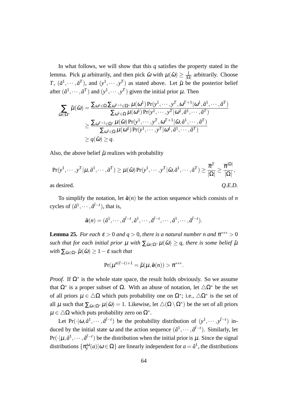In what follows, we will show that this *q* satisfies the property stated in the lemma. Pick  $\mu$  arbitrarily, and then pick  $\hat{\omega}$  with  $\mu(\hat{\omega}) \geq \frac{1}{10}$ *|*Ω*|* arbitrarily. Choose *T*,  $(\tilde{a}^1, \dots, \tilde{a}^T)$ , and  $(y^1, \dots, y^T)$  as stated above. Let  $\tilde{\mu}$  be the posterior belief after  $(\tilde{a}^1, \dots, \tilde{a}^T)$  and  $(y^1, \dots, y^T)$  given the initial prior  $\mu$ . Then

$$
\sum_{\tilde{\omega}\in\Omega^*}\tilde{\mu}(\tilde{\omega}) = \frac{\sum_{\omega^1\in\Omega}\sum_{\omega^{T+1}\in\Omega^*}\mu(\omega^1)\Pr(y^1,\cdots,y^T,\omega^{T+1}|\omega^1,\tilde{a}^1,\cdots,\tilde{a}^T)}{\sum_{\omega^1\in\Omega}\mu(\omega^1)\Pr(y^1,\cdots,y^T|\omega^1,\tilde{a}^1,\cdots,\tilde{a}^T)} \n\geq \frac{\sum_{\omega^{T+1}\in\Omega^*}\mu(\hat{\omega})\Pr(y^1,\cdots,y^T,\omega^{T+1}|\hat{\omega},\tilde{a}^1,\cdots,\tilde{a}^T)}{\sum_{\omega^1\in\Omega}\mu(\omega^1)\Pr(y^1,\cdots,y^T|\omega^1,\tilde{a}^1,\cdots,\tilde{a}^T)} \n\geq q(\hat{\omega}) \geq q.
$$

Also, the above belief  $\tilde{\mu}$  realizes with probability

$$
\Pr(y^1, \dots, y^T | \mu, \tilde{a}^1, \dots, \tilde{a}^T) \ge \mu(\hat{\omega}) \Pr(y^1, \dots, y^T | \hat{\omega}, \tilde{a}^1, \dots, \tilde{a}^T) \ge \frac{\overline{\pi}^T}{|\Omega|} \ge \frac{\overline{\pi}^{|\Omega|}}{|\Omega|},
$$
as desired. Q.E.D.

To simplify the notation, let  $\hat{a}(n)$  be the action sequence which consists of *n* cycles of  $(\hat{a}^1, \dots, \hat{a}^{\tilde{t}-t})$ , that is,

$$
\hat{a}(n)=(\hat{a}^1,\cdots,\hat{a}^{\tilde{t}-t},\hat{a}^1,\cdots,\hat{a}^{\tilde{t}-t},\cdots,\hat{a}^1,\cdots,\hat{a}^{\tilde{t}-t}).
$$

**Lemma 25.** *For each*  $\varepsilon > 0$  *and*  $q > 0$ *, there is a natural number n and*  $\pi^{***} > 0$ *such that for each initial prior*  $\mu$  *with*  $\sum_{\tilde{\omega} \in \Omega^*} \mu(\tilde{\omega}) \geq q$ , there is some belief  $\tilde{\mu}$  $with \sum_{\tilde{\omega} \in \Omega^*} \tilde{\mu}(\tilde{\omega}) \geq 1 - \varepsilon$  *such that* 

$$
\Pr(\mu^{n(\tilde{t}-t)+1}=\tilde{\mu}|\mu,\hat{a}(n))>\pi^{***}.
$$

*Proof.* If  $\Omega^*$  is the whole state space, the result holds obviously. So we assume that  $\Omega^*$  is a proper subset of  $\Omega$ . With an abuse of notation, let  $\Delta \Omega^*$  be the set of all priors  $\mu \in \Delta\Omega$  which puts probability one on  $\Omega^*$ ; i.e.,  $\Delta\Omega^*$  is the set of all  $\mu$  such that  $\sum_{\tilde{\omega}\in\Omega^*}\mu(\tilde{\omega})=1$ . Likewise, let  $\triangle(\Omega\setminus\Omega^*)$  be the set of all priors <sup>µ</sup> *∈ △*Ω which puts probability zero on Ω*<sup>∗</sup>* .

Let Pr( $\cdot | \omega, \hat{a}^1, \dots, \hat{a}^{\tilde{t}-t}$ ) be the probability distribution of  $(y^1, \dots, y^{\tilde{t}-t})$  induced by the initial state  $\omega$  and the action sequence  $(\hat{a}^1, \dots, \hat{a}^{\tilde{t}-t})$ . Similarly, let  $Pr(\cdot | \mu, \hat{a}^1, \dots, \hat{a}^{\tilde{t}-t})$  be the distribution when the initial prior is  $\mu$ . Since the signal distributions  $\{\pi_{y}^{\omega}(a)|\omega \in \Omega\}$  are linearly independent for  $a = \hat{a}^1$ , the distributions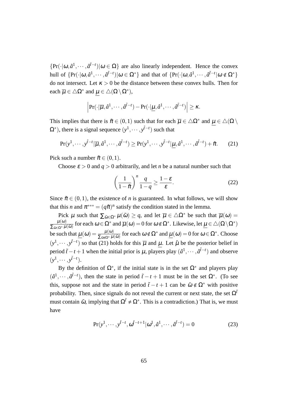$\{Pr(\cdot|\omega, \hat{a}^1, \dots, \hat{a}^{\tilde{t}-t}) | \omega \in \Omega \}$  are also linearly independent. Hence the convex hull of  $\{Pr(\cdot|\omega,\hat{a}^1,\dots,\hat{a}^{\tilde{t}-t})|\omega \in \Omega^*\}$  and that of  $\{Pr(\cdot|\omega,\hat{a}^1,\dots,\hat{a}^{\tilde{t}-t}|\omega \notin \Omega^*\}$ do not intersect. Let  $\kappa > 0$  be the distance between these convex hulls. Then for each  $\overline{\mu} \in \triangle \Omega^*$  and  $\mu \in \triangle(\Omega \setminus \Omega^*),$ 

$$
\left|\Pr(\cdot|\overline{\mu},\hat{a}^1,\cdots,\hat{a}^{\tilde{t}-t}) - \Pr(\cdot|\underline{\mu},\hat{a}^1,\cdots,\hat{a}^{\tilde{t}-t})\right| \geq \kappa.
$$

This implies that there is  $\tilde{\pi} \in (0,1)$  such that for each  $\overline{\mu} \in \Delta \Omega^*$  and  $\mu \in \Delta(\Omega \setminus \Omega)$  $(\Omega^*)$ , there is a signal sequence  $(y^1, \dots, y^{\tilde{t}-t})$  such that

$$
\Pr(y^1, \cdots, y^{\tilde{t}-t} | \overline{\mu}, \hat{a}^1, \cdots, \hat{a}^{\tilde{t}-t}) \ge \Pr(y^1, \cdots, y^{\tilde{t}-t} | \underline{\mu}, \hat{a}^1, \cdots, \hat{a}^{\tilde{t}-t}) + \tilde{\pi}.
$$
 (21)

Pick such a number  $\tilde{\pi} \in (0,1)$ .

Choose  $\varepsilon > 0$  and  $q > 0$  arbitrarily, and let *n* be a natural number such that

$$
\left(\frac{1}{1-\tilde{\pi}}\right)^n \frac{q}{1-q} \ge \frac{1-\varepsilon}{\varepsilon}.
$$
 (22)

Since  $\tilde{\pi} \in (0,1)$ , the existence of *n* is guaranteed. In what follows, we will show that this *n* and  $\pi^{***} = (q\tilde{\pi})^n$  satisfy the condition stated in the lemma.

Pick  $\mu$  such that  $\sum_{\tilde{\omega} \in \Omega^*} \mu(\tilde{\omega}) \geq q$ , and let  $\overline{\mu} \in \Delta \Omega^*$  be such that  $\overline{\mu}(\omega) =$  $\mu(\omega)$  $\frac{\mu(\omega)}{\sum_{\tilde{\omega}\in\Omega^*}\mu(\tilde{\omega})}$  for each  $\omega\in\Omega^*$  and  $\overline{\mu}(\omega)=0$  for  $\omega\notin\Omega^*$ . Likewise, let  $\underline{\mu}\in\triangle(\Omega\setminus\Omega^*)$ be such that  $\underline{\mu}(\omega) = \frac{\mu(\omega)}{\sum_{\tilde{\omega}\notin\Omega^*}\mu(\tilde{\omega})}$  for each  $\omega \notin \Omega^*$  and  $\underline{\mu}(\omega) = 0$  for  $\omega \in \Omega^*$ . Choose  $(y^1, \dots, y^{\tilde{t}-t})$  so that (21) holds for this  $\overline{\mu}$  and  $\mu$ . Let  $\hat{\mu}$  be the posterior belief in period  $\tilde{t}$  − *t* + 1 when the initial prior is  $\mu$ , players play  $(\hat{a}^1, \dots, \hat{a}^{\tilde{t}-t})$  and observe  $(y^1, \cdots, y^{\tilde{t}-t}).$ 

By the definition of  $\Omega^*$ , if the initial state is in the set  $\Omega^*$  and players play  $(\hat{a}^1, \dots, \hat{a}^{\tilde{t}-t})$ , then the state in period  $\tilde{t} - t + 1$  must be in the set  $\Omega^*$ . (To see this, suppose not and the state in period  $\tilde{t}$  − *t* + 1 can be  $\tilde{\omega} \notin \Omega^*$  with positive probability. Then, since signals do not reveal the current or next state, the set  $\Omega^{\tilde{t}}$ must contain  $\tilde{\omega}$ , implying that  $\Omega^{\tilde{t}} \neq \Omega^*$ . This is a contradiction.) That is, we must have

$$
Pr(y^1, \cdots, y^{\tilde{t}-t}, \omega^{\tilde{t}-t+1} | \omega^1, \hat{a}^1, \cdots, \hat{a}^{\tilde{t}-t}) = 0
$$
 (23)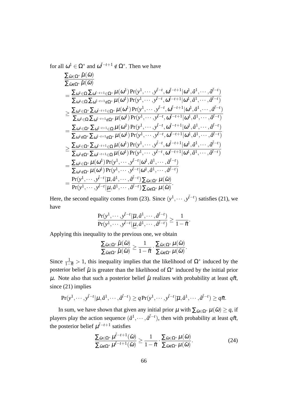for all  $\omega^1 \in \Omega^*$  and  $\omega^{\tilde{t}-t+1} \notin \Omega^*$ . Then we have

$$
\frac{\sum_{\tilde{\omega}\in\Omega^{*}}\hat{\mu}(\tilde{\omega})}{\sum_{\tilde{\omega}\notin\Omega^{*}}\hat{\mu}(\tilde{\omega})} \\
= \frac{\sum_{\omega^{1}\in\Omega}\sum_{\omega^{i-r+1}\in\Omega^{*}}\mu(\omega^{1})\Pr(\mathbf{y}^{1},\dots,\mathbf{y}^{i-r},\omega^{\tilde{i}-r+1}|\omega^{1},\hat{a}^{1},\dots,\hat{a}^{i-r})}{\sum_{\omega^{1}\in\Omega}\sum_{\omega^{i-r+1}\in\Omega^{*}}\mu(\omega^{1})\Pr(\mathbf{y}^{1},\dots,\mathbf{y}^{i-r},\omega^{\tilde{i}-r+1}|\omega^{1},\hat{a}^{1},\dots,\hat{a}^{i-r})} \\
\geq \frac{\sum_{\omega^{1}\in\Omega}\sum_{\omega^{i-r+1}\in\Omega^{*}}\mu(\omega^{1})\Pr(\mathbf{y}^{1},\dots,\mathbf{y}^{i-r},\omega^{\tilde{i}-r+1}|\omega^{1},\hat{a}^{1},\dots,\hat{a}^{i-r})}{\sum_{\omega^{1}\in\Omega}\sum_{\omega^{i-r+1}\in\Omega}\mu(\omega^{1})\Pr(\mathbf{y}^{1},\dots,\mathbf{y}^{i-r},\omega^{\tilde{i}-r+1}|\omega^{1},\hat{a}^{1},\dots,\hat{a}^{i-r})} \\
= \frac{\sum_{\omega^{1}\in\Omega^{*}}\sum_{\omega^{i-r+1}\in\Omega}\mu(\omega^{1})\Pr(\mathbf{y}^{1},\dots,\mathbf{y}^{i-r},\omega^{\tilde{i}-r+1}|\omega^{1},\hat{a}^{1},\dots,\hat{a}^{i-r})}{\sum_{\omega^{1}\notin\Omega^{*}}\sum_{\omega^{i-r+1}\in\Omega}\mu(\omega^{1})\Pr(\mathbf{y}^{1},\dots,\mathbf{y}^{i-r},\omega^{\tilde{i}-r+1}|\omega^{1},\hat{a}^{1},\dots,\hat{a}^{i-r})} \\
\geq \frac{\sum_{\omega^{1}\in\Omega^{*}}\sum_{\omega^{i-r+1}\in\Omega}\mu(\omega^{1})\Pr(\mathbf{y}^{1},\dots,\mathbf{y}^{i-r},\omega^{\tilde{i}-r+1}|\omega^{1},\hat{a}^{1},\dots,\hat{a}^{i-r})}{\sum_{\omega^{1}\notin\Omega^{*}}\sum_{\omega^{i-r
$$

Here, the second equality comes from (23). Since  $(y^1, \dots, y^{\tilde{t}-t})$  satisfies (21), we have

$$
\frac{\Pr(y^1,\cdots,y^{\tilde{t}-t}|\overline{\mu},\hat{a}^1,\cdots,\hat{a}^{\tilde{t}-t})}{\Pr(y^1,\cdots,y^{\tilde{t}-t}|\underline{\mu},\hat{a}^1,\cdots,\hat{a}^{\tilde{t}-t})} \ge \frac{1}{1-\tilde{\pi}}.
$$

Applying this inequality to the previous one, we obtain

$$
\frac{\Sigma_{\tilde{\omega}\in \Omega^*}\hat{\mu}(\tilde{\omega})}{\Sigma_{\tilde{\omega}\notin \Omega^*}\hat{\mu}(\tilde{\omega})}\geq \frac{1}{1-\tilde{\pi}}\cdot \frac{\Sigma_{\tilde{\omega}\in \Omega^*}\mu(\tilde{\omega})}{\Sigma_{\tilde{\omega}\notin \Omega^*}\mu(\tilde{\omega})}.
$$

Since  $\frac{1}{1-\tilde{\pi}} > 1$ , this inequality implies that the likelihood of  $\Omega^*$  induced by the posterior belief  $\hat{\mu}$  is greater than the likelihood of  $\Omega^*$  induced by the initial prior  $\mu$ . Note also that such a posterior belief  $\hat{\mu}$  realizes with probability at least  $q\tilde{\pi}$ , since (21) implies

$$
\Pr(y^1,\cdots,y^{\tilde{t}-t}|\mu,\hat{a}^1,\cdots,\hat{a}^{\tilde{t}-t})\geq q\Pr(y^1,\cdots,y^{\tilde{t}-t}|\overline{\mu},\hat{a}^1,\cdots,\hat{a}^{\tilde{t}-t})\geq q\tilde{\pi}.
$$

In sum, we have shown that given any initial prior  $\mu$  with  $\sum_{\tilde{\omega} \in \Omega^*} \mu(\tilde{\omega}) \geq q$ , if players play the action sequence  $(\hat{a}^1, \dots, \hat{a}^{\tilde{t}-t})$ , then with probability at least  $q\tilde{\pi}$ , the posterior belief  $\mu^{t-t+1}$  satisfies

$$
\frac{\sum_{\tilde{\omega}\in\Omega^*}\mu^{\tilde{t}-t+1}(\tilde{\omega})}{\sum_{\tilde{\omega}\notin\Omega^*}\mu^{\tilde{t}-t+1}(\tilde{\omega})}\geq \frac{1}{1-\tilde{\pi}}\cdot\frac{\sum_{\tilde{\omega}\in\Omega^*}\mu(\tilde{\omega})}{\sum_{\tilde{\omega}\notin\Omega^*}\mu(\tilde{\omega})}.
$$
\n(24)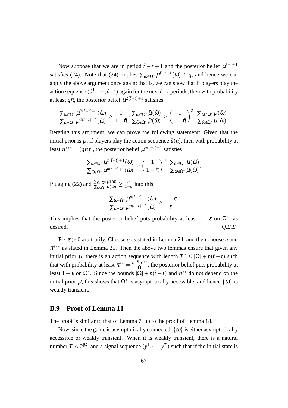Now suppose that we are in period  $\tilde{t}$  − *t* + 1 and the posterior belief  $\mu^{\tilde{t}-t+1}$ satisfies (24). Note that (24) implies  $\sum_{\omega \in \Omega^*} \mu^{i-t+1}(\omega) \geq q$ , and hence we can apply the above argument once again; that is, we can show that if players play the action sequence  $(\hat{a}^1, \dots, \hat{a}^{\tilde{t}-t})$  again for the next  $\tilde{t}-t$  periods, then with probability at least  $q\tilde{\pi}$ , the posterior belief  $\mu^{2(\tilde{t}-t)+1}$  satisfies

$$
\frac{\sum_{\tilde{\omega}\in \Omega^*}\mu^{2(\tilde{t}-t)+1}(\tilde{\omega})}{\sum_{\tilde{\omega}\notin \Omega^*}\mu^{2(\tilde{t}-t)+1}(\tilde{\omega})}\geq \frac{1}{1-\tilde{\pi}}\cdot\frac{\sum_{\tilde{\omega}\in \Omega^*}\hat{\mu}(\tilde{\omega})}{\sum_{\tilde{\omega}\notin \Omega^*}\hat{\mu}(\tilde{\omega})}\geq \left(\frac{1}{1-\tilde{\pi}}\right)^2\cdot\frac{\sum_{\tilde{\omega}\in \Omega^*}\mu(\tilde{\omega})}{\sum_{\tilde{\omega}\notin \Omega^*}\mu(\tilde{\omega})}
$$

*.*

Iterating this argument, we can prove the following statement: Given that the initial prior is  $\mu$ , if players play the action sequence  $\hat{a}(n)$ , then with probability at least  $\pi^{***} = (q\tilde{\pi})^n$ , the posterior belief  $\mu^{n(\tilde{t}-t)+1}$  satisfies

$$
\frac{\sum_{\tilde{\omega}\in\Omega^*}\mu^{n(\tilde{t}-t)+1}(\tilde{\omega})}{\sum_{\tilde{\omega}\notin\Omega^*}\mu^{n(\tilde{t}-t)+1}(\tilde{\omega})}\geq\left(\frac{1}{1-\tilde{\pi}}\right)^n\cdot\frac{\sum_{\tilde{\omega}\in\Omega^*}\mu(\tilde{\omega})}{\sum_{\tilde{\omega}\notin\Omega^*}\mu(\tilde{\omega})}.
$$

Plugging (22) and  $\frac{\sum_{\tilde{\omega}\in\Omega^*}\mu(\tilde{\omega})}{\sum_{\tilde{\omega}\notin\Omega^*}\mu(\tilde{\omega})} \ge \frac{q}{1-q}$ 1*−q* into this,

$$
\frac{\sum_{\tilde{\omega}\in \Omega^*}\mu^{n(\tilde{t}-t)+1}(\tilde{\omega})}{\sum_{\tilde{\omega}\notin \Omega^*}\mu^{n(\tilde{t}-t)+1}(\tilde{\omega})}\geq \frac{1-\varepsilon}{\varepsilon}.
$$

This implies that the posterior belief puts probability at least  $1 - \varepsilon$  on  $\Omega^*$ , as desired.  $Q.E.D.$ 

Fix <sup>ε</sup> *>* 0 arbitrarily. Choose *q* as stated in Lemma 24, and then choose *n* and  $\pi^{***}$  as stated in Lemma 25. Then the above two lemmas ensure that given any initial prior  $\mu$ , there is an action sequence with length  $T^* \leq |\Omega| + n(\tilde{t} - t)$  such that with probability at least  $\pi^{**} = \frac{\overline{\pi}^{|\Omega|} \pi^{***}}{|\Omega|}$  $\frac{|\mathcal{A}|}{|\Omega|}$ , the posterior belief puts probability at least  $1 - \varepsilon$  on  $\Omega^*$ . Since the bounds  $|\Omega| + n(\tilde{t} - t)$  and  $\pi^{**}$  do not depend on the initial prior  $\mu$ , this shows that  $\Omega^*$  is asymptotically accessible, and hence  $\{\omega\}$  is weakly transient.

## **B.9 Proof of Lemma 11**

The proof is similar to that of Lemma 7, up to the proof of Lemma 18.

Now, since the game is asymptotically connected,  $\{\omega\}$  is either asymptotically accessible or weakly transient. When it is weakly transient, there is a natural number  $T \leq 2^{|\Omega|}$  and a signal sequence  $(y^1, \dots, y^T)$  such that if the initial state is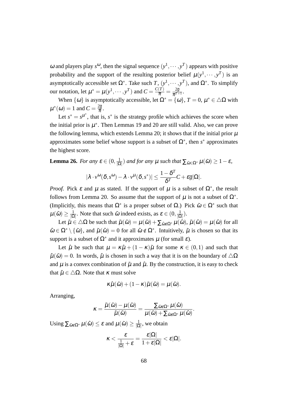ω and players play *s*<sup>ω</sup>, then the signal sequence  $(y^1, \dots, y^T)$  appears with positive probability and the support of the resulting posterior belief  $\mu(y^1, \dots, y^T)$  is an asymptotically accessible set  $\Omega^*$ . Take such *T*,  $(y^1, \dots, y^T)$ , and  $\Omega^*$ . To simplify our notation, let  $\mu^* = \mu(y^1, \dots, y^T)$  and  $C = \frac{C(T)}{\overline{\pi}} = \frac{2\overline{g}}{\overline{\pi}^{T+1}}$  $\frac{\angle g}{\overline{\pi}^{T+1}}.$ 

When  $\{\omega\}$  is asymptotically accessible, let  $\Omega^* = \{\omega\}$ ,  $T = 0$ ,  $\mu^* \in \triangle \Omega$  with  $\mu^*(\omega) = 1$  and  $C = \frac{2\overline{g}}{\overline{\pi}}$ .

Let  $s^* = s^{\mu^*}$ , that is,  $s^*$  is the strategy profile which achieves the score when the initial prior is  $\mu^*$ . Then Lemmas 19 and 20 are still valid. Also, we can prove the following lemma, which extends Lemma 20; it shows that if the initial prior  $\mu$ approximates some belief whose support is a subset of  $\Omega^*$ , then  $s^*$  approximates the highest score.

**Lemma 26.** *For any*  $\varepsilon \in (0, \frac{1}{10})$  $\frac{1}{|\Omega|}$ ) *and for any*  $\mu$  *such that*  $\sum_{\tilde{\omega}\in\Omega^*}\mu(\tilde{\omega}) \geq 1-\varepsilon$ *,* 

$$
|\lambda \cdot v^{\omega}(\delta, s^{\omega}) - \lambda \cdot v^{\mu}(\delta, s^*)| \leq \frac{1 - \delta^T}{\delta^T}C + \varepsilon \overline{g}|\Omega|.
$$

*Proof.* Pick  $\varepsilon$  and  $\mu$  as stated. If the support of  $\mu$  is a subset of  $\Omega^*$ , the result follows from Lemma 20. So assume that the support of  $\mu$  is not a subset of  $\Omega^*$ . (Implicitly, this means that  $\Omega^*$  is a proper subset of  $\Omega$ .) Pick  $\tilde{\omega} \in \Omega^*$  such that  $\mu(\tilde{\omega}) \geq \frac{1}{\log D}$  $\frac{1}{|\Omega|}$ . Note that such  $\tilde{\omega}$  indeed exists, as  $\varepsilon \in (0, \frac{1}{|\Omega|})$ *|*Ω*|* ).

Let  $\tilde{\mu} \in \Delta \Omega$  be such that  $\tilde{\mu}(\tilde{\omega}) = \mu(\tilde{\omega}) + \sum_{\hat{\omega} \notin \Omega^*} \mu(\hat{\omega}), \tilde{\mu}(\hat{\omega}) = \mu(\hat{\omega})$  for all  $\hat{\omega} \in \Omega^* \setminus {\{\tilde{\omega}\}}$ , and  $\tilde{\mu}(\hat{\omega}) = 0$  for all  $\hat{\omega} \notin \Omega^*$ . Intuitively,  $\tilde{\mu}$  is chosen so that its support is a subset of  $\Omega^*$  and it approximates  $\mu$  (for small  $\varepsilon$ ).

Let  $\hat{\mu}$  be such that  $\mu = \kappa \hat{\mu} + (1 - \kappa) \tilde{\mu}$  for some  $\kappa \in (0, 1)$  and such that  $\hat{\mu}(\tilde{\omega}) = 0$ . In words,  $\hat{\mu}$  is chosen in such a way that it is on the boundary of  $\Delta\Omega$ and  $\mu$  is a convex combination of  $\tilde{\mu}$  and  $\hat{\mu}$ . By the construction, it is easy to check that  $\hat{\mu} \in \Delta \Omega$ . Note that *K* must solve

$$
\kappa \hat{\mu}(\tilde{\omega}) + (1 - \kappa) \tilde{\mu}(\tilde{\omega}) = \mu(\tilde{\omega}).
$$

Arranging,

$$
\kappa = \frac{\tilde{\mu}(\tilde{\omega}) - \mu(\tilde{\omega})}{\tilde{\mu}(\tilde{\omega})} = \frac{\sum_{\hat{\omega} \notin \Omega^*} \mu(\hat{\omega})}{\mu(\tilde{\omega}) + \sum_{\hat{\omega} \notin \Omega^*} \mu(\hat{\omega})}.
$$

Using  $\sum_{\hat{\omega}\notin\Omega^*}\mu(\hat{\omega})\leq \varepsilon$  and  $\mu(\tilde{\omega})\geq \frac{1}{|\Omega|}$  $\frac{1}{|\Omega|}$ , we obtain

$$
\kappa < \frac{\varepsilon}{\frac{1}{|\Omega|} + \varepsilon} = \frac{\varepsilon |\Omega|}{1 + \varepsilon |\Omega|} < \varepsilon |\Omega|.
$$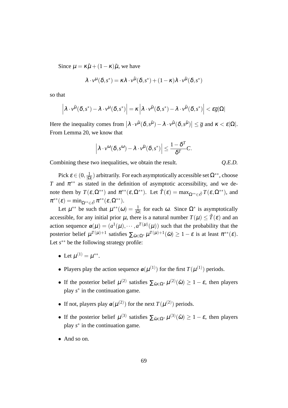Since  $\mu = \kappa \hat{\mu} + (1 - \kappa) \tilde{\mu}$ , we have

$$
\lambda \cdot v^{\mu}(\delta, s^*) = \kappa \lambda \cdot v^{\hat{\mu}}(\delta, s^*) + (1 - \kappa) \lambda \cdot v^{\tilde{\mu}}(\delta, s^*)
$$

so that

$$
\left|\lambda\cdot\nu^{\tilde{\mu}}(\boldsymbol{\delta},s^*)-\lambda\cdot\nu^{\mu}(\boldsymbol{\delta},s^*)\right|=\kappa\left|\lambda\cdot\nu^{\tilde{\mu}}(\boldsymbol{\delta},s^*)-\lambda\cdot\nu^{\hat{\mu}}(\boldsymbol{\delta},s^*)\right|<\epsilon\overline{g}|\Omega|
$$

Here the inequality comes from  $\left|\lambda \cdot v^{\tilde{\mu}}(\delta, s^{\tilde{\mu}}) - \lambda \cdot v^{\hat{\mu}}(\delta, s^{\tilde{\mu}})\right| \leq \overline{g}$  and  $\kappa < \varepsilon |\Omega|$ . From Lemma 20, we know that

$$
\left|\lambda\cdot v^{\omega}(\delta,s^{\omega})-\lambda\cdot v^{\tilde{\mu}}(\delta,s^*)\right|\leq \frac{1-\delta^T}{\delta^T}C.
$$

Combining these two inequalities, we obtain the result. *Q.E.D.*

Pick  $\varepsilon \in (0, \frac{1}{10})$  $\frac{1}{|\Omega|}$ ) arbitrarily. For each asymptotically accessible set  $\Omega^{**}$ , choose *T* and  $\pi^{**}$  as stated in the definition of asymptotic accessibility, and we denote them by  $T(\varepsilon, \Omega^{**})$  and  $\pi^{**}(\varepsilon, \Omega^{**})$ . Let  $\tilde{T}(\varepsilon) = \max_{\Omega^{**} \in \tilde{\mathcal{O}}} T(\varepsilon, \Omega^{**})$ , and  $\pi^{**}(\varepsilon) = \min_{\Omega^{**} \in \tilde{\mathscr{O}}} \pi^{**}(\varepsilon,\Omega^{**}).$ 

Let  $\mu^{**}$  be such that  $\mu^{**}(\omega) = \frac{1}{|\Omega|}$  for each  $\omega$ . Since  $\Omega^*$  is asymptotically accessible, for any initial prior  $\mu$ , there is a natural number  $T(\mu) \leq \tilde{T}(\varepsilon)$  and an action sequence  $a(\mu) = (a^1(\mu), \dots, a^{T(\mu)}(\mu))$  such that the probability that the posterior belief  $\mu^{T(\mu)+1}$  satisfies  $\sum_{\tilde{\omega}\in\Omega^*}\mu^{T(\mu)+1}(\tilde{\omega}) \geq 1-\varepsilon$  is at least  $\pi^{**}(\varepsilon)$ . Let *s ∗∗* be the following strategy profile:

- Let  $\mu^{(1)} = \mu^{**}$ .
- Players play the action sequence  $a(\mu^{(1)})$  for the first  $T(\mu^{(1)})$  periods.
- If the posterior belief  $\mu^{(2)}$  satisfies  $\sum_{\tilde{\omega} \in \Omega^*} \mu^{(2)}(\tilde{\omega}) \geq 1 \varepsilon$ , then players play *s*<sup>∗</sup> in the continuation game.
- If not, players play  $a(\mu^{(2)})$  for the next  $T(\mu^{(2)})$  periods.
- If the posterior belief  $\mu^{(3)}$  satisfies  $\sum_{\tilde{\omega} \in \Omega^*} \mu^{(3)}(\tilde{\omega}) \geq 1 \varepsilon$ , then players play *s ∗* in the continuation game.
- *•* And so on.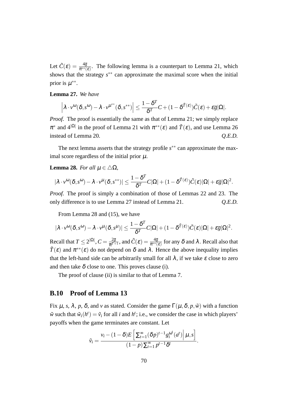Let  $\tilde{C}(\varepsilon) = \frac{4\overline{g}}{\pi^{**}(\varepsilon)}$ . The following lemma is a counterpart to Lemma 21, which shows that the strategy  $s^{**}$  can approximate the maximal score when the initial prior is  $\mu^{**}$ .

### **Lemma 27.** *We have*

$$
\left|\lambda\cdot v^{\omega}(\delta,s^{\omega})-\lambda\cdot v^{\mu^{**}}(\delta,s^{**})\right|\leq \frac{1-\delta^T}{\delta^T}C+(1-\delta^{\widetilde{T}(\varepsilon)})\tilde{C}(\varepsilon)+\varepsilon\overline{g}|\Omega|.
$$

*Proof.* The proof is essentially the same as that of Lemma 21; we simply replace  $\pi^*$  and  $4^{|\Omega|}$  in the proof of Lemma 21 with  $\pi^{**}(\varepsilon)$  and  $\tilde{T}(\varepsilon)$ , and use Lemma 26 instead of Lemma 20.  $Q.E.D.$ 

The next lemma asserts that the strategy profile *s ∗∗* can approximate the maximal score regardless of the initial prior  $\mu$ .

#### **Lemma 28.** *For all*  $\mu \in \Delta\Omega$ *,*

$$
|\lambda \cdot v^{\omega}(\delta, s^{\omega}) - \lambda \cdot v^{\mu}(\delta, s^{**})| \leq \frac{1 - \delta^{T}}{\delta^{T}} C |\Omega| + (1 - \delta^{\tilde{T}(\epsilon)}) \tilde{C}(\epsilon) |\Omega| + \epsilon \overline{g} |\Omega|^{2}.
$$

*Proof.* The proof is simply a combination of those of Lemmas 22 and 23. The only difference is to use Lemma 27 instead of Lemma 21. *Q.E.D.*

From Lemma 28 and (15), we have

$$
|\lambda \cdot v^{\omega}(\delta, s^{\omega}) - \lambda \cdot v^{\mu}(\delta, s^{\mu})| \leq \frac{1 - \delta^{T}}{\delta^{T}} C |\Omega| + (1 - \delta^{\tilde{T}(\epsilon)}) \tilde{C}(\epsilon) |\Omega| + \epsilon \overline{g} |\Omega|^{2}.
$$

Recall that  $T \leq 2^{|\Omega|}$ ,  $C = \frac{2\overline{g}}{\overline{\pi}T + 1}$  $\frac{2\overline{g}}{\overline{\pi}^{T+1}},$  and  $\tilde{C}(\mathcal{E})=\frac{4\overline{g}}{\pi^{**}(\mathcal{E})}$  for any  $\delta$  and  $\lambda$  . Recall also that  $\tilde{T}(\varepsilon)$  and  $\pi^{**}(\varepsilon)$  do not depend on  $\delta$  and  $\lambda$ . Hence the above inequality implies that the left-hand side can be arbitrarily small for all  $\lambda$ , if we take  $\varepsilon$  close to zero and then take  $\delta$  close to one. This proves clause (i).

The proof of clause (ii) is similar to that of Lemma 7.

#### **B.10 Proof of Lemma 13**

Fix  $\mu$ , *s*,  $\lambda$ , *p*,  $\delta$ , and *v* as stated. Consider the game Γ( $\mu$ ,  $\delta$ ,  $p$ ,  $\tilde{w}$ ) with a function  $\tilde{w}$  such that  $\tilde{w}_i(h^t) = \tilde{v}_i$  for all *i* and  $h^t$ ; i.e., we consider the case in which players' payoffs when the game terminates are constant. Let

$$
\tilde{v}_i = \frac{v_i - (1 - \delta)E\left[\sum_{t=1}^{\infty} (\delta p)^{t-1} g_i^{\omega^t}(a^t) \middle| \mu, s\right]}{(1 - p) \sum_{t=1}^{\infty} p^{t-1} \delta^t}.
$$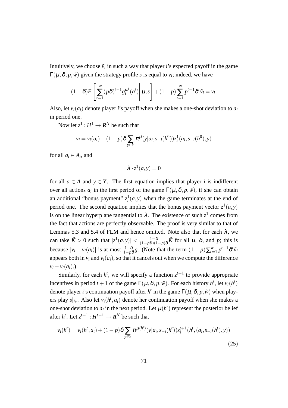Intuitively, we choose  $\tilde{v}_i$  in such a way that player *i*'s expected payoff in the game  $\Gamma(\mu,\delta,p,\tilde{\nu})$  given the strategy profile *s* is equal to  $v_i$ ; indeed, we have

$$
(1-\delta)E\left[\sum_{t=1}^{\infty} (p\delta)^{t-1} g_i^{\omega^t}(a^t)\middle|\mu,s\right] + (1-p)\sum_{t=1}^{\infty} p^{t-1} \delta^t \tilde{v}_i = v_i.
$$

Also, let  $v_i(a_i)$  denote player *i*'s payoff when she makes a one-shot deviation to  $a_i$ in period one.

Now let  $z^1: H^1 \to \mathbf{R}^N$  be such that

$$
v_i = v_i(a_i) + (1-p)\delta \sum_{y \in Y} \pi^{\mu}(y|a_i, s_{-i}(h^0))z_i^1(a_i, s_{-i}(h^0), y)
$$

for all  $a_i \in A_i$ , and

$$
\lambda \cdot z^1(a, y) = 0
$$

for all  $a \in A$  and  $y \in Y$ . The first equation implies that player *i* is indifferent over all actions  $a_i$  in the first period of the game  $\Gamma(\mu, \delta, p, \tilde{w})$ , if she can obtain an additional "bonus payment"  $z_i^1(a, y)$  when the game terminates at the end of period one. The second equation implies that the bonus payment vector  $z^1(a, y)$ is on the linear hyperplane tangential to  $\lambda$ . The existence of such  $z^1$  comes from the fact that actions are perfectly observable. The proof is very similar to that of Lemmas 5.3 and 5.4 of FLM and hence omitted. Note also that for each  $\lambda$ , we can take  $\tilde{K} > 0$  such that  $|z^1(a,y)| < \frac{1-\delta}{(1-n\delta)(1-\delta)}$  $\frac{1-\delta}{(1-p\delta)(1-p)\delta}\tilde{K}$  for all  $\mu$ ,  $\delta$ , and  $p$ ; this is because  $|v_i - v_i(a_i)|$  is at most  $\frac{1-\delta}{1-p\delta}\overline{g}$ . (Note that the term  $(1-p)\sum_{t=1}^{\infty} p^{t-1}\delta^t\tilde{v}_i$ appears both in  $v_i$  and  $v_i(a_i)$ , so that it cancels out when we compute the difference  $v_i - v_i(a_i)$ .)

Similarly, for each  $h^t$ , we will specify a function  $z^{t+1}$  to provide appropriate incentives in period  $t + 1$  of the game  $\Gamma(\mu, \delta, p, \tilde{\nu})$ . For each history  $h^t$ , let  $v_i(h^t)$ denote player *i*'s continuation payoff after *h<sup>t</sup>* in the game  $\Gamma(\mu, \delta, p, \tilde{w})$  when players play  $s|_{h^t}$ . Also let  $v_i(h^t, a_i)$  denote her continuation payoff when she makes a one-shot deviation to  $a_i$  in the next period. Let  $\mu(h^t)$  represent the posterior belief after  $h^t$ . Let  $z^{t+1}: H^{t+1} \to \mathbb{R}^N$  be such that

$$
v_i(h^t) = v_i(h^t, a_i) + (1 - p)\delta \sum_{y \in Y} \pi^{\mu(h^t)}(y|a_i, s_{-i}(h^t))z_i^{t+1}(h^t, (a_i, s_{-i}(h^t), y))
$$
\n(25)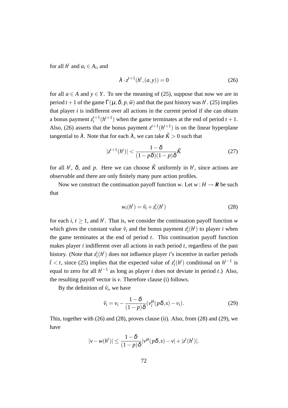for all  $h^t$  and  $a_i \in A_i$ , and

$$
\lambda \cdot z^{t+1}(h^t,(a,y)) = 0 \tag{26}
$$

for all  $a \in A$  and  $y \in Y$ . To see the meaning of (25), suppose that now we are in period  $t + 1$  of the game  $\Gamma(\mu, \delta, p, \tilde{\nu})$  and that the past history was  $h^t$ . (25) implies that player *i* is indifferent over all actions in the current period if she can obtain a bonus payment  $z_i^{t+1}$  $i_t^{t+1}(h^{t+1})$  when the game terminates at the end of period  $t+1$ . Also, (26) asserts that the bonus payment  $z^{t+1}(h^{t+1})$  is on the linear hyperplane tangential to  $\lambda$ . Note that for each  $\lambda$ , we can take  $\tilde{K} > 0$  such that

$$
|z^{t+1}(h^t)| < \frac{1-\delta}{(1-p\delta)(1-p)\delta}\tilde{K} \tag{27}
$$

for all  $h^t$ ,  $\delta$ , and  $p$ . Here we can choose  $\tilde{K}$  uniformly in  $h^t$ , since actions are observable and there are only finitely many pure action profiles.

Now we construct the continuation payoff function *w*. Let  $w : H \to \mathbf{R}$  be such that

$$
w_i(h^t) = \tilde{v}_i + z_i^t(h^t)
$$
\n(28)

for each *i*,  $t \geq 1$ , and  $h^t$ . That is, we consider the continuation payoff function *w* which gives the constant value  $\tilde{v}_i$  and the bonus payment  $z_i^t(h^t)$  to player *i* when the game terminates at the end of period *t*. This continuation payoff function makes player *i* indifferent over all actions in each period *t*, regardless of the past history. (Note that  $z_i^t(h^t)$  does not influence player *i*'s incentive in earlier periods  $\tilde{t}$  < *t*, since (25) implies that the expected value of  $z_i^t(h^t)$  conditional on  $h^{t-1}$  is equal to zero for all *h t−*1 as long as player *i* does not deviate in period *t*.) Also, the resulting payoff vector is  $v$ . Therefore clause (i) follows.

By the definition of  $\tilde{v}_i$ , we have

$$
\tilde{v}_i = v_i - \frac{1 - \delta}{(1 - p)\delta} (v_i^{\mu} (p\delta, s) - v_i).
$$
 (29)

This, together with (26) and (28), proves clause (ii). Also, from (28) and (29), we have

$$
|\nu - w(h^t)| \leq \frac{1-\delta}{(1-p)\delta} |\nu^{\mu}(p\delta, s) - \nu| + |z^t(h^t)|.
$$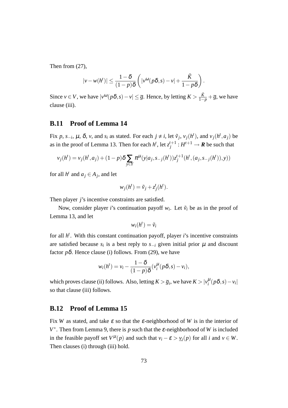Then from (27),

$$
|\nu - w(h^t)| \le \frac{1-\delta}{(1-p)\delta} \left( |\nu^{\omega}(p\delta, s) - \nu| + \frac{\tilde{K}}{1-p\delta} \right).
$$

Since  $v \in V$ , we have  $|v^{(\omega)}(p\delta, s) - v| \leq \overline{g}$ . Hence, by letting  $K > \frac{\tilde{K}}{1-p} + \overline{g}$ , we have clause (iii).

## **B.11 Proof of Lemma 14**

Fix p, s<sub>-i</sub>,  $\mu$ ,  $\delta$ , v, and s<sub>i</sub> as stated. For each  $j \neq i$ , let  $\tilde{v}_j$ ,  $v_j(h^t)$ , and  $v_j(h^t, a_j)$  be as in the proof of Lemma 13. Then for each  $h^t$ , let  $z_i^{t+1}$  $j^{t+1}$  :  $H^{t+1} \rightarrow \mathbf{R}$  be such that

$$
v_j(h^t) = v_j(h^t, a_j) + (1 - p)\delta \sum_{y \in Y} \pi^{\mu}(y|a_j, s_{-j}(h^t)) z_j^{t+1}(h^t, (a_j, s_{-j}(h^t)), y))
$$

for all  $h^t$  and  $a_j \in A_j$ , and let

$$
w_j(h^t) = \tilde{v}_j + z_j^t(h^t).
$$

Then player *j*'s incentive constraints are satisfied.

Now, consider player *i*'s continuation payoff  $w_i$ . Let  $\tilde{v}_i$  be as in the proof of Lemma 13, and let

$$
w_i(h^t) = \tilde{v}_i
$$

for all *h t* . With this constant continuation payoff, player *i*'s incentive constraints are satisfied because  $s_i$  is a best reply to  $s_{-i}$  given initial prior  $\mu$  and discount factor  $p\delta$ . Hence clause (i) follows. From (29), we have

$$
w_i(h^t) = v_i - \frac{1-\delta}{(1-p)\delta}(v_i^{\mu}(p\delta, s) - v_i),
$$

which proves clause (ii) follows. Also, letting  $K > \overline{g}_i$ , we have  $K > |v_i^{\mu}(p\delta, s) - v_i|$ so that clause (iii) follows.

## **B.12 Proof of Lemma 15**

Fix *W* as stated, and take  $\varepsilon$  so that the  $\varepsilon$ -neighborhood of *W* is in the interior of  $V^*$ . Then from Lemma 9, there is *p* such that the ε-neighborhood of *W* is included in the feasible payoff set  $V^{\mu}(p)$  and such that  $v_i - \varepsilon > v_i(p)$  for all *i* and  $v \in W$ . Then clauses (i) through (iii) hold.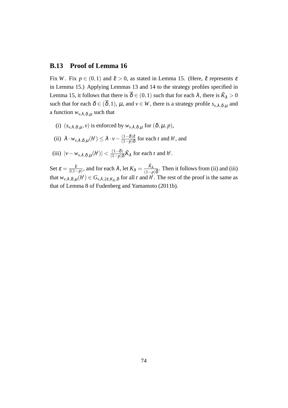## **B.13 Proof of Lemma 16**

Fix *W*. Fix  $p \in (0,1)$  and  $\tilde{\varepsilon} > 0$ , as stated in Lemma 15. (Here,  $\tilde{\varepsilon}$  represents  $\varepsilon$ in Lemma 15.) Applying Lemmas 13 and 14 to the strategy profiles specified in Lemma 15, it follows that there is  $\overline{\delta} \in (0,1)$  such that for each  $\lambda$ , there is  $\tilde{K}_{\lambda} > 0$ such that for each  $\delta \in (\overline{\delta}, 1)$ ,  $\mu$ , and  $\nu \in W$ , there is a strategy profile  $s_{\nu,\lambda,\delta,\mu}$  and a function  $w_{v,\lambda,\delta,\mu}$  such that

- (i)  $(s_{\nu\lambda} \delta, \mu, \nu)$  is enforced by  $w_{\nu\lambda} \delta, \mu$  for  $(\delta, \mu, \nu)$ ,
- $(iii)$   $\lambda \cdot w_{\nu,\lambda,\delta,\mu}(h^t) \leq \lambda \cdot v \frac{(1-\delta)\tilde{\varepsilon}}{(1-\rho)\delta}$  $\frac{(1-\delta)\tilde{\varepsilon}}{(1-p)\delta}$  for each *t* and *h<sup>t</sup>*, and
- $(|iii)$   $|v w_{\nu,\lambda,\delta,\mu}(h^t)| < \frac{(1-\delta)}{(1-n)\delta}$  $\frac{(1-\delta)}{(1-p)\delta}\tilde{K}_{\lambda}$  for each *t* and *h<sup>t</sup>*.

Set  $\varepsilon = \frac{\tilde{\varepsilon}}{2(1 - \varepsilon)}$  $\frac{\tilde{\varepsilon}}{2(1-p)}$ , and for each  $\lambda$ , let  $K_{\lambda} = \frac{\tilde{K}_{\lambda}}{(1-p)}$  $\frac{\kappa_{\lambda}}{(1-p)\overline{\delta}}$ . Then it follows from (ii) and (iii) that  $w_{v,\lambda,\delta,\mu}(h^t) \in G_{v,\lambda,2\varepsilon,K_\lambda,\delta}$  for all *t* and  $h^t$ . The rest of the proof is the same as that of Lemma 8 of Fudenberg and Yamamoto (2011b).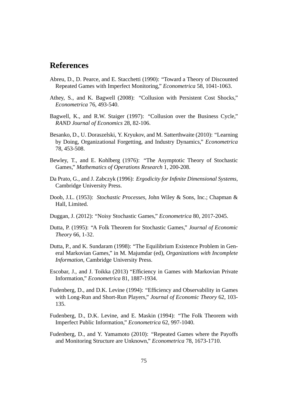## **References**

- Abreu, D., D. Pearce, and E. Stacchetti (1990): "Toward a Theory of Discounted Repeated Games with Imperfect Monitoring," *Econometrica* 58, 1041-1063.
- Athey, S., and K. Bagwell (2008): "Collusion with Persistent Cost Shocks," *Econometrica* 76, 493-540.
- Bagwell, K., and R.W. Staiger (1997): "Collusion over the Business Cycle," *RAND Journal of Economics* 28, 82-106.
- Besanko, D., U. Doraszelski, Y. Kryukov, and M. Satterthwaite (2010): "Learning by Doing, Organizational Forgetting, and Industry Dynamics," *Econometrica* 78, 453-508.
- Bewley, T., and E. Kohlberg (1976): "The Asymptotic Theory of Stochastic Games," *Mathematics of Operations Research* 1, 200-208.
- Da Prato, G., and J. Zabczyk (1996): *Ergodicity for Infinite Dimensional Systems*, Cambridge University Press.
- Doob, J.L. (1953): *Stochastic Processes*, John Wiley & Sons, Inc.; Chapman & Hall, Limited.
- Duggan, J. (2012): "Noisy Stochastic Games," *Econometrica* 80, 2017-2045.
- Dutta, P. (1995): "A Folk Theorem for Stochastic Games," *Journal of Economic Theory* 66, 1-32.
- Dutta, P., and K. Sundaram (1998): "The Equilibrium Existence Problem in General Markovian Games," in M. Majumdar (ed), *Organizations with Incomplete Information*, Cambridge University Press.
- Escobar, J., and J. Toikka (2013) "Efficiency in Games with Markovian Private Information," *Econometrica* 81, 1887-1934.
- Fudenberg, D., and D.K. Levine (1994): "Efficiency and Observability in Games with Long-Run and Short-Run Players," *Journal of Economic Theory* 62, 103- 135.
- Fudenberg, D., D.K. Levine, and E. Maskin (1994): "The Folk Theorem with Imperfect Public Information," *Econometrica* 62, 997-1040.
- Fudenberg, D., and Y. Yamamoto (2010): "Repeated Games where the Payoffs and Monitoring Structure are Unknown," *Econometrica* 78, 1673-1710.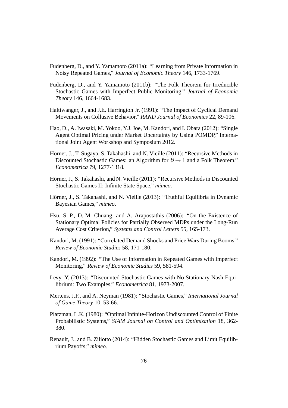- Fudenberg, D., and Y. Yamamoto (2011a): "Learning from Private Information in Noisy Repeated Games," *Journal of Economic Theory* 146, 1733-1769.
- Fudenberg, D., and Y. Yamamoto (2011b): "The Folk Theorem for Irreducible Stochastic Games with Imperfect Public Monitoring," *Journal of Economic Theory* 146, 1664-1683.
- Haltiwanger, J., and J.E. Harrington Jr. (1991): "The Impact of Cyclical Demand Movements on Collusive Behavior," *RAND Journal of Economics* 22, 89-106.
- Hao, D., A. Iwasaki, M. Yokoo, Y.J. Joe, M. Kandori, and I. Obara (2012): "Single Agent Optimal Pricing under Market Uncertainty by Using POMDP," International Joint Agent Workshop and Symposium 2012.
- Hörner, J., T. Sugaya, S. Takahashi, and N. Vieille (2011): "Recursive Methods in Discounted Stochastic Games: an Algorithm for  $\delta \rightarrow 1$  and a Folk Theorem," *Econometrica* 79, 1277-1318.
- Hörner, J., S. Takahashi, and N. Vieille (2011): "Recursive Methods in Discounted Stochastic Games II: Infinite State Space," *mimeo*.
- Hörner, J., S. Takahashi, and N. Vieille (2013): "Truthful Equilibria in Dynamic Bayesian Games," *mimeo*.
- Hsu, S.-P., D.-M. Chuang, and A. Arapostathis (2006): "On the Existence of Stationary Optimal Policies for Partially Observed MDPs under the Long-Run Average Cost Criterion," *Systems and Control Letters* 55, 165-173.
- Kandori, M. (1991): "Correlated Demand Shocks and Price Wars During Booms," *Review of Economic Studies* 58, 171-180.
- Kandori, M. (1992): "The Use of Information in Repeated Games with Imperfect Monitoring," *Review of Economic Studies* 59, 581-594.
- Levy, Y. (2013): "Discounted Stochastic Games with No Stationary Nash Equilibrium: Two Examples," *Econometrica* 81, 1973-2007.
- Mertens, J.F., and A. Neyman (1981): "Stochastic Games," *International Journal of Game Theory* 10, 53-66.
- Platzman, L.K. (1980): "Optimal Infinite-Horizon Undiscounted Control of Finite Probabilistic Systems," *SIAM Journal on Control and Optimization* 18, 362- 380.
- Renault, J., and B. Ziliotto (2014): "Hidden Stochastic Games and Limit Equilibrium Payoffs," *mimeo*.